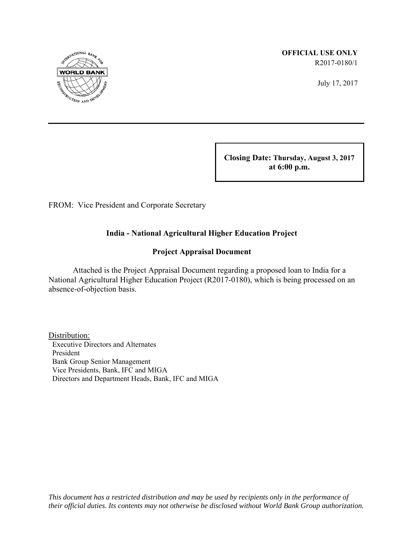

 **OFFICIAL USE ONLY** R2017-0180/1

July 17, 2017

 **Closing Date: Thursday, August 3, 2017 at 6:00 p.m.** 

FROM: Vice President and Corporate Secretary

## **India - National Agricultural Higher Education Project**

### **Project Appraisal Document**

 Attached is the Project Appraisal Document regarding a proposed loan to India for a National Agricultural Higher Education Project (R2017-0180), which is being processed on an absence-of-objection basis.

Distribution: Executive Directors and Alternates President Bank Group Senior Management Vice Presidents, Bank, IFC and MIGA Directors and Department Heads, Bank, IFC and MIGA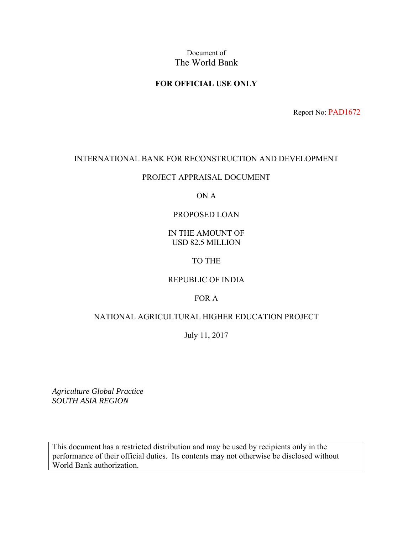Document of The World Bank

## **FOR OFFICIAL USE ONLY**

Report No: PAD1672

### INTERNATIONAL BANK FOR RECONSTRUCTION AND DEVELOPMENT

### PROJECT APPRAISAL DOCUMENT

### ON A

### PROPOSED LOAN

### IN THE AMOUNT OF USD 82.5 MILLION

### TO THE

### REPUBLIC OF INDIA

### FOR A

## NATIONAL AGRICULTURAL HIGHER EDUCATION PROJECT

### July 11, 2017

*Agriculture Global Practice SOUTH ASIA REGION* 

This document has a restricted distribution and may be used by recipients only in the performance of their official duties. Its contents may not otherwise be disclosed without World Bank authorization.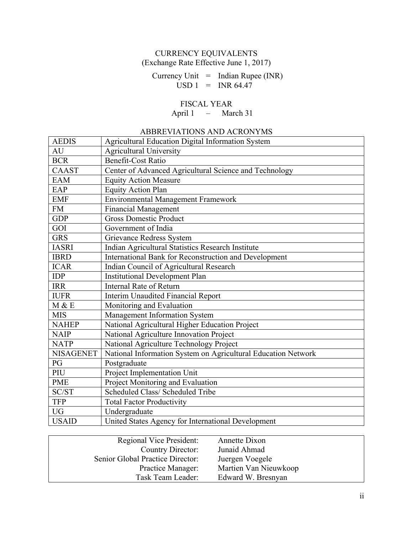## CURRENCY EQUIVALENTS (Exchange Rate Effective June 1, 2017)

Currency Unit  $=$  Indian Rupee (INR)  $USD 1 = INR 64.47$ 

## FISCAL YEAR

April 1 – March 31

## ABBREVIATIONS AND ACRONYMS

| <b>AEDIS</b>     | Agricultural Education Digital Information System             |
|------------------|---------------------------------------------------------------|
| AU               | <b>Agricultural University</b>                                |
| <b>BCR</b>       | <b>Benefit-Cost Ratio</b>                                     |
| <b>CAAST</b>     | Center of Advanced Agricultural Science and Technology        |
| <b>EAM</b>       | <b>Equity Action Measure</b>                                  |
| EAP              | <b>Equity Action Plan</b>                                     |
| <b>EMF</b>       | <b>Environmental Management Framework</b>                     |
| <b>FM</b>        | Financial Management                                          |
| <b>GDP</b>       | <b>Gross Domestic Product</b>                                 |
| GOI              | Government of India                                           |
| <b>GRS</b>       | Grievance Redress System                                      |
| <b>IASRI</b>     | Indian Agricultural Statistics Research Institute             |
| <b>IBRD</b>      | International Bank for Reconstruction and Development         |
| <b>ICAR</b>      | Indian Council of Agricultural Research                       |
| <b>IDP</b>       | <b>Institutional Development Plan</b>                         |
| <b>IRR</b>       | <b>Internal Rate of Return</b>                                |
| <b>IUFR</b>      | <b>Interim Unaudited Financial Report</b>                     |
| M & E            | Monitoring and Evaluation                                     |
| <b>MIS</b>       | Management Information System                                 |
| <b>NAHEP</b>     | National Agricultural Higher Education Project                |
| <b>NAIP</b>      | National Agriculture Innovation Project                       |
| <b>NATP</b>      | National Agriculture Technology Project                       |
| <b>NISAGENET</b> | National Information System on Agricultural Education Network |
| PG               | Postgraduate                                                  |
| PIU              | Project Implementation Unit                                   |
| <b>PME</b>       | Project Monitoring and Evaluation                             |
| SC/ST            | Scheduled Class/ Scheduled Tribe                              |
| <b>TFP</b>       | <b>Total Factor Productivity</b>                              |
| <b>UG</b>        | Undergraduate                                                 |
| <b>USAID</b>     | United States Agency for International Development            |

| <b>Regional Vice President:</b>  | Annette Dixon         |
|----------------------------------|-----------------------|
| <b>Country Director:</b>         | Junaid Ahmad          |
| Senior Global Practice Director: | Juergen Voegele       |
| Practice Manager:                | Martien Van Nieuwkoop |
| Task Team Leader:                | Edward W. Bresnyan    |
|                                  |                       |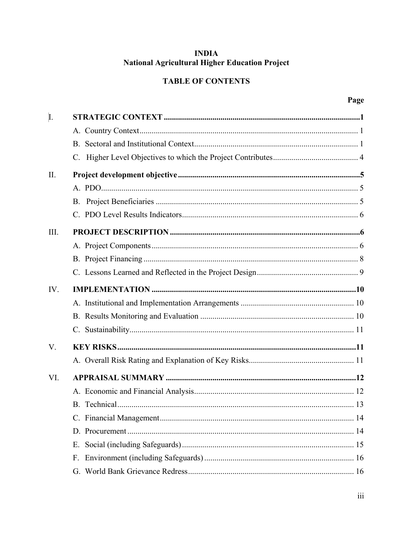## **INDIA** National Agricultural Higher Education Project

## **TABLE OF CONTENTS**

| I.   |    |
|------|----|
|      |    |
|      |    |
|      |    |
| II.  |    |
|      |    |
|      |    |
|      |    |
| III. |    |
|      |    |
|      |    |
|      |    |
| IV.  |    |
|      |    |
|      |    |
|      |    |
| V.   |    |
|      |    |
| VI.  |    |
|      |    |
|      |    |
|      |    |
|      |    |
|      | Е. |
|      | F. |
|      |    |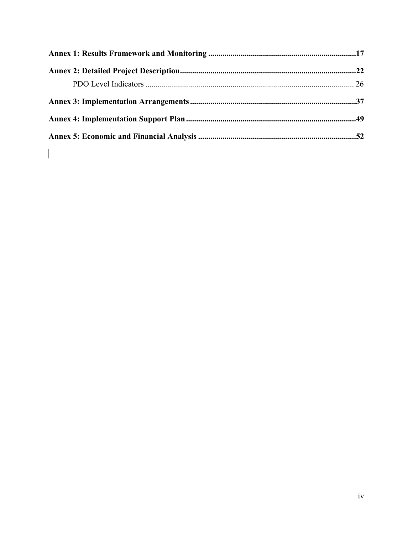$\begin{array}{c} \hline \end{array}$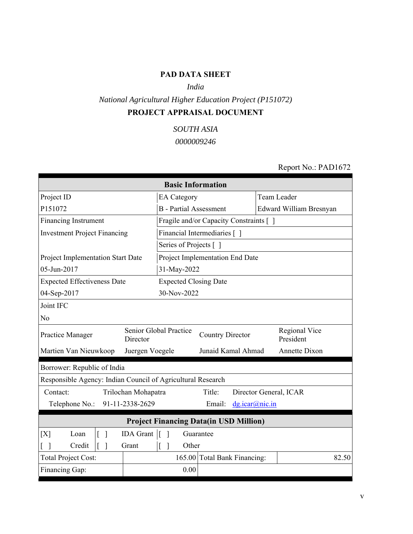## **PAD DATA SHEET**

## *India*

*National Agricultural Higher Education Project (P151072)* **PROJECT APPRAISAL DOCUMENT**

*SOUTH ASIA*

*0000009246*

## Report No.: PAD1672

| <b>Basic Information</b>                                                                                        |                               |                                         |                         |  |  |
|-----------------------------------------------------------------------------------------------------------------|-------------------------------|-----------------------------------------|-------------------------|--|--|
| Project ID                                                                                                      | <b>EA</b> Category            |                                         | Team Leader             |  |  |
| P151072                                                                                                         | <b>B</b> - Partial Assessment |                                         | Edward William Bresnyan |  |  |
| <b>Financing Instrument</b>                                                                                     |                               | Fragile and/or Capacity Constraints [ ] |                         |  |  |
| <b>Investment Project Financing</b>                                                                             |                               | Financial Intermediaries []             |                         |  |  |
|                                                                                                                 | Series of Projects []         |                                         |                         |  |  |
| Project Implementation Start Date                                                                               |                               | Project Implementation End Date         |                         |  |  |
| 05-Jun-2017                                                                                                     | 31-May-2022                   |                                         |                         |  |  |
| <b>Expected Effectiveness Date</b>                                                                              | <b>Expected Closing Date</b>  |                                         |                         |  |  |
| 04-Sep-2017                                                                                                     | 30-Nov-2022                   |                                         |                         |  |  |
| Joint IFC                                                                                                       |                               |                                         |                         |  |  |
| N <sub>o</sub>                                                                                                  |                               |                                         |                         |  |  |
| Senior Global Practice<br>Regional Vice<br><b>Country Director</b><br>Practice Manager<br>President<br>Director |                               |                                         |                         |  |  |
| Martien Van Nieuwkoop                                                                                           | Juergen Voegele               | Junaid Kamal Ahmad                      | Annette Dixon           |  |  |
| Borrower: Republic of India                                                                                     |                               |                                         |                         |  |  |
| Responsible Agency: Indian Council of Agricultural Research                                                     |                               |                                         |                         |  |  |
| Contact:<br>Trilochan Mohapatra                                                                                 |                               | Title:                                  | Director General, ICAR  |  |  |
| 91-11-2338-2629<br>Telephone No.:                                                                               |                               | Email:<br>dg.icar@nic.in                |                         |  |  |
| <b>Project Financing Data(in USD Million)</b>                                                                   |                               |                                         |                         |  |  |
| $\overline{1}$<br>[X]<br>Loan                                                                                   | IDA Grant []                  | Guarantee                               |                         |  |  |
| $\begin{bmatrix} \end{bmatrix}$<br>Credit<br>$\lceil$ $\rceil$<br>Grant                                         | $\lceil \rceil$<br>Other      |                                         |                         |  |  |
| <b>Total Project Cost:</b>                                                                                      |                               | 165.00 Total Bank Financing:            | 82.50                   |  |  |
| Financing Gap:                                                                                                  | 0.00                          |                                         |                         |  |  |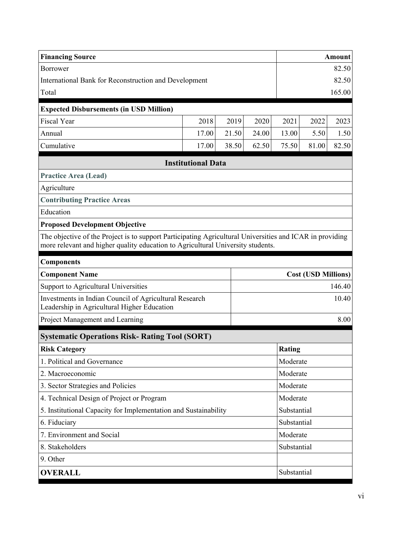| <b>Financing Source</b>                                                                                                                                                                     |                           |             |             |               |                            | Amount |
|---------------------------------------------------------------------------------------------------------------------------------------------------------------------------------------------|---------------------------|-------------|-------------|---------------|----------------------------|--------|
| Borrower                                                                                                                                                                                    |                           |             |             |               | 82.50                      |        |
| International Bank for Reconstruction and Development                                                                                                                                       |                           |             |             |               | 82.50                      |        |
| Total                                                                                                                                                                                       |                           |             |             |               |                            | 165.00 |
| <b>Expected Disbursements (in USD Million)</b>                                                                                                                                              |                           |             |             |               |                            |        |
| <b>Fiscal Year</b>                                                                                                                                                                          | 2018                      | 2019        | 2020        | 2021          | 2022                       | 2023   |
| Annual                                                                                                                                                                                      | 17.00                     | 21.50       | 24.00       | 13.00         | 5.50                       | 1.50   |
| Cumulative                                                                                                                                                                                  | 17.00                     | 38.50       | 62.50       | 75.50         | 81.00                      | 82.50  |
|                                                                                                                                                                                             | <b>Institutional Data</b> |             |             |               |                            |        |
| <b>Practice Area (Lead)</b>                                                                                                                                                                 |                           |             |             |               |                            |        |
| Agriculture                                                                                                                                                                                 |                           |             |             |               |                            |        |
| <b>Contributing Practice Areas</b>                                                                                                                                                          |                           |             |             |               |                            |        |
| Education                                                                                                                                                                                   |                           |             |             |               |                            |        |
| <b>Proposed Development Objective</b>                                                                                                                                                       |                           |             |             |               |                            |        |
| The objective of the Project is to support Participating Agricultural Universities and ICAR in providing<br>more relevant and higher quality education to Agricultural University students. |                           |             |             |               |                            |        |
| <b>Components</b>                                                                                                                                                                           |                           |             |             |               |                            |        |
| <b>Component Name</b>                                                                                                                                                                       |                           |             |             |               | <b>Cost (USD Millions)</b> |        |
| Support to Agricultural Universities                                                                                                                                                        |                           |             |             |               | 146.40                     |        |
| Investments in Indian Council of Agricultural Research<br>Leadership in Agricultural Higher Education                                                                                       |                           |             |             |               |                            | 10.40  |
| Project Management and Learning                                                                                                                                                             |                           |             |             |               | 8.00                       |        |
| <b>Systematic Operations Risk- Rating Tool (SORT)</b>                                                                                                                                       |                           |             |             |               |                            |        |
| <b>Risk Category</b>                                                                                                                                                                        |                           |             |             | <b>Rating</b> |                            |        |
| 1. Political and Governance                                                                                                                                                                 |                           |             |             | Moderate      |                            |        |
| 2. Macroeconomic                                                                                                                                                                            |                           |             |             | Moderate      |                            |        |
| 3. Sector Strategies and Policies                                                                                                                                                           |                           |             | Moderate    |               |                            |        |
| 4. Technical Design of Project or Program                                                                                                                                                   |                           |             | Moderate    |               |                            |        |
| 5. Institutional Capacity for Implementation and Sustainability                                                                                                                             |                           | Substantial |             |               |                            |        |
| 6. Fiduciary                                                                                                                                                                                |                           |             | Substantial |               |                            |        |
| 7. Environment and Social                                                                                                                                                                   |                           | Moderate    |             |               |                            |        |
| 8. Stakeholders                                                                                                                                                                             |                           | Substantial |             |               |                            |        |
| 9. Other                                                                                                                                                                                    |                           |             |             |               |                            |        |
| <b>OVERALL</b>                                                                                                                                                                              |                           |             |             | Substantial   |                            |        |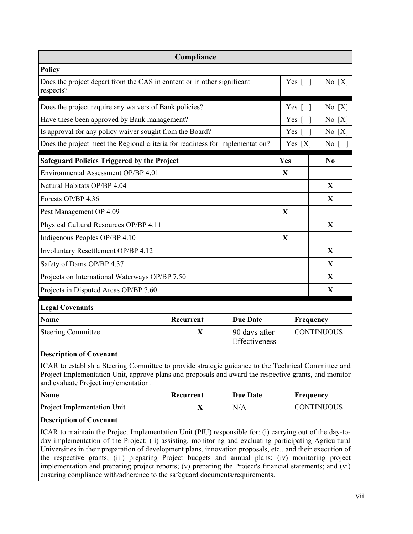|                                                                                      | Compliance  |                                |              |                        |                   |
|--------------------------------------------------------------------------------------|-------------|--------------------------------|--------------|------------------------|-------------------|
| <b>Policy</b>                                                                        |             |                                |              |                        |                   |
| Does the project depart from the CAS in content or in other significant<br>respects? |             |                                |              | Yes $\lceil \; \rceil$ | No[X]             |
| Does the project require any waivers of Bank policies?                               |             |                                |              | Yes $[$ $]$            | No[X]             |
| Have these been approved by Bank management?                                         |             |                                |              | Yes $\lceil$           | No[X]             |
| Is approval for any policy waiver sought from the Board?                             |             |                                |              | Yes $\lceil \; \rceil$ | No[X]             |
| Does the project meet the Regional criteria for readiness for implementation?        |             |                                |              | Yes[X]                 | No [ ]            |
| <b>Safeguard Policies Triggered by the Project</b>                                   |             |                                | Yes          |                        | N <sub>0</sub>    |
| Environmental Assessment OP/BP 4.01                                                  |             |                                | X            |                        |                   |
| Natural Habitats OP/BP 4.04                                                          |             |                                |              |                        | X                 |
| Forests OP/BP 4.36                                                                   |             |                                |              |                        | X                 |
| Pest Management OP 4.09                                                              |             |                                | $\mathbf{X}$ |                        |                   |
| Physical Cultural Resources OP/BP 4.11                                               |             |                                |              |                        | X                 |
| Indigenous Peoples OP/BP 4.10                                                        |             |                                | $\mathbf{X}$ |                        |                   |
| Involuntary Resettlement OP/BP 4.12                                                  |             |                                |              |                        | X                 |
| Safety of Dams OP/BP 4.37                                                            |             |                                |              |                        | X                 |
| Projects on International Waterways OP/BP 7.50                                       |             |                                |              |                        | X                 |
| Projects in Disputed Areas OP/BP 7.60                                                |             |                                |              |                        | X                 |
| <b>Legal Covenants</b>                                                               |             |                                |              |                        |                   |
| <b>Name</b>                                                                          | Recurrent   | <b>Due Date</b>                |              | Frequency              |                   |
| <b>Steering Committee</b>                                                            | $\mathbf X$ | 90 days after<br>Effectiveness |              |                        | <b>CONTINUOUS</b> |
| <b>Description of Covenant</b>                                                       |             |                                |              |                        |                   |

ICAR to establish a Steering Committee to provide strategic guidance to the Technical Committee and Project Implementation Unit, approve plans and proposals and award the respective grants, and monitor and evaluate Project implementation.

| <b>Name</b>                        | Recurrent | <b>Due Date</b> | $ $ Frequency      |
|------------------------------------|-----------|-----------------|--------------------|
| <b>Project Implementation Unit</b> |           | N/A             | <b>ICONTINUOUS</b> |

#### **Description of Covenant**

ICAR to maintain the Project Implementation Unit (PIU) responsible for: (i) carrying out of the day-today implementation of the Project; (ii) assisting, monitoring and evaluating participating Agricultural Universities in their preparation of development plans, innovation proposals, etc., and their execution of the respective grants; (iii) preparing Project budgets and annual plans; (iv) monitoring project implementation and preparing project reports; (v) preparing the Project's financial statements; and (vi) ensuring compliance with/adherence to the safeguard documents/requirements.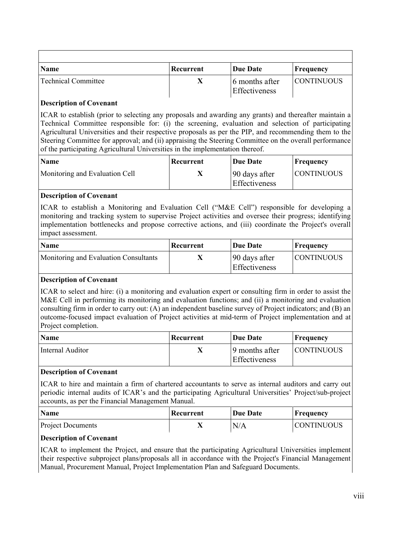| <b>Name</b>         | Recurrent | Due Date                        | Frequency  |
|---------------------|-----------|---------------------------------|------------|
| Technical Committee |           | 6 months after<br>Effectiveness | CONTINUOUS |

### **Description of Covenant**

ICAR to establish (prior to selecting any proposals and awarding any grants) and thereafter maintain a Technical Committee responsible for: (i) the screening, evaluation and selection of participating Agricultural Universities and their respective proposals as per the PIP, and recommending them to the Steering Committee for approval; and (ii) appraising the Steering Committee on the overall performance of the participating Agricultural Universities in the implementation thereof.

| <b>Name</b>                    | Recurrent | <b>Due Date</b>                       | Frequency         |
|--------------------------------|-----------|---------------------------------------|-------------------|
| Monitoring and Evaluation Cell |           | 90 days after<br><b>Effectiveness</b> | <b>CONTINUOUS</b> |

### **Description of Covenant**

ICAR to establish a Monitoring and Evaluation Cell ("M&E Cell") responsible for developing a monitoring and tracking system to supervise Project activities and oversee their progress; identifying implementation bottlenecks and propose corrective actions, and (iii) coordinate the Project's overall impact assessment.

| <b>Name</b>                           | Recurrent | Due Date                       | Frequency          |
|---------------------------------------|-----------|--------------------------------|--------------------|
| Monitoring and Evaluation Consultants |           | 90 days after<br>Effectiveness | <b>ICONTINUOUS</b> |

### **Description of Covenant**

ICAR to select and hire: (i) a monitoring and evaluation expert or consulting firm in order to assist the M&E Cell in performing its monitoring and evaluation functions; and (ii) a monitoring and evaluation consulting firm in order to carry out: (A) an independent baseline survey of Project indicators; and (B) an outcome-focused impact evaluation of Project activities at mid-term of Project implementation and at Project completion.

| <b>Name</b>      | Recurrent | Due Date                        | Frequency         |
|------------------|-----------|---------------------------------|-------------------|
| Internal Auditor |           | 9 months after<br>Effectiveness | <b>CONTINUOUS</b> |

### **Description of Covenant**

ICAR to hire and maintain a firm of chartered accountants to serve as internal auditors and carry out periodic internal audits of ICAR's and the participating Agricultural Universities' Project/sub-project accounts, as per the Financial Management Manual.

| <b>Name</b>              | Recurrent | <b>Due Date</b> | Frequency         |
|--------------------------|-----------|-----------------|-------------------|
| <b>Project Documents</b> | 77        | N/A             | <b>CONTINUOUS</b> |

### **Description of Covenant**

ICAR to implement the Project, and ensure that the participating Agricultural Universities implement their respective subproject plans/proposals all in accordance with the Project's Financial Management Manual, Procurement Manual, Project Implementation Plan and Safeguard Documents.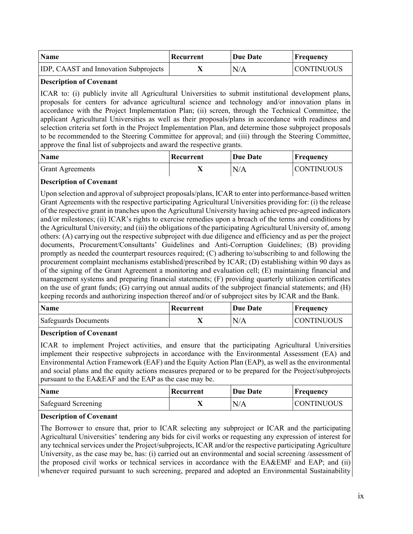| <b>Name</b>                                  | Recurrent | <b>Due Date</b> | Frequency          |
|----------------------------------------------|-----------|-----------------|--------------------|
| <b>IDP, CAAST and Innovation Subprojects</b> |           | N/A             | <b>ICONTINUOUS</b> |

### **Description of Covenant**

ICAR to: (i) publicly invite all Agricultural Universities to submit institutional development plans, proposals for centers for advance agricultural science and technology and/or innovation plans in accordance with the Project Implementation Plan; (ii) screen, through the Technical Committee, the applicant Agricultural Universities as well as their proposals/plans in accordance with readiness and selection criteria set forth in the Project Implementation Plan, and determine those subproject proposals to be recommended to the Steering Committee for approval; and (iii) through the Steering Committee, approve the final list of subprojects and award the respective grants.

| <b>Name</b>             | Recurrent | Due Date | Frequency         |
|-------------------------|-----------|----------|-------------------|
| <b>Grant Agreements</b> |           | N/A      | <b>CONTINUOUS</b> |

### **Description of Covenant**

Upon selection and approval of subproject proposals/plans, ICAR to enter into performance-based written Grant Agreements with the respective participating Agricultural Universities providing for: (i) the release of the respective grant in tranches upon the Agricultural University having achieved pre-agreed indicators and/or milestones; (ii) ICAR's rights to exercise remedies upon a breach of the terms and conditions by the Agricultural University; and (iii) the obligations of the participating Agricultural University of, among others: (A) carrying out the respective subproject with due diligence and efficiency and as per the project documents, Procurement/Consultants' Guidelines and Anti-Corruption Guidelines; (B) providing promptly as needed the counterpart resources required; (C) adhering to/subscribing to and following the procurement complaint mechanisms established/prescribed by ICAR; (D) establishing within 90 days as of the signing of the Grant Agreement a monitoring and evaluation cell; (E) maintaining financial and management systems and preparing financial statements; (F) providing quarterly utilization certificates on the use of grant funds; (G) carrying out annual audits of the subproject financial statements; and (H) keeping records and authorizing inspection thereof and/or of subproject sites by ICAR and the Bank.

| <b>Name</b>                 | Recurrent | Due Date | Frequency         |
|-----------------------------|-----------|----------|-------------------|
| <b>Safeguards Documents</b> |           | N/A      | <b>CONTINUOUS</b> |

### **Description of Covenant**

ICAR to implement Project activities, and ensure that the participating Agricultural Universities implement their respective subprojects in accordance with the Environmental Assessment (EA) and Environmental Action Framework (EAF) and the Equity Action Plan (EAP), as well as the environmental and social plans and the equity actions measures prepared or to be prepared for the Project/subprojects pursuant to the EA&EAF and the EAP as the case may be.

| <b>Name</b>         | Recurrent | Due Date | Frequency         |
|---------------------|-----------|----------|-------------------|
| Safeguard Screening |           | N/A      | <b>CONTINUOUS</b> |

#### **Description of Covenant**

The Borrower to ensure that, prior to ICAR selecting any subproject or ICAR and the participating Agricultural Universities' tendering any bids for civil works or requesting any expression of interest for any technical services under the Project/subprojects, ICAR and/or the respective participating Agriculture University, as the case may be, has: (i) carried out an environmental and social screening /assessment of the proposed civil works or technical services in accordance with the EA&EMF and EAP; and (ii) whenever required pursuant to such screening, prepared and adopted an Environmental Sustainability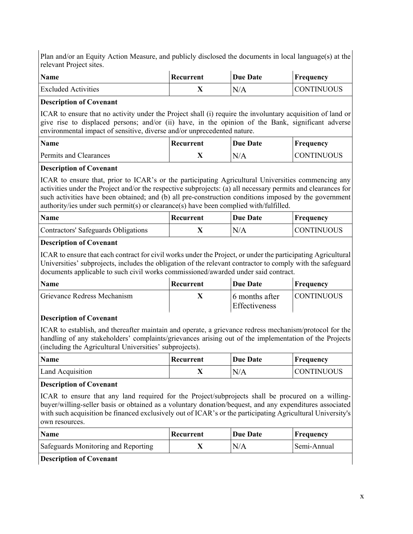Plan and/or an Equity Action Measure, and publicly disclosed the documents in local language(s) at the relevant Project sites.

| <b>Name</b>                | Recurrent | <b>Due Date</b> | Frequency         |
|----------------------------|-----------|-----------------|-------------------|
| <b>Excluded Activities</b> |           | N/A             | <b>CONTINUOUS</b> |

#### **Description of Covenant**

ICAR to ensure that no activity under the Project shall (i) require the involuntary acquisition of land or give rise to displaced persons; and/or (ii) have, in the opinion of the Bank, significant adverse environmental impact of sensitive, diverse and/or unprecedented nature.

| <b>Name</b>            | Recurrent | Due Date | $\mathbf{F}$ Frequency |
|------------------------|-----------|----------|------------------------|
| Permits and Clearances |           | N/A      | ICONTINUOUS            |

#### **Description of Covenant**

ICAR to ensure that, prior to ICAR's or the participating Agricultural Universities commencing any activities under the Project and/or the respective subprojects: (a) all necessary permits and clearances for such activities have been obtained; and (b) all pre-construction conditions imposed by the government authority/ies under such permit(s) or clearance(s) have been complied with/fulfilled.

| <b>Name</b>                         | Recurrent | Due Date | Frequency          |
|-------------------------------------|-----------|----------|--------------------|
| Contractors' Safeguards Obligations |           | N/A      | <b>ICONTINUOUS</b> |

### **Description of Covenant**

ICAR to ensure that each contract for civil works under the Project, or under the participating Agricultural Universities' subprojects, includes the obligation of the relevant contractor to comply with the safeguard documents applicable to such civil works commissioned/awarded under said contract.

| <b>Name</b>                 | Recurrent | Due Date                               | Frequency          |
|-----------------------------|-----------|----------------------------------------|--------------------|
| Grievance Redress Mechanism |           | 6 months after<br><b>Effectiveness</b> | <b>ICONTINUOUS</b> |

### **Description of Covenant**

ICAR to establish, and thereafter maintain and operate, a grievance redress mechanism/protocol for the handling of any stakeholders' complaints/grievances arising out of the implementation of the Projects (including the Agricultural Universities' subprojects).

| <b>Name</b>      | Recurrent | <b>Due Date</b> | Frequency          |
|------------------|-----------|-----------------|--------------------|
| Land Acquisition |           | N/A             | <b>ICONTINUOUS</b> |

#### **Description of Covenant**

ICAR to ensure that any land required for the Project/subprojects shall be procured on a willingbuyer/willing-seller basis or obtained as a voluntary donation/bequest, and any expenditures associated with such acquisition be financed exclusively out of ICAR's or the participating Agricultural University's own resources.

| <b>Name</b>                         | Recurrent | Due Date | <b>Frequency</b> |
|-------------------------------------|-----------|----------|------------------|
| Safeguards Monitoring and Reporting |           | N/A      | Semi-Annual      |

### **Description of Covenant**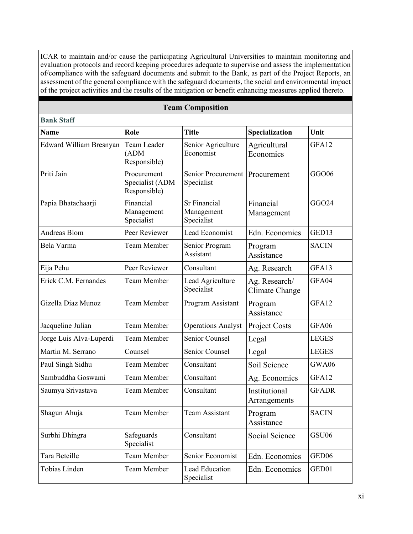ICAR to maintain and/or cause the participating Agricultural Universities to maintain monitoring and evaluation protocols and record keeping procedures adequate to supervise and assess the implementation of/compliance with the safeguard documents and submit to the Bank, as part of the Project Reports, an assessment of the general compliance with the safeguard documents, the social and environmental impact of the project activities and the results of the mitigation or benefit enhancing measures applied thereto. .

### **Team Composition**

**Bank Staff**

| <b>Bank Staff</b>       |                                                |                                          |                                 |                   |
|-------------------------|------------------------------------------------|------------------------------------------|---------------------------------|-------------------|
| <b>Name</b>             | Role                                           | <b>Title</b>                             | Specialization                  | Unit              |
| Edward William Bresnyan | Team Leader<br>(ADM)<br>Responsible)           | Senior Agriculture<br>Economist          | Agricultural<br>Economics       | GFA12             |
| Priti Jain              | Procurement<br>Specialist (ADM<br>Responsible) | <b>Senior Procurement</b><br>Specialist  | Procurement                     | GGO06             |
| Papia Bhatachaarji      | Financial<br>Management<br>Specialist          | Sr Financial<br>Management<br>Specialist | Financial<br>Management         | GGO24             |
| Andreas Blom            | Peer Reviewer                                  | Lead Economist                           | Edn. Economics                  | GED13             |
| Bela Varma              | <b>Team Member</b>                             | Senior Program<br>Assistant              | Program<br>Assistance           | <b>SACIN</b>      |
| Eija Pehu               | Peer Reviewer                                  | Consultant                               | Ag. Research                    | GFA13             |
| Erick C.M. Fernandes    | <b>Team Member</b>                             | Lead Agriculture<br>Specialist           | Ag. Research/<br>Climate Change | GFA04             |
| Gizella Diaz Munoz      | <b>Team Member</b>                             | Program Assistant                        | Program<br>Assistance           | GFA12             |
| Jacqueline Julian       | Team Member                                    | <b>Operations Analyst</b>                | Project Costs                   | GFA06             |
| Jorge Luis Alva-Luperdi | <b>Team Member</b>                             | Senior Counsel                           | Legal                           | <b>LEGES</b>      |
| Martin M. Serrano       | Counsel                                        | Senior Counsel                           | Legal                           | <b>LEGES</b>      |
| Paul Singh Sidhu        | <b>Team Member</b>                             | Consultant                               | Soil Science                    | GWA06             |
| Sambuddha Goswami       | Team Member                                    | Consultant                               | Ag. Economics                   | GFA12             |
| Saumya Srivastava       | <b>Team Member</b>                             | Consultant                               | Institutional<br>Arrangements   | <b>GFADR</b>      |
| Shagun Ahuja            | <b>Team Member</b>                             | <b>Team Assistant</b>                    | Program<br>Assistance           | <b>SACIN</b>      |
| Surbhi Dhingra          | Safeguards<br>Specialist                       | Consultant                               | Social Science                  | GSU06             |
| Tara Beteille           | <b>Team Member</b>                             | Senior Economist                         | Edn. Economics                  | GED <sub>06</sub> |
| Tobias Linden           | Team Member                                    | Lead Education<br>Specialist             | Edn. Economics                  | GED01             |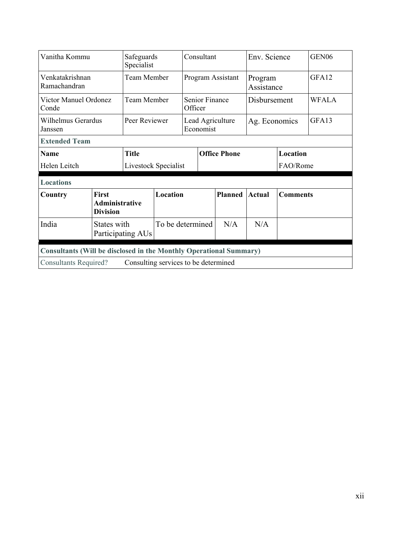| Vanitha Kommu                                                             |                                                          | Specialist        | Safeguards                           |                                  | Consultant    |                | Env. Science          |                 | GEN <sub>06</sub> |
|---------------------------------------------------------------------------|----------------------------------------------------------|-------------------|--------------------------------------|----------------------------------|---------------|----------------|-----------------------|-----------------|-------------------|
| Venkatakrishnan<br>Ramachandran                                           | Team Member                                              |                   |                                      | Program Assistant                |               |                | Program<br>Assistance |                 | GFA12             |
| Victor Manuel Ordonez<br>Conde                                            |                                                          | Team Member       |                                      | <b>Senior Finance</b><br>Officer |               | Disbursement   |                       | <b>WFALA</b>    |                   |
| Wilhelmus Gerardus<br>Peer Reviewer<br>Janssen                            |                                                          |                   | Lead Agriculture<br>Economist        |                                  | Ag. Economics |                | GFA13                 |                 |                   |
| <b>Extended Team</b>                                                      |                                                          |                   |                                      |                                  |               |                |                       |                 |                   |
| <b>Name</b>                                                               |                                                          | <b>Title</b>      |                                      | <b>Office Phone</b>              |               |                |                       | Location        |                   |
| Helen Leitch                                                              |                                                          |                   | Livestock Specialist                 |                                  |               |                |                       | FAO/Rome        |                   |
| <b>Locations</b>                                                          |                                                          |                   |                                      |                                  |               |                |                       |                 |                   |
| Country                                                                   | <b>First</b><br><b>Administrative</b><br><b>Division</b> |                   | Location                             |                                  |               | <b>Planned</b> | <b>Actual</b>         | <b>Comments</b> |                   |
| India                                                                     | States with                                              | Participating AUs | To be determined                     |                                  |               | N/A            | N/A                   |                 |                   |
| <b>Consultants (Will be disclosed in the Monthly Operational Summary)</b> |                                                          |                   |                                      |                                  |               |                |                       |                 |                   |
| <b>Consultants Required?</b>                                              |                                                          |                   | Consulting services to be determined |                                  |               |                |                       |                 |                   |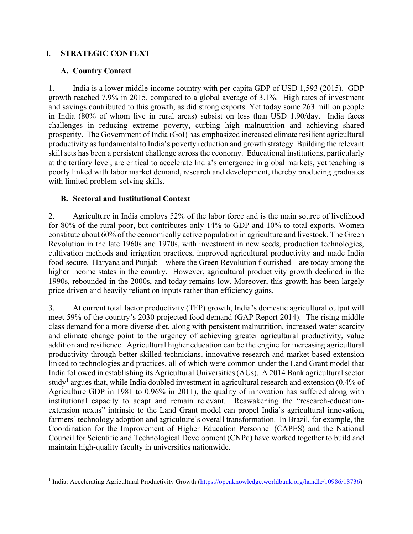### I. **STRATEGIC CONTEXT**

### **A. Country Context**

 $\overline{a}$ 

1. India is a lower middle-income country with per-capita GDP of USD 1,593 (2015). GDP growth reached 7.9% in 2015, compared to a global average of 3.1%. High rates of investment and savings contributed to this growth, as did strong exports. Yet today some 263 million people in India (80% of whom live in rural areas) subsist on less than USD 1.90/day. India faces challenges in reducing extreme poverty, curbing high malnutrition and achieving shared prosperity. The Government of India (GoI) has emphasized increased climate resilient agricultural productivity as fundamental to India's poverty reduction and growth strategy. Building the relevant skill sets has been a persistent challenge across the economy. Educational institutions, particularly at the tertiary level, are critical to accelerate India's emergence in global markets, yet teaching is poorly linked with labor market demand, research and development, thereby producing graduates with limited problem-solving skills.

### **B. Sectoral and Institutional Context**

2. Agriculture in India employs 52% of the labor force and is the main source of livelihood for 80% of the rural poor, but contributes only 14% to GDP and 10% to total exports. Women constitute about 60% of the economically active population in agriculture and livestock. The Green Revolution in the late 1960s and 1970s, with investment in new seeds, production technologies, cultivation methods and irrigation practices, improved agricultural productivity and made India food-secure. Haryana and Punjab – where the Green Revolution flourished – are today among the higher income states in the country. However, agricultural productivity growth declined in the 1990s, rebounded in the 2000s, and today remains low. Moreover, this growth has been largely price driven and heavily reliant on inputs rather than efficiency gains.

3. At current total factor productivity (TFP) growth, India's domestic agricultural output will meet 59% of the country's 2030 projected food demand (GAP Report 2014). The rising middle class demand for a more diverse diet, along with persistent malnutrition, increased water scarcity and climate change point to the urgency of achieving greater agricultural productivity, value addition and resilience. Agricultural higher education can be the engine for increasing agricultural productivity through better skilled technicians, innovative research and market-based extension linked to technologies and practices, all of which were common under the Land Grant model that India followed in establishing its Agricultural Universities (AUs). A 2014 Bank agricultural sector study<sup>1</sup> argues that, while India doubled investment in agricultural research and extension (0.4% of Agriculture GDP in 1981 to 0.96% in 2011), the quality of innovation has suffered along with institutional capacity to adapt and remain relevant. Reawakening the "research-educationextension nexus" intrinsic to the Land Grant model can propel India's agricultural innovation, farmers' technology adoption and agriculture's overall transformation. In Brazil, for example, the Coordination for the Improvement of Higher Education Personnel (CAPES) and the National Council for Scientific and Technological Development (CNPq) have worked together to build and maintain high-quality faculty in universities nationwide.

<sup>&</sup>lt;sup>1</sup> India: Accelerating Agricultural Productivity Growth (https://openknowledge.worldbank.org/handle/10986/18736)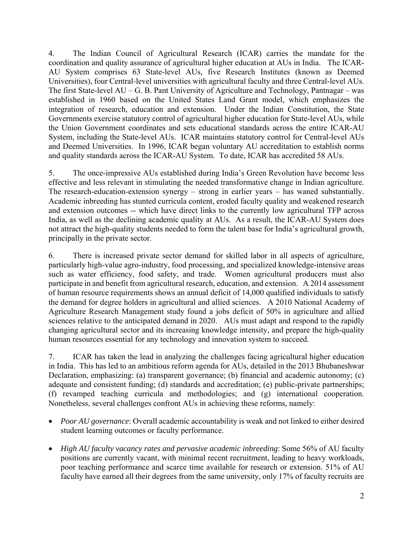4. The Indian Council of Agricultural Research (ICAR) carries the mandate for the coordination and quality assurance of agricultural higher education at AUs in India. The ICAR-AU System comprises 63 State-level AUs, five Research Institutes (known as Deemed Universities), four Central-level universities with agricultural faculty and three Central-level AUs. The first State-level AU – G. B. Pant University of Agriculture and Technology, Pantnagar – was established in 1960 based on the United States Land Grant model, which emphasizes the integration of research, education and extension. Under the Indian Constitution, the State Governments exercise statutory control of agricultural higher education for State-level AUs, while the Union Government coordinates and sets educational standards across the entire ICAR-AU System, including the State-level AUs. ICAR maintains statutory control for Central-level AUs and Deemed Universities. In 1996, ICAR began voluntary AU accreditation to establish norms and quality standards across the ICAR-AU System. To date, ICAR has accredited 58 AUs.

5. The once-impressive AUs established during India's Green Revolution have become less effective and less relevant in stimulating the needed transformative change in Indian agriculture. The research-education-extension synergy – strong in earlier years – has waned substantially. Academic inbreeding has stunted curricula content, eroded faculty quality and weakened research and extension outcomes -- which have direct links to the currently low agricultural TFP across India, as well as the declining academic quality at AUs. As a result, the ICAR-AU System does not attract the high-quality students needed to form the talent base for India's agricultural growth, principally in the private sector.

6. There is increased private sector demand for skilled labor in all aspects of agriculture, particularly high-value agro-industry, food processing, and specialized knowledge-intensive areas such as water efficiency, food safety, and trade. Women agricultural producers must also participate in and benefit from agricultural research, education, and extension. A 2014 assessment of human resource requirements shows an annual deficit of 14,000 qualified individuals to satisfy the demand for degree holders in agricultural and allied sciences. A 2010 National Academy of Agriculture Research Management study found a jobs deficit of 50% in agriculture and allied sciences relative to the anticipated demand in 2020. AUs must adapt and respond to the rapidly changing agricultural sector and its increasing knowledge intensity, and prepare the high-quality human resources essential for any technology and innovation system to succeed.

7. ICAR has taken the lead in analyzing the challenges facing agricultural higher education in India. This has led to an ambitious reform agenda for AUs, detailed in the 2013 Bhubaneshwar Declaration, emphasizing: (a) transparent governance; (b) financial and academic autonomy; (c) adequate and consistent funding; (d) standards and accreditation; (e) public-private partnerships; (f) revamped teaching curricula and methodologies; and (g) international cooperation. Nonetheless, several challenges confront AUs in achieving these reforms, namely:

- *Poor AU governance*: Overall academic accountability is weak and not linked to either desired student learning outcomes or faculty performance.
- *High AU faculty vacancy rates and pervasive academic inbreeding*: Some 56% of AU faculty positions are currently vacant, with minimal recent recruitment, leading to heavy workloads, poor teaching performance and scarce time available for research or extension. 51% of AU faculty have earned all their degrees from the same university, only 17% of faculty recruits are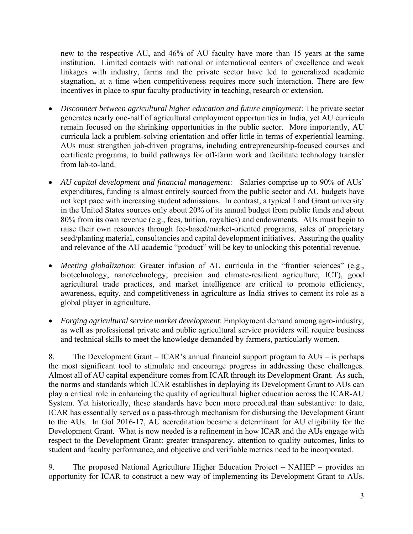new to the respective AU, and 46% of AU faculty have more than 15 years at the same institution. Limited contacts with national or international centers of excellence and weak linkages with industry, farms and the private sector have led to generalized academic stagnation, at a time when competitiveness requires more such interaction. There are few incentives in place to spur faculty productivity in teaching, research or extension.

- *Disconnect between agricultural higher education and future employment*: The private sector generates nearly one-half of agricultural employment opportunities in India, yet AU curricula remain focused on the shrinking opportunities in the public sector. More importantly, AU curricula lack a problem-solving orientation and offer little in terms of experiential learning. AUs must strengthen job-driven programs, including entrepreneurship-focused courses and certificate programs, to build pathways for off-farm work and facilitate technology transfer from lab-to-land.
- *AU capital development and financial management*: Salaries comprise up to 90% of AUs' expenditures, funding is almost entirely sourced from the public sector and AU budgets have not kept pace with increasing student admissions. In contrast, a typical Land Grant university in the United States sources only about 20% of its annual budget from public funds and about 80% from its own revenue (e.g., fees, tuition, royalties) and endowments. AUs must begin to raise their own resources through fee-based/market-oriented programs, sales of proprietary seed/planting material, consultancies and capital development initiatives. Assuring the quality and relevance of the AU academic "product" will be key to unlocking this potential revenue.
- *Meeting globalization*: Greater infusion of AU curricula in the "frontier sciences" (e.g., biotechnology, nanotechnology, precision and climate-resilient agriculture, ICT), good agricultural trade practices, and market intelligence are critical to promote efficiency, awareness, equity, and competitiveness in agriculture as India strives to cement its role as a global player in agriculture.
- *Forging agricultural service market development*: Employment demand among agro-industry, as well as professional private and public agricultural service providers will require business and technical skills to meet the knowledge demanded by farmers, particularly women.

8. The Development Grant – ICAR's annual financial support program to AUs – is perhaps the most significant tool to stimulate and encourage progress in addressing these challenges. Almost all of AU capital expenditure comes from ICAR through its Development Grant. As such, the norms and standards which ICAR establishes in deploying its Development Grant to AUs can play a critical role in enhancing the quality of agricultural higher education across the ICAR-AU System. Yet historically, these standards have been more procedural than substantive: to date, ICAR has essentially served as a pass-through mechanism for disbursing the Development Grant to the AUs. In GoI 2016-17, AU accreditation became a determinant for AU eligibility for the Development Grant. What is now needed is a refinement in how ICAR and the AUs engage with respect to the Development Grant: greater transparency, attention to quality outcomes, links to student and faculty performance, and objective and verifiable metrics need to be incorporated.

9. The proposed National Agriculture Higher Education Project – NAHEP – provides an opportunity for ICAR to construct a new way of implementing its Development Grant to AUs.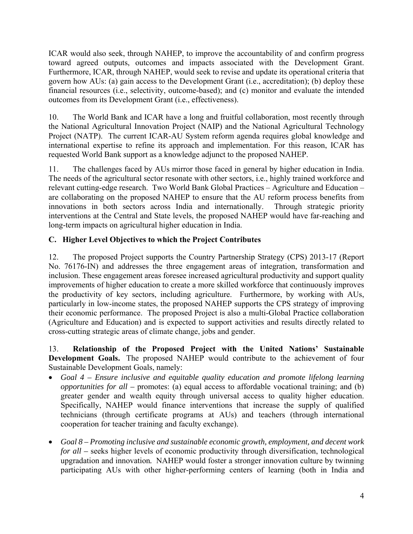ICAR would also seek, through NAHEP, to improve the accountability of and confirm progress toward agreed outputs, outcomes and impacts associated with the Development Grant. Furthermore, ICAR, through NAHEP, would seek to revise and update its operational criteria that govern how AUs: (a) gain access to the Development Grant (i.e., accreditation); (b) deploy these financial resources (i.e., selectivity, outcome-based); and (c) monitor and evaluate the intended outcomes from its Development Grant (i.e., effectiveness).

10. The World Bank and ICAR have a long and fruitful collaboration, most recently through the National Agricultural Innovation Project (NAIP) and the National Agricultural Technology Project (NATP). The current ICAR-AU System reform agenda requires global knowledge and international expertise to refine its approach and implementation. For this reason, ICAR has requested World Bank support as a knowledge adjunct to the proposed NAHEP.

11. The challenges faced by AUs mirror those faced in general by higher education in India. The needs of the agricultural sector resonate with other sectors, i.e., highly trained workforce and relevant cutting-edge research. Two World Bank Global Practices – Agriculture and Education – are collaborating on the proposed NAHEP to ensure that the AU reform process benefits from innovations in both sectors across India and internationally. Through strategic priority interventions at the Central and State levels, the proposed NAHEP would have far-reaching and long-term impacts on agricultural higher education in India.

## **C. Higher Level Objectives to which the Project Contributes**

12. The proposed Project supports the Country Partnership Strategy (CPS) 2013-17 (Report No. 76176-IN) and addresses the three engagement areas of integration, transformation and inclusion. These engagement areas foresee increased agricultural productivity and support quality improvements of higher education to create a more skilled workforce that continuously improves the productivity of key sectors, including agriculture. Furthermore, by working with AUs, particularly in low-income states, the proposed NAHEP supports the CPS strategy of improving their economic performance. The proposed Project is also a multi-Global Practice collaboration (Agriculture and Education) and is expected to support activities and results directly related to cross-cutting strategic areas of climate change, jobs and gender.

13. **Relationship of the Proposed Project with the United Nations' Sustainable Development Goals.** The proposed NAHEP would contribute to the achievement of four Sustainable Development Goals, namely:

- *Goal 4 Ensure inclusive and equitable quality education and promote lifelong learning opportunities for all –* promotes: (a) equal access to affordable vocational training; and (b) greater gender and wealth equity through universal access to quality higher education. Specifically, NAHEP would finance interventions that increase the supply of qualified technicians (through certificate programs at AUs) and teachers (through international cooperation for teacher training and faculty exchange).
- *Goal 8 Promoting inclusive and sustainable economic growth, employment, and decent work for all –* seeks higher levels of economic productivity through diversification, technological upgradation and innovation*.* NAHEP would foster a stronger innovation culture by twinning participating AUs with other higher-performing centers of learning (both in India and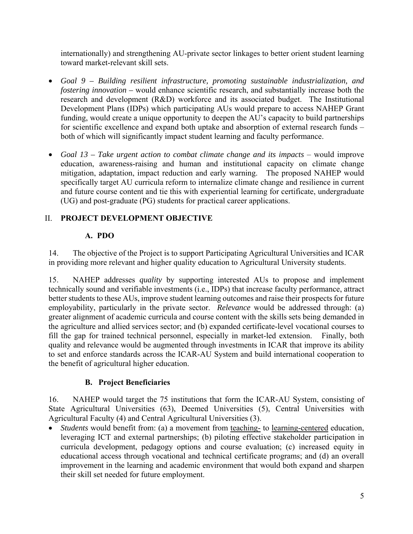internationally) and strengthening AU-private sector linkages to better orient student learning toward market-relevant skill sets.

- *Goal 9 Building resilient infrastructure, promoting sustainable industrialization, and fostering innovation –* would enhance scientific research, and substantially increase both the research and development (R&D) workforce and its associated budget. The Institutional Development Plans (IDPs) which participating AUs would prepare to access NAHEP Grant funding, would create a unique opportunity to deepen the AU's capacity to build partnerships for scientific excellence and expand both uptake and absorption of external research funds – both of which will significantly impact student learning and faculty performance.
- Goal 13 Take urgent action to combat climate change and its impacts would improve education, awareness-raising and human and institutional capacity on climate change mitigation, adaptation, impact reduction and early warning. The proposed NAHEP would specifically target AU curricula reform to internalize climate change and resilience in current and future course content and tie this with experiential learning for certificate, undergraduate (UG) and post-graduate (PG) students for practical career applications.

## II. **PROJECT DEVELOPMENT OBJECTIVE**

## **A. PDO**

14. The objective of the Project is to support Participating Agricultural Universities and ICAR in providing more relevant and higher quality education to Agricultural University students.

15. NAHEP addresses *quality* by supporting interested AUs to propose and implement technically sound and verifiable investments (i.e., IDPs) that increase faculty performance, attract better students to these AUs, improve student learning outcomes and raise their prospects for future employability, particularly in the private sector. *Relevance* would be addressed through: (a) greater alignment of academic curricula and course content with the skills sets being demanded in the agriculture and allied services sector; and (b) expanded certificate-level vocational courses to fill the gap for trained technical personnel, especially in market-led extension. Finally, both quality and relevance would be augmented through investments in ICAR that improve its ability to set and enforce standards across the ICAR-AU System and build international cooperation to the benefit of agricultural higher education.

## **B. Project Beneficiaries**

16. NAHEP would target the 75 institutions that form the ICAR-AU System, consisting of State Agricultural Universities (63), Deemed Universities (5), Central Universities with Agricultural Faculty (4) and Central Agricultural Universities (3).

 *Students* would benefit from: (a) a movement from teaching- to learning-centered education, leveraging ICT and external partnerships; (b) piloting effective stakeholder participation in curricula development, pedagogy options and course evaluation; (c) increased equity in educational access through vocational and technical certificate programs; and (d) an overall improvement in the learning and academic environment that would both expand and sharpen their skill set needed for future employment.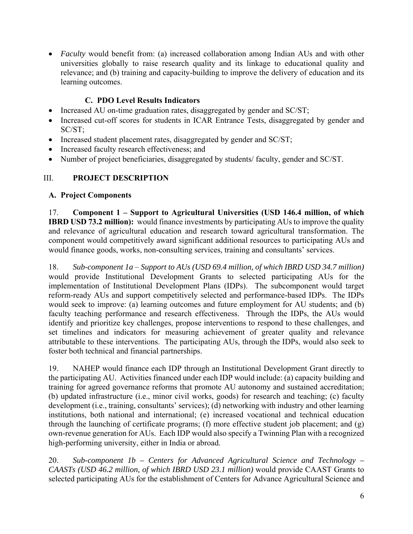*Faculty* would benefit from: (a) increased collaboration among Indian AUs and with other universities globally to raise research quality and its linkage to educational quality and relevance; and (b) training and capacity-building to improve the delivery of education and its learning outcomes.

## **C. PDO Level Results Indicators**

- Increased AU on-time graduation rates, disaggregated by gender and SC/ST;
- Increased cut-off scores for students in ICAR Entrance Tests, disaggregated by gender and SC/ST;
- Increased student placement rates, disaggregated by gender and SC/ST;
- Increased faculty research effectiveness; and
- Number of project beneficiaries, disaggregated by students/ faculty, gender and SC/ST.

## III. **PROJECT DESCRIPTION**

## **A. Project Components**

17. **Component 1 – Support to Agricultural Universities (USD 146.4 million, of which IBRD USD 73.2 million):** would finance investments by participating AUs to improve the quality and relevance of agricultural education and research toward agricultural transformation. The component would competitively award significant additional resources to participating AUs and would finance goods, works, non-consulting services, training and consultants' services.

18. *Sub-component 1a* – *Support to AUs (USD 69.4 million, of which IBRD USD 34.7 million)*  would provide Institutional Development Grants to selected participating AUs for the implementation of Institutional Development Plans (IDPs). The subcomponent would target reform-ready AUs and support competitively selected and performance-based IDPs. The IDPs would seek to improve: (a) learning outcomes and future employment for AU students; and (b) faculty teaching performance and research effectiveness. Through the IDPs, the AUs would identify and prioritize key challenges, propose interventions to respond to these challenges, and set timelines and indicators for measuring achievement of greater quality and relevance attributable to these interventions. The participating AUs, through the IDPs, would also seek to foster both technical and financial partnerships.

19. NAHEP would finance each IDP through an Institutional Development Grant directly to the participating AU. Activities financed under each IDP would include: (a) capacity building and training for agreed governance reforms that promote AU autonomy and sustained accreditation; (b) updated infrastructure (i.e., minor civil works, goods) for research and teaching; (c) faculty development (i.e., training, consultants' services); (d) networking with industry and other learning institutions, both national and international; (e) increased vocational and technical education through the launching of certificate programs; (f) more effective student job placement; and (g) own-revenue generation for AUs. Each IDP would also specify a Twinning Plan with a recognized high-performing university, either in India or abroad.

20. *Sub-component 1b – Centers for Advanced Agricultural Science and Technology – CAASTs (USD 46.2 million, of which IBRD USD 23.1 million)* would provide CAAST Grants to selected participating AUs for the establishment of Centers for Advance Agricultural Science and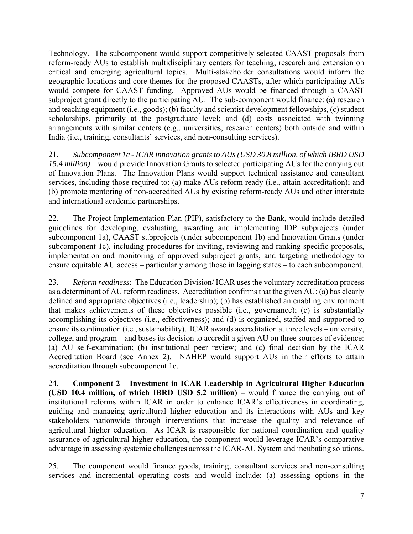Technology. The subcomponent would support competitively selected CAAST proposals from reform-ready AUs to establish multidisciplinary centers for teaching, research and extension on critical and emerging agricultural topics. Multi-stakeholder consultations would inform the geographic locations and core themes for the proposed CAASTs, after which participating AUs would compete for CAAST funding. Approved AUs would be financed through a CAAST subproject grant directly to the participating AU. The sub-component would finance: (a) research and teaching equipment (i.e., goods); (b) faculty and scientist development fellowships, (c) student scholarships, primarily at the postgraduate level; and (d) costs associated with twinning arrangements with similar centers (e.g., universities, research centers) both outside and within India (i.e., training, consultants' services, and non-consulting services).

21. *Subcomponent 1c - ICAR innovation grants to AUs (USD 30.8 million, of which IBRD USD 15.4 million)* – would provide Innovation Grants to selected participating AUs for the carrying out of Innovation Plans. The Innovation Plans would support technical assistance and consultant services, including those required to: (a) make AUs reform ready (i.e., attain accreditation); and (b) promote mentoring of non-accredited AUs by existing reform-ready AUs and other interstate and international academic partnerships.

22. The Project Implementation Plan (PIP), satisfactory to the Bank, would include detailed guidelines for developing, evaluating, awarding and implementing IDP subprojects (under subcomponent 1a), CAAST subprojects (under subcomponent 1b) and Innovation Grants (under subcomponent 1c), including procedures for inviting, reviewing and ranking specific proposals, implementation and monitoring of approved subproject grants, and targeting methodology to ensure equitable AU access – particularly among those in lagging states – to each subcomponent.

23. *Reform readiness:* The Education Division/ ICAR uses the voluntary accreditation process as a determinant of AU reform readiness. Accreditation confirms that the given AU: (a) has clearly defined and appropriate objectives (i.e., leadership); (b) has established an enabling environment that makes achievements of these objectives possible (i.e., governance); (c) is substantially accomplishing its objectives (i.e., effectiveness); and (d) is organized, staffed and supported to ensure its continuation (i.e., sustainability). ICAR awards accreditation at three levels – university, college, and program – and bases its decision to accredit a given AU on three sources of evidence: (a) AU self-examination; (b) institutional peer review; and (c) final decision by the ICAR Accreditation Board (see Annex 2). NAHEP would support AUs in their efforts to attain accreditation through subcomponent 1c.

24. **Component 2 – Investment in ICAR Leadership in Agricultural Higher Education (USD 10.4 million, of which IBRD USD 5.2 million) –** would finance the carrying out of institutional reforms within ICAR in order to enhance ICAR's effectiveness in coordinating, guiding and managing agricultural higher education and its interactions with AUs and key stakeholders nationwide through interventions that increase the quality and relevance of agricultural higher education. As ICAR is responsible for national coordination and quality assurance of agricultural higher education, the component would leverage ICAR's comparative advantage in assessing systemic challenges across the ICAR-AU System and incubating solutions.

25. The component would finance goods, training, consultant services and non-consulting services and incremental operating costs and would include: (a) assessing options in the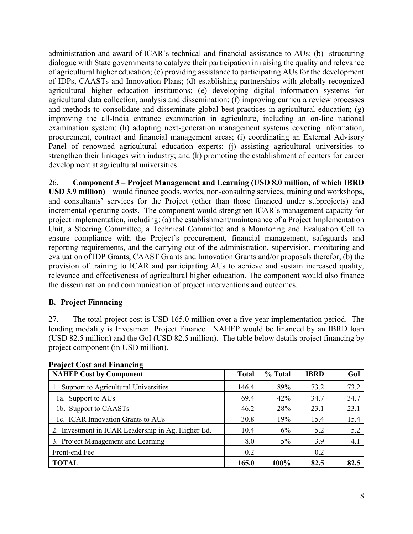administration and award of ICAR's technical and financial assistance to AUs; (b) structuring dialogue with State governments to catalyze their participation in raising the quality and relevance of agricultural higher education; (c) providing assistance to participating AUs for the development of IDPs, CAASTs and Innovation Plans; (d) establishing partnerships with globally recognized agricultural higher education institutions; (e) developing digital information systems for agricultural data collection, analysis and dissemination; (f) improving curricula review processes and methods to consolidate and disseminate global best-practices in agricultural education; (g) improving the all-India entrance examination in agriculture, including an on-line national examination system; (h) adopting next-generation management systems covering information, procurement, contract and financial management areas; (i) coordinating an External Advisory Panel of renowned agricultural education experts; (j) assisting agricultural universities to strengthen their linkages with industry; and (k) promoting the establishment of centers for career development at agricultural universities.

26. **Component 3 – Project Management and Learning (USD 8.0 million, of which IBRD USD 3.9 million)** – would finance goods, works, non-consulting services, training and workshops, and consultants' services for the Project (other than those financed under subprojects) and incremental operating costs. The component would strengthen ICAR's management capacity for project implementation, including: (a) the establishment/maintenance of a Project Implementation Unit, a Steering Committee, a Technical Committee and a Monitoring and Evaluation Cell to ensure compliance with the Project's procurement, financial management, safeguards and reporting requirements, and the carrying out of the administration, supervision, monitoring and evaluation of IDP Grants, CAAST Grants and Innovation Grants and/or proposals therefor; (b) the provision of training to ICAR and participating AUs to achieve and sustain increased quality, relevance and effectiveness of agricultural higher education. The component would also finance the dissemination and communication of project interventions and outcomes.

## **B. Project Financing**

27. The total project cost is USD 165.0 million over a five-year implementation period. The lending modality is Investment Project Finance. NAHEP would be financed by an IBRD loan (USD 82.5 million) and the GoI (USD 82.5 million). The table below details project financing by project component (in USD million).

| <b>NAHEP Cost by Component</b>                     | <b>Total</b> | % Total | <b>IBRD</b> | GoI  |
|----------------------------------------------------|--------------|---------|-------------|------|
| 1. Support to Agricultural Universities            | 146.4        | 89%     | 73.2        | 73.2 |
| 1a. Support to AUs                                 | 69.4         | 42%     | 34.7        | 34.7 |
| 1b. Support to CAASTs                              | 46.2         | 28%     | 23.1        | 23.1 |
| 1c. ICAR Innovation Grants to AUs                  | 30.8         | 19%     | 15.4        | 15.4 |
| 2. Investment in ICAR Leadership in Ag. Higher Ed. | 10.4         | 6%      | 5.2         | 5.2  |
| 3. Project Management and Learning                 | 8.0          | $5\%$   | 3.9         | 4.1  |
| Front-end Fee                                      | 0.2          |         | 0.2         |      |
| <b>TOTAL</b>                                       | 165.0        | 100%    | 82.5        | 82.5 |

## **Project Cost and Financing**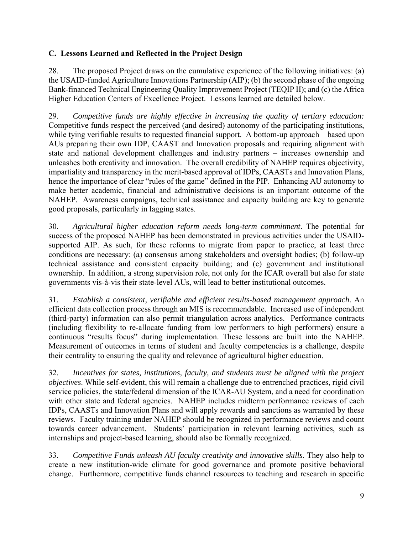## **C. Lessons Learned and Reflected in the Project Design**

28. The proposed Project draws on the cumulative experience of the following initiatives: (a) the USAID-funded Agriculture Innovations Partnership (AIP); (b) the second phase of the ongoing Bank-financed Technical Engineering Quality Improvement Project (TEQIP II); and (c) the Africa Higher Education Centers of Excellence Project. Lessons learned are detailed below.

29. *Competitive funds are highly effective in increasing the quality of tertiary education:* Competitive funds respect the perceived (and desired) autonomy of the participating institutions, while tying verifiable results to requested financial support. A bottom-up approach – based upon AUs preparing their own IDP, CAAST and Innovation proposals and requiring alignment with state and national development challenges and industry partners – increases ownership and unleashes both creativity and innovation. The overall credibility of NAHEP requires objectivity, impartiality and transparency in the merit-based approval of IDPs, CAASTs and Innovation Plans, hence the importance of clear "rules of the game" defined in the PIP. Enhancing AU autonomy to make better academic, financial and administrative decisions is an important outcome of the NAHEP. Awareness campaigns, technical assistance and capacity building are key to generate good proposals, particularly in lagging states.

30. *Agricultural higher education reform needs long-term commitment*. The potential for success of the proposed NAHEP has been demonstrated in previous activities under the USAIDsupported AIP. As such, for these reforms to migrate from paper to practice, at least three conditions are necessary: (a) consensus among stakeholders and oversight bodies; (b) follow-up technical assistance and consistent capacity building; and (c) government and institutional ownership. In addition, a strong supervision role, not only for the ICAR overall but also for state governments vis-à-vis their state-level AUs, will lead to better institutional outcomes.

31. *Establish a consistent, verifiable and efficient results-based management approach*. An efficient data collection process through an MIS is recommendable. Increased use of independent (third-party) information can also permit triangulation across analytics. Performance contracts (including flexibility to re-allocate funding from low performers to high performers) ensure a continuous "results focus" during implementation. These lessons are built into the NAHEP. Measurement of outcomes in terms of student and faculty competencies is a challenge, despite their centrality to ensuring the quality and relevance of agricultural higher education.

32. *Incentives for states, institutions, faculty, and students must be aligned with the project objectives*. While self-evident, this will remain a challenge due to entrenched practices, rigid civil service policies, the state/federal dimension of the ICAR-AU System, and a need for coordination with other state and federal agencies. NAHEP includes midterm performance reviews of each IDPs, CAASTs and Innovation Plans and will apply rewards and sanctions as warranted by these reviews. Faculty training under NAHEP should be recognized in performance reviews and count towards career advancement. Students' participation in relevant learning activities, such as internships and project-based learning, should also be formally recognized.

33. *Competitive Funds unleash AU faculty creativity and innovative skills*. They also help to create a new institution-wide climate for good governance and promote positive behavioral change. Furthermore, competitive funds channel resources to teaching and research in specific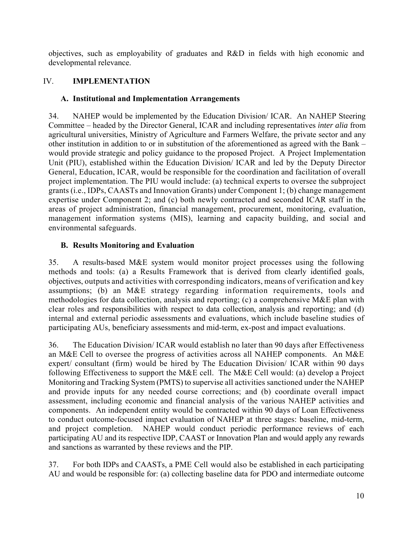objectives, such as employability of graduates and R&D in fields with high economic and developmental relevance.

## IV. **IMPLEMENTATION**

## **A. Institutional and Implementation Arrangements**

34. NAHEP would be implemented by the Education Division/ ICAR. An NAHEP Steering Committee – headed by the Director General, ICAR and including representatives *inter alia* from agricultural universities, Ministry of Agriculture and Farmers Welfare, the private sector and any other institution in addition to or in substitution of the aforementioned as agreed with the Bank – would provide strategic and policy guidance to the proposed Project. A Project Implementation Unit (PIU), established within the Education Division/ ICAR and led by the Deputy Director General, Education, ICAR, would be responsible for the coordination and facilitation of overall project implementation. The PIU would include: (a) technical experts to oversee the subproject grants (i.e., IDPs, CAASTs and Innovation Grants) under Component 1; (b) change management expertise under Component 2; and (c) both newly contracted and seconded ICAR staff in the areas of project administration, financial management, procurement, monitoring, evaluation, management information systems (MIS), learning and capacity building, and social and environmental safeguards.

## **B. Results Monitoring and Evaluation**

35. A results-based M&E system would monitor project processes using the following methods and tools: (a) a Results Framework that is derived from clearly identified goals, objectives, outputs and activities with corresponding indicators, means of verification and key assumptions; (b) an M&E strategy regarding information requirements, tools and methodologies for data collection, analysis and reporting; (c) a comprehensive M&E plan with clear roles and responsibilities with respect to data collection, analysis and reporting; and (d) internal and external periodic assessments and evaluations, which include baseline studies of participating AUs, beneficiary assessments and mid-term, ex-post and impact evaluations.

36. The Education Division/ ICAR would establish no later than 90 days after Effectiveness an M&E Cell to oversee the progress of activities across all NAHEP components. An M&E expert/ consultant (firm) would be hired by The Education Division/ ICAR within 90 days following Effectiveness to support the M&E cell. The M&E Cell would: (a) develop a Project Monitoring and Tracking System (PMTS) to supervise all activities sanctioned under the NAHEP and provide inputs for any needed course corrections; and (b) coordinate overall impact assessment, including economic and financial analysis of the various NAHEP activities and components. An independent entity would be contracted within 90 days of Loan Effectiveness to conduct outcome-focused impact evaluation of NAHEP at three stages: baseline, mid-term, and project completion. NAHEP would conduct periodic performance reviews of each participating AU and its respective IDP, CAAST or Innovation Plan and would apply any rewards and sanctions as warranted by these reviews and the PIP.

37. For both IDPs and CAASTs, a PME Cell would also be established in each participating AU and would be responsible for: (a) collecting baseline data for PDO and intermediate outcome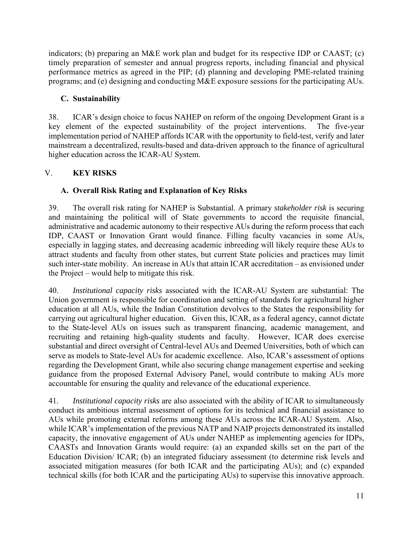indicators; (b) preparing an M&E work plan and budget for its respective IDP or CAAST; (c) timely preparation of semester and annual progress reports, including financial and physical performance metrics as agreed in the PIP; (d) planning and developing PME-related training programs; and (e) designing and conducting M&E exposure sessions for the participating AUs.

## **C. Sustainability**

38. ICAR's design choice to focus NAHEP on reform of the ongoing Development Grant is a key element of the expected sustainability of the project interventions. The five-year implementation period of NAHEP affords ICAR with the opportunity to field-test, verify and later mainstream a decentralized, results-based and data-driven approach to the finance of agricultural higher education across the ICAR-AU System.

## V. **KEY RISKS**

## **A. Overall Risk Rating and Explanation of Key Risks**

39. The overall risk rating for NAHEP is Substantial. A primary *stakeholder risk* is securing and maintaining the political will of State governments to accord the requisite financial, administrative and academic autonomy to their respective AUs during the reform process that each IDP, CAAST or Innovation Grant would finance. Filling faculty vacancies in some AUs, especially in lagging states, and decreasing academic inbreeding will likely require these AUs to attract students and faculty from other states, but current State policies and practices may limit such inter-state mobility. An increase in AUs that attain ICAR accreditation – as envisioned under the Project – would help to mitigate this risk.

40. *Institutional capacity risks* associated with the ICAR-AU System are substantial: The Union government is responsible for coordination and setting of standards for agricultural higher education at all AUs, while the Indian Constitution devolves to the States the responsibility for carrying out agricultural higher education. Given this, ICAR, as a federal agency, cannot dictate to the State-level AUs on issues such as transparent financing, academic management, and recruiting and retaining high-quality students and faculty. However, ICAR does exercise substantial and direct oversight of Central-level AUs and Deemed Universities, both of which can serve as models to State-level AUs for academic excellence. Also, ICAR's assessment of options regarding the Development Grant, while also securing change management expertise and seeking guidance from the proposed External Advisory Panel, would contribute to making AUs more accountable for ensuring the quality and relevance of the educational experience.

41. *Institutional capacity risks* are also associated with the ability of ICAR to simultaneously conduct its ambitious internal assessment of options for its technical and financial assistance to AUs while promoting external reforms among these AUs across the ICAR-AU System. Also, while ICAR's implementation of the previous NATP and NAIP projects demonstrated its installed capacity, the innovative engagement of AUs under NAHEP as implementing agencies for IDPs, CAASTs and Innovation Grants would require: (a) an expanded skills set on the part of the Education Division/ ICAR; (b) an integrated fiduciary assessment (to determine risk levels and associated mitigation measures (for both ICAR and the participating AUs); and (c) expanded technical skills (for both ICAR and the participating AUs) to supervise this innovative approach.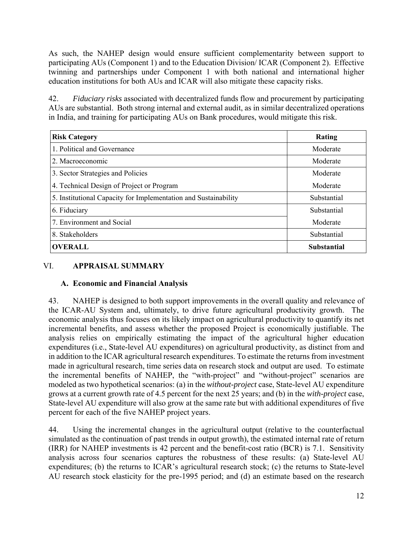As such, the NAHEP design would ensure sufficient complementarity between support to participating AUs (Component 1) and to the Education Division/ ICAR (Component 2). Effective twinning and partnerships under Component 1 with both national and international higher education institutions for both AUs and ICAR will also mitigate these capacity risks.

42. *Fiduciary risks* associated with decentralized funds flow and procurement by participating AUs are substantial. Both strong internal and external audit, as in similar decentralized operations in India, and training for participating AUs on Bank procedures, would mitigate this risk.

| <b>Risk Category</b>                                            | Rating             |
|-----------------------------------------------------------------|--------------------|
| 1. Political and Governance                                     | Moderate           |
| 2. Macroeconomic                                                | Moderate           |
| 3. Sector Strategies and Policies                               | Moderate           |
| 4. Technical Design of Project or Program                       | Moderate           |
| 5. Institutional Capacity for Implementation and Sustainability | Substantial        |
| 6. Fiduciary                                                    | Substantial        |
| 7. Environment and Social                                       | Moderate           |
| 8. Stakeholders                                                 | Substantial        |
| <b>OVERALL</b>                                                  | <b>Substantial</b> |

## VI. **APPRAISAL SUMMARY**

## **A. Economic and Financial Analysis**

43. NAHEP is designed to both support improvements in the overall quality and relevance of the ICAR-AU System and, ultimately, to drive future agricultural productivity growth. The economic analysis thus focuses on its likely impact on agricultural productivity to quantify its net incremental benefits, and assess whether the proposed Project is economically justifiable. The analysis relies on empirically estimating the impact of the agricultural higher education expenditures (i.e., State-level AU expenditures) on agricultural productivity, as distinct from and in addition to the ICAR agricultural research expenditures. To estimate the returns from investment made in agricultural research, time series data on research stock and output are used. To estimate the incremental benefits of NAHEP, the "with-project" and "without-project" scenarios are modeled as two hypothetical scenarios: (a) in the *without-project* case, State-level AU expenditure grows at a current growth rate of 4.5 percent for the next 25 years; and (b) in the *with-project* case, State-level AU expenditure will also grow at the same rate but with additional expenditures of five percent for each of the five NAHEP project years.

44. Using the incremental changes in the agricultural output (relative to the counterfactual simulated as the continuation of past trends in output growth), the estimated internal rate of return (IRR) for NAHEP investments is 42 percent and the benefit-cost ratio (BCR) is 7.1. Sensitivity analysis across four scenarios captures the robustness of these results: (a) State-level AU expenditures; (b) the returns to ICAR's agricultural research stock; (c) the returns to State-level AU research stock elasticity for the pre-1995 period; and (d) an estimate based on the research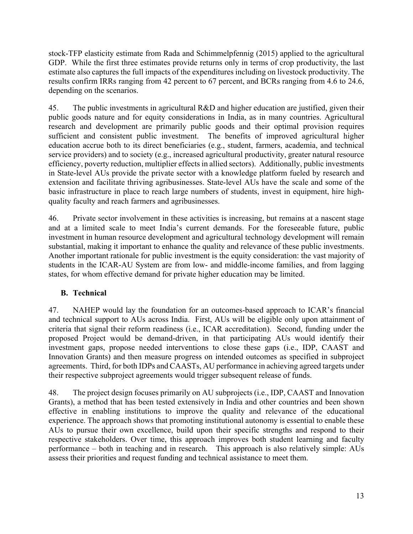stock-TFP elasticity estimate from Rada and Schimmelpfennig (2015) applied to the agricultural GDP. While the first three estimates provide returns only in terms of crop productivity, the last estimate also captures the full impacts of the expenditures including on livestock productivity. The results confirm IRRs ranging from 42 percent to 67 percent, and BCRs ranging from 4.6 to 24.6, depending on the scenarios.

45. The public investments in agricultural R&D and higher education are justified, given their public goods nature and for equity considerations in India, as in many countries. Agricultural research and development are primarily public goods and their optimal provision requires sufficient and consistent public investment. The benefits of improved agricultural higher education accrue both to its direct beneficiaries (e.g., student, farmers, academia, and technical service providers) and to society (e.g., increased agricultural productivity, greater natural resource efficiency, poverty reduction, multiplier effects in allied sectors). Additionally, public investments in State-level AUs provide the private sector with a knowledge platform fueled by research and extension and facilitate thriving agribusinesses. State-level AUs have the scale and some of the basic infrastructure in place to reach large numbers of students, invest in equipment, hire highquality faculty and reach farmers and agribusinesses.

46. Private sector involvement in these activities is increasing, but remains at a nascent stage and at a limited scale to meet India's current demands. For the foreseeable future, public investment in human resource development and agricultural technology development will remain substantial, making it important to enhance the quality and relevance of these public investments. Another important rationale for public investment is the equity consideration: the vast majority of students in the ICAR-AU System are from low- and middle-income families, and from lagging states, for whom effective demand for private higher education may be limited.

## **B. Technical**

47. NAHEP would lay the foundation for an outcomes-based approach to ICAR's financial and technical support to AUs across India. First, AUs will be eligible only upon attainment of criteria that signal their reform readiness (i.e., ICAR accreditation). Second, funding under the proposed Project would be demand-driven, in that participating AUs would identify their investment gaps, propose needed interventions to close these gaps (i.e., IDP, CAAST and Innovation Grants) and then measure progress on intended outcomes as specified in subproject agreements. Third, for both IDPs and CAASTs, AU performance in achieving agreed targets under their respective subproject agreements would trigger subsequent release of funds.

48. The project design focuses primarily on AU subprojects (i.e., IDP, CAAST and Innovation Grants), a method that has been tested extensively in India and other countries and been shown effective in enabling institutions to improve the quality and relevance of the educational experience. The approach shows that promoting institutional autonomy is essential to enable these AUs to pursue their own excellence, build upon their specific strengths and respond to their respective stakeholders. Over time, this approach improves both student learning and faculty performance – both in teaching and in research. This approach is also relatively simple: AUs assess their priorities and request funding and technical assistance to meet them.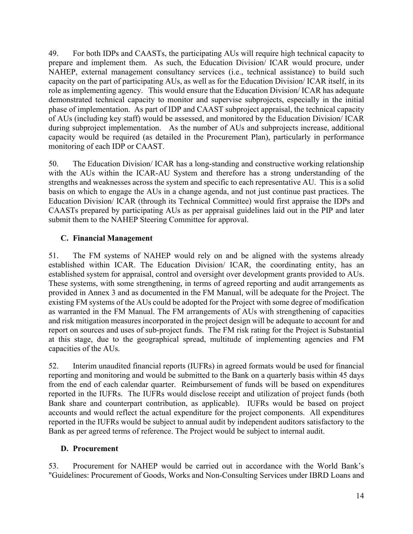49. For both IDPs and CAASTs, the participating AUs will require high technical capacity to prepare and implement them. As such, the Education Division/ ICAR would procure, under NAHEP, external management consultancy services (i.e., technical assistance) to build such capacity on the part of participating AUs, as well as for the Education Division/ ICAR itself, in its role as implementing agency. This would ensure that the Education Division/ ICAR has adequate demonstrated technical capacity to monitor and supervise subprojects, especially in the initial phase of implementation. As part of IDP and CAAST subproject appraisal, the technical capacity of AUs (including key staff) would be assessed, and monitored by the Education Division/ ICAR during subproject implementation. As the number of AUs and subprojects increase, additional capacity would be required (as detailed in the Procurement Plan), particularly in performance monitoring of each IDP or CAAST.

50. The Education Division/ ICAR has a long-standing and constructive working relationship with the AUs within the ICAR-AU System and therefore has a strong understanding of the strengths and weaknesses across the system and specific to each representative AU. This is a solid basis on which to engage the AUs in a change agenda, and not just continue past practices. The Education Division/ ICAR (through its Technical Committee) would first appraise the IDPs and CAASTs prepared by participating AUs as per appraisal guidelines laid out in the PIP and later submit them to the NAHEP Steering Committee for approval.

## **C. Financial Management**

51. The FM systems of NAHEP would rely on and be aligned with the systems already established within ICAR. The Education Division/ ICAR, the coordinating entity, has an established system for appraisal, control and oversight over development grants provided to AUs. These systems, with some strengthening, in terms of agreed reporting and audit arrangements as provided in Annex 3 and as documented in the FM Manual, will be adequate for the Project. The existing FM systems of the AUs could be adopted for the Project with some degree of modification as warranted in the FM Manual. The FM arrangements of AUs with strengthening of capacities and risk mitigation measures incorporated in the project design will be adequate to account for and report on sources and uses of sub-project funds. The FM risk rating for the Project is Substantial at this stage, due to the geographical spread, multitude of implementing agencies and FM capacities of the AUs.

52. Interim unaudited financial reports (IUFRs) in agreed formats would be used for financial reporting and monitoring and would be submitted to the Bank on a quarterly basis within 45 days from the end of each calendar quarter. Reimbursement of funds will be based on expenditures reported in the IUFRs. The IUFRs would disclose receipt and utilization of project funds (both Bank share and counterpart contribution, as applicable). IUFRs would be based on project accounts and would reflect the actual expenditure for the project components. All expenditures reported in the IUFRs would be subject to annual audit by independent auditors satisfactory to the Bank as per agreed terms of reference. The Project would be subject to internal audit.

## **D. Procurement**

53. Procurement for NAHEP would be carried out in accordance with the World Bank's "Guidelines: Procurement of Goods, Works and Non-Consulting Services under IBRD Loans and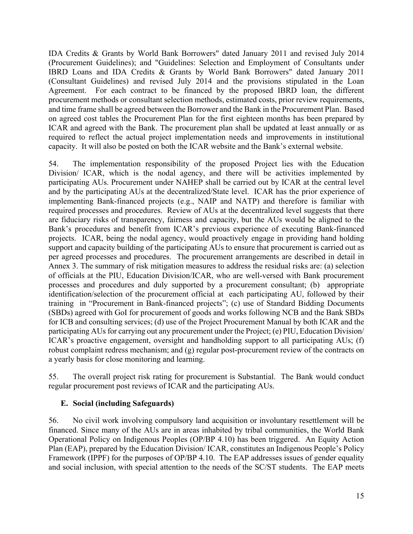IDA Credits & Grants by World Bank Borrowers" dated January 2011 and revised July 2014 (Procurement Guidelines); and "Guidelines: Selection and Employment of Consultants under IBRD Loans and IDA Credits & Grants by World Bank Borrowers" dated January 2011 (Consultant Guidelines) and revised July 2014 and the provisions stipulated in the Loan Agreement. For each contract to be financed by the proposed IBRD loan, the different procurement methods or consultant selection methods, estimated costs, prior review requirements, and time frame shall be agreed between the Borrower and the Bank in the Procurement Plan. Based on agreed cost tables the Procurement Plan for the first eighteen months has been prepared by ICAR and agreed with the Bank. The procurement plan shall be updated at least annually or as required to reflect the actual project implementation needs and improvements in institutional capacity. It will also be posted on both the ICAR website and the Bank's external website.

54. The implementation responsibility of the proposed Project lies with the Education Division/ ICAR, which is the nodal agency, and there will be activities implemented by participating AUs. Procurement under NAHEP shall be carried out by ICAR at the central level and by the participating AUs at the decentralized/State level. ICAR has the prior experience of implementing Bank-financed projects (e.g., NAIP and NATP) and therefore is familiar with required processes and procedures. Review of AUs at the decentralized level suggests that there are fiduciary risks of transparency, fairness and capacity, but the AUs would be aligned to the Bank's procedures and benefit from ICAR's previous experience of executing Bank-financed projects. ICAR, being the nodal agency, would proactively engage in providing hand holding support and capacity building of the participating AUs to ensure that procurement is carried out as per agreed processes and procedures. The procurement arrangements are described in detail in Annex 3. The summary of risk mitigation measures to address the residual risks are: (a) selection of officials at the PIU, Education Division/ICAR, who are well-versed with Bank procurement processes and procedures and duly supported by a procurement consultant; (b) appropriate identification/selection of the procurement official at each participating AU, followed by their training in "Procurement in Bank-financed projects"; (c) use of Standard Bidding Documents (SBDs) agreed with GoI for procurement of goods and works following NCB and the Bank SBDs for ICB and consulting services; (d) use of the Project Procurement Manual by both ICAR and the participating AUs for carrying out any procurement under the Project; (e) PIU, Education Division/ ICAR's proactive engagement, oversight and handholding support to all participating AUs; (f) robust complaint redress mechanism; and (g) regular post-procurement review of the contracts on a yearly basis for close monitoring and learning.

55. The overall project risk rating for procurement is Substantial. The Bank would conduct regular procurement post reviews of ICAR and the participating AUs.

## **E. Social (including Safeguards)**

56. No civil work involving compulsory land acquisition or involuntary resettlement will be financed. Since many of the AUs are in areas inhabited by tribal communities, the World Bank Operational Policy on Indigenous Peoples (OP/BP 4.10) has been triggered. An Equity Action Plan (EAP), prepared by the Education Division/ ICAR, constitutes an Indigenous People's Policy Framework (IPPF) for the purposes of OP/BP 4.10. The EAP addresses issues of gender equality and social inclusion, with special attention to the needs of the SC/ST students. The EAP meets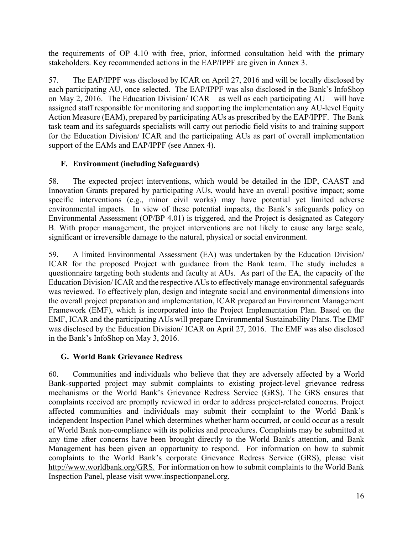the requirements of OP 4.10 with free, prior, informed consultation held with the primary stakeholders. Key recommended actions in the EAP/IPPF are given in Annex 3.

57. The EAP/IPPF was disclosed by ICAR on April 27, 2016 and will be locally disclosed by each participating AU, once selected. The EAP/IPPF was also disclosed in the Bank's InfoShop on May 2, 2016. The Education Division/ ICAR – as well as each participating AU – will have assigned staff responsible for monitoring and supporting the implementation any AU-level Equity Action Measure (EAM), prepared by participating AUs as prescribed by the EAP/IPPF. The Bank task team and its safeguards specialists will carry out periodic field visits to and training support for the Education Division/ ICAR and the participating AUs as part of overall implementation support of the EAMs and EAP/IPPF (see Annex 4).

## **F. Environment (including Safeguards)**

58. The expected project interventions, which would be detailed in the IDP, CAAST and Innovation Grants prepared by participating AUs, would have an overall positive impact; some specific interventions (e.g., minor civil works) may have potential yet limited adverse environmental impacts. In view of these potential impacts, the Bank's safeguards policy on Environmental Assessment (OP/BP 4.01) is triggered, and the Project is designated as Category B. With proper management, the project interventions are not likely to cause any large scale, significant or irreversible damage to the natural, physical or social environment.

59. A limited Environmental Assessment (EA) was undertaken by the Education Division/ ICAR for the proposed Project with guidance from the Bank team. The study includes a questionnaire targeting both students and faculty at AUs. As part of the EA, the capacity of the Education Division/ ICAR and the respective AUs to effectively manage environmental safeguards was reviewed. To effectively plan, design and integrate social and environmental dimensions into the overall project preparation and implementation, ICAR prepared an Environment Management Framework (EMF), which is incorporated into the Project Implementation Plan. Based on the EMF, ICAR and the participating AUs will prepare Environmental Sustainability Plans. The EMF was disclosed by the Education Division/ ICAR on April 27, 2016. The EMF was also disclosed in the Bank's InfoShop on May 3, 2016.

## **G. World Bank Grievance Redress**

60. Communities and individuals who believe that they are adversely affected by a World Bank-supported project may submit complaints to existing project-level grievance redress mechanisms or the World Bank's Grievance Redress Service (GRS). The GRS ensures that complaints received are promptly reviewed in order to address project-related concerns. Project affected communities and individuals may submit their complaint to the World Bank's independent Inspection Panel which determines whether harm occurred, or could occur as a result of World Bank non-compliance with its policies and procedures. Complaints may be submitted at any time after concerns have been brought directly to the World Bank's attention, and Bank Management has been given an opportunity to respond. For information on how to submit complaints to the World Bank's corporate Grievance Redress Service (GRS), please visit http://www.worldbank.org/GRS. For information on how to submit complaints to the World Bank Inspection Panel, please visit www.inspectionpanel.org.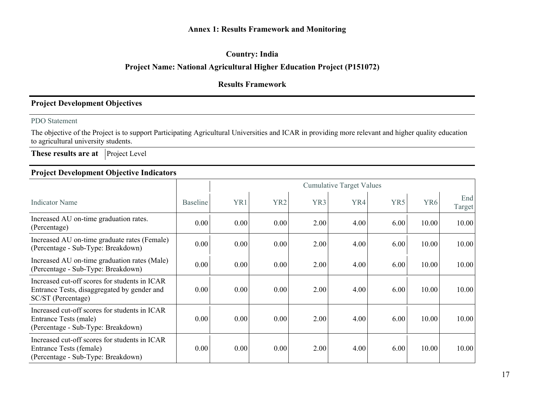### **Annex 1: Results Framework and Monitoring**

### **Country: India**

## **Project Name: National Agricultural Higher Education Project (P151072)**

## **Results Framework**

## **Project Development Objectives**

#### PDO Statement

The objective of the Project is to support Participating Agricultural Universities and ICAR in providing more relevant and higher quality education to agricultural university students.

**These results are at** Project Level

## **Project Development Objective Indicators**

|                                                                                                                    |                 | <b>Cumulative Target Values</b> |                 |      |      |      |                 |               |
|--------------------------------------------------------------------------------------------------------------------|-----------------|---------------------------------|-----------------|------|------|------|-----------------|---------------|
| <b>Indicator Name</b>                                                                                              | <b>Baseline</b> | YR1                             | YR <sub>2</sub> | YR3  | YR4  | YR5  | YR <sub>6</sub> | End<br>Target |
| Increased AU on-time graduation rates.<br>(Percentage)                                                             | 0.00            | 0.00                            | 0.00            | 2.00 | 4.00 | 6.00 | 10.00           | 10.00         |
| Increased AU on-time graduate rates (Female)<br>(Percentage - Sub-Type: Breakdown)                                 | 0.00            | 0.00                            | 0.00            | 2.00 | 4.00 | 6.00 | 10.00           | 10.00         |
| Increased AU on-time graduation rates (Male)<br>(Percentage - Sub-Type: Breakdown)                                 | 0.00            | 0.00                            | 0.00            | 2.00 | 4.00 | 6.00 | 10.00           | 10.00         |
| Increased cut-off scores for students in ICAR<br>Entrance Tests, disaggregated by gender and<br>SC/ST (Percentage) | 0.00            | 0.00                            | 0.00            | 2.00 | 4.00 | 6.00 | 10.00           | 10.00         |
| Increased cut-off scores for students in ICAR<br>Entrance Tests (male)<br>(Percentage - Sub-Type: Breakdown)       | 0.00            | 0.00                            | 0.00            | 2.00 | 4.00 | 6.00 | 10.00           | 10.00         |
| Increased cut-off scores for students in ICAR<br>Entrance Tests (female)<br>(Percentage - Sub-Type: Breakdown)     | 0.00            | 0.00                            | 0.00            | 2.00 | 4.00 | 6.00 | 10.00           | 10.00         |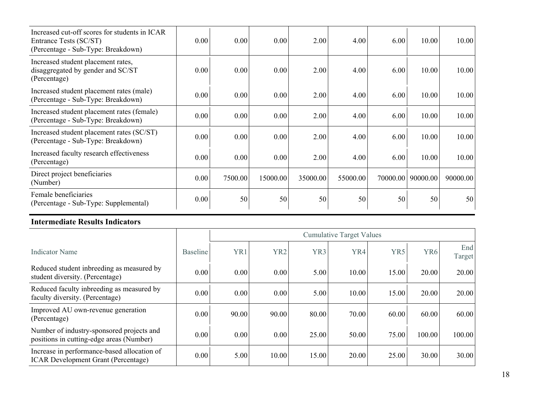| Increased cut-off scores for students in ICAR<br>Entrance Tests (SC/ST)<br>(Percentage - Sub-Type: Breakdown) | 0.00 | 0.00    | 0.00     | 2.00     | 4.00     | 6.00     | 10.00    | 10.00    |
|---------------------------------------------------------------------------------------------------------------|------|---------|----------|----------|----------|----------|----------|----------|
| Increased student placement rates,<br>disaggregated by gender and SC/ST<br>(Percentage)                       | 0.00 | 0.00    | 0.00     | 2.00     | 4.00     | 6.00     | 10.00    | 10.00    |
| Increased student placement rates (male)<br>(Percentage - Sub-Type: Breakdown)                                | 0.00 | 0.00    | 0.00     | 2.00     | 4.00     | 6.00     | 10.00    | 10.00    |
| Increased student placement rates (female)<br>(Percentage - Sub-Type: Breakdown)                              | 0.00 | 0.00    | 0.00     | 2.00     | 4.00     | 6.00     | 10.00    | 10.00    |
| Increased student placement rates (SC/ST)<br>(Percentage - Sub-Type: Breakdown)                               | 0.00 | 0.00    | 0.00     | 2.00     | 4.00     | 6.00     | 10.00    | 10.00    |
| Increased faculty research effectiveness<br>(Percentage)                                                      | 0.00 | 0.00    | 0.00     | 2.00     | 4.00     | 6.00     | 10.00    | 10.00    |
| Direct project beneficiaries<br>(Number)                                                                      | 0.00 | 7500.00 | 15000.00 | 35000.00 | 55000.00 | 70000.00 | 90000.00 | 90000.00 |
| Female beneficiaries<br>(Percentage - Sub-Type: Supplemental)                                                 | 0.00 | 50      | 50       | 50       | 50       | 50       | 50       | 50       |

#### **Intermediate Results Indicators**

|                                                                                           |                 | <b>Cumulative Target Values</b> |                 |                 |       |                 |                 |               |
|-------------------------------------------------------------------------------------------|-----------------|---------------------------------|-----------------|-----------------|-------|-----------------|-----------------|---------------|
| <b>Indicator Name</b>                                                                     | <b>Baseline</b> | YR1                             | YR <sub>2</sub> | YR <sub>3</sub> | YR4   | YR <sub>5</sub> | YR <sub>6</sub> | End<br>Target |
| Reduced student inbreeding as measured by<br>student diversity. (Percentage)              | 0.00            | 0.00                            | 0.00            | 5.00            | 10.00 | 15.00           | 20.00           | 20.00         |
| Reduced faculty inbreeding as measured by<br>faculty diversity. (Percentage)              | 0.00            | 0.00                            | 0.00            | 5.00            | 10.00 | 15.00           | 20.00           | 20.00         |
| Improved AU own-revenue generation<br>(Percentage)                                        | 0.00            | 90.00                           | 90.00           | 80.00           | 70.00 | 60.00           | 60.00           | 60.00         |
| Number of industry-sponsored projects and<br>positions in cutting-edge areas (Number)     | 0.00            | 0.00                            | 0.00            | 25.00           | 50.00 | 75.00           | 100.00          | 100.00        |
| Increase in performance-based allocation of<br><b>ICAR Development Grant (Percentage)</b> | 0.00            | 5.00                            | 10.00           | 15.00           | 20.00 | 25.00           | 30.00           | 30.00         |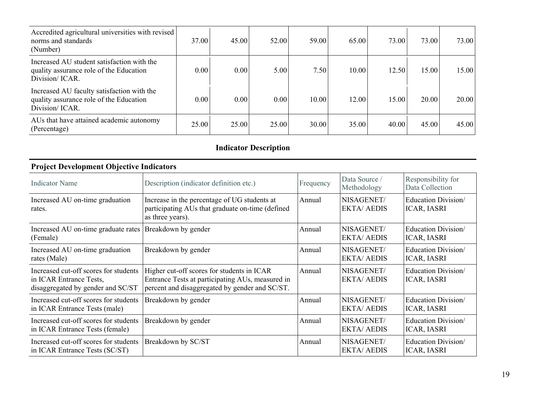| Accredited agricultural universities with revised<br>norms and standards<br>(Number)                     | 37.00 | 45.00 | 52.00 | 59.00 | 65.00 | 73.00 | 73.00 | 73.00 |
|----------------------------------------------------------------------------------------------------------|-------|-------|-------|-------|-------|-------|-------|-------|
| Increased AU student satisfaction with the<br>quality assurance role of the Education<br>Division/ ICAR. | 0.00  | 0.00  | 5.00  | 7.50  | 10.00 | 12.50 | 15.00 | 15.00 |
| Increased AU faculty satisfaction with the<br>quality assurance role of the Education<br>Division/ICAR.  | 0.00  | 0.00  | 0.00  | 10.00 | 12.00 | 15.00 | 20.00 | 20.00 |
| AUs that have attained academic autonomy<br>(Percentage)                                                 | 25.00 | 25.00 | 25.00 | 30.00 | 35.00 | 40.00 | 45.00 | 45.00 |

# **Indicator Description**

| <b>Project Development Objective Indicators</b>                                                       |                                                                                                                                                  |           |                                 |                                           |
|-------------------------------------------------------------------------------------------------------|--------------------------------------------------------------------------------------------------------------------------------------------------|-----------|---------------------------------|-------------------------------------------|
| <b>Indicator Name</b>                                                                                 | Description (indicator definition etc.)                                                                                                          | Frequency | Data Source /<br>Methodology    | Responsibility for<br>Data Collection     |
| Increased AU on-time graduation<br>rates.                                                             | Increase in the percentage of UG students at<br>participating AUs that graduate on-time (defined<br>as three years).                             | Annual    | NISAGENET/<br><b>EKTA/AEDIS</b> | Education Division/<br><b>ICAR, IASRI</b> |
| Increased AU on-time graduate rates   Breakdown by gender<br>(Female)                                 |                                                                                                                                                  | Annual    | NISAGENET/<br><b>EKTA/AEDIS</b> | Education Division<br><b>ICAR, IASRI</b>  |
| Increased AU on-time graduation<br>rates (Male)                                                       | Breakdown by gender                                                                                                                              | Annual    | NISAGENET/<br><b>EKTA/AEDIS</b> | Education Division/<br><b>ICAR, IASRI</b> |
| Increased cut-off scores for students<br>in ICAR Entrance Tests,<br>disaggregated by gender and SC/ST | Higher cut-off scores for students in ICAR<br>Entrance Tests at participating AUs, measured in<br>percent and disaggregated by gender and SC/ST. | Annual    | NISAGENET/<br><b>EKTA/AEDIS</b> | Education Division/<br><b>ICAR, IASRI</b> |
| Increased cut-off scores for students<br>in ICAR Entrance Tests (male)                                | Breakdown by gender                                                                                                                              | Annual    | NISAGENET/<br><b>EKTA/AEDIS</b> | Education Division/<br><b>ICAR, IASRI</b> |
| Increased cut-off scores for students<br>in ICAR Entrance Tests (female)                              | Breakdown by gender                                                                                                                              | Annual    | NISAGENET/<br><b>EKTA/AEDIS</b> | Education Division/<br><b>ICAR, IASRI</b> |
| Increased cut-off scores for students<br>in ICAR Entrance Tests (SC/ST)                               | Breakdown by SC/ST                                                                                                                               | Annual    | NISAGENET/<br><b>EKTA/AEDIS</b> | Education Division/<br><b>ICAR, IASRI</b> |

### **Project Development Objective Indicators**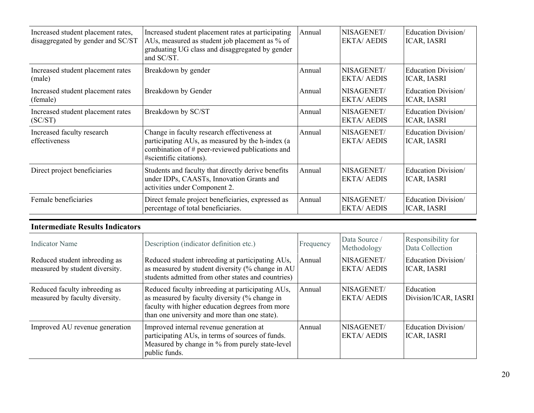| Increased student placement rates,<br>disaggregated by gender and SC/ST | Increased student placement rates at participating<br>AUs, measured as student job placement as % of<br>graduating UG class and disaggregated by gender<br>and SC/ST.         | Annual | NISAGENET/<br><b>EKTA/AEDIS</b> | Education Division<br><b>ICAR, IASRI</b>  |
|-------------------------------------------------------------------------|-------------------------------------------------------------------------------------------------------------------------------------------------------------------------------|--------|---------------------------------|-------------------------------------------|
| Increased student placement rates<br>(male)                             | Breakdown by gender                                                                                                                                                           | Annual | NISAGENET/<br><b>EKTA/AEDIS</b> | Education Division<br><b>ICAR, IASRI</b>  |
| Increased student placement rates<br>(female)                           | Breakdown by Gender                                                                                                                                                           | Annual | NISAGENET/<br><b>EKTA/AEDIS</b> | Education Division/<br><b>ICAR, IASRI</b> |
| Increased student placement rates<br>(SC/ST)                            | Breakdown by SC/ST                                                                                                                                                            | Annual | NISAGENET/<br><b>EKTA/AEDIS</b> | Education Division/<br><b>ICAR, IASRI</b> |
| Increased faculty research<br>effectiveness                             | Change in faculty research effectiveness at<br>participating AUs, as measured by the h-index (a<br>combination of # peer-reviewed publications and<br>#scientific citations). | Annual | NISAGENET/<br><b>EKTA/AEDIS</b> | Education Division/<br><b>ICAR, IASRI</b> |
| Direct project beneficiaries                                            | Students and faculty that directly derive benefits<br>under IDPs, CAASTs, Innovation Grants and<br>activities under Component 2.                                              | Annual | NISAGENET/<br><b>EKTA/AEDIS</b> | Education Division/<br><b>ICAR, IASRI</b> |
| Female beneficiaries                                                    | Direct female project beneficiaries, expressed as<br>percentage of total beneficiaries.                                                                                       | Annual | NISAGENET/<br><b>EKTA/AEDIS</b> | Education Division/<br><b>ICAR, IASRI</b> |

#### **Intermediate Results Indicators**

| <b>Indicator Name</b>                                           | Description (indicator definition etc.)                                                                                                                                                               | Frequency | Data Source /<br>Methodology    | Responsibility for<br>Data Collection     |
|-----------------------------------------------------------------|-------------------------------------------------------------------------------------------------------------------------------------------------------------------------------------------------------|-----------|---------------------------------|-------------------------------------------|
| Reduced student inbreeding as<br>measured by student diversity. | Reduced student inbreeding at participating AUs,<br>as measured by student diversity (% change in AU<br>students admitted from other states and countries)                                            | Annual    | NISAGENET/<br><b>EKTA/AEDIS</b> | Education Division/<br><b>ICAR, IASRI</b> |
| Reduced faculty inbreeding as<br>measured by faculty diversity. | Reduced faculty inbreeding at participating AUs,<br>as measured by faculty diversity (% change in<br>faculty with higher education degrees from more<br>than one university and more than one state). | Annual    | NISAGENET/<br><b>EKTA/AEDIS</b> | Education<br>Division/ICAR, IASRI         |
| Improved AU revenue generation                                  | Improved internal revenue generation at<br>participating AUs, in terms of sources of funds.<br>Measured by change in % from purely state-level<br>public funds.                                       | Annual    | NISAGENET/<br><b>EKTA/AEDIS</b> | Education Division<br><b>ICAR, IASRI</b>  |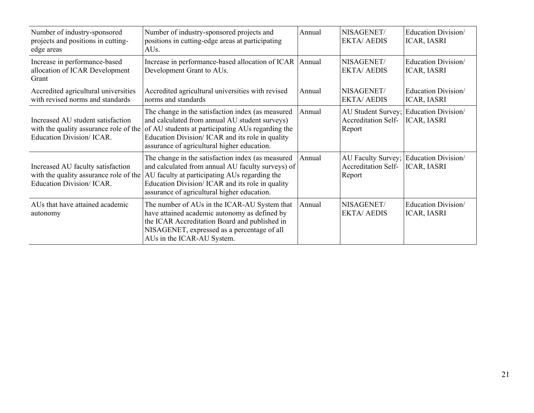| Number of industry-sponsored<br>projects and positions in cutting-<br>edge areas                                | Number of industry-sponsored projects and<br>positions in cutting-edge areas at participating<br>AU <sub>s</sub> .                                                                                                                                          | Annual | NISAGENET/<br><b>EKTA/AEDIS</b>                            | Education Division/<br><b>ICAR, IASRI</b>                    |
|-----------------------------------------------------------------------------------------------------------------|-------------------------------------------------------------------------------------------------------------------------------------------------------------------------------------------------------------------------------------------------------------|--------|------------------------------------------------------------|--------------------------------------------------------------|
| Increase in performance-based<br>allocation of ICAR Development<br>Grant                                        | Increase in performance-based allocation of ICAR<br>Development Grant to AUs.                                                                                                                                                                               | Annual | NISAGENET/<br><b>EKTA/AEDIS</b>                            | Education Division/<br><b>ICAR, IASRI</b>                    |
| Accredited agricultural universities<br>with revised norms and standards                                        | Accredited agricultural universities with revised<br>norms and standards                                                                                                                                                                                    | Annual | NISAGENET/<br><b>EKTA/AEDIS</b>                            | Education Division/<br><b>ICAR, IASRI</b>                    |
| Increased AU student satisfaction<br>with the quality assurance role of the<br><b>Education Division/ ICAR.</b> | The change in the satisfaction index (as measured<br>and calculated from annual AU student surveys)<br>of AU students at participating AUs regarding the<br>Education Division/ ICAR and its role in quality<br>assurance of agricultural higher education. | Annual | <b>Accreditation Self-</b><br>Report                       | AU Student Survey; Education Division/<br><b>ICAR, IASRI</b> |
| Increased AU faculty satisfaction<br>with the quality assurance role of the<br>Education Division/ ICAR.        | The change in the satisfaction index (as measured<br>and calculated from annual AU faculty surveys) of<br>AU faculty at participating AUs regarding the<br>Education Division/ ICAR and its role in quality<br>assurance of agricultural higher education.  | Annual | AU Faculty Survey;<br><b>Accreditation Self-</b><br>Report | Education Division/<br><b>ICAR, IASRI</b>                    |
| AUs that have attained academic<br>autonomy                                                                     | The number of AUs in the ICAR-AU System that<br>have attained academic autonomy as defined by<br>the ICAR Accreditation Board and published in<br>NISAGENET, expressed as a percentage of all<br>AUs in the ICAR-AU System.                                 | Annual | NISAGENET/<br><b>EKTA/AEDIS</b>                            | Education Division<br><b>ICAR, IASRI</b>                     |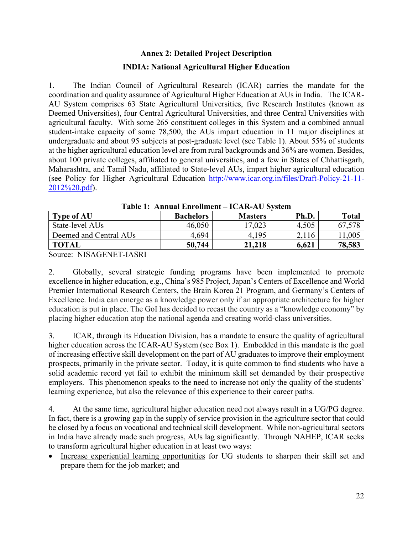# **Annex 2: Detailed Project Description INDIA: National Agricultural Higher Education**

1. The Indian Council of Agricultural Research (ICAR) carries the mandate for the coordination and quality assurance of Agricultural Higher Education at AUs in India. The ICAR-AU System comprises 63 State Agricultural Universities, five Research Institutes (known as Deemed Universities), four Central Agricultural Universities, and three Central Universities with agricultural faculty. With some 265 constituent colleges in this System and a combined annual student-intake capacity of some 78,500, the AUs impart education in 11 major disciplines at undergraduate and about 95 subjects at post-graduate level (see Table 1). About 55% of students at the higher agricultural education level are from rural backgrounds and 36% are women. Besides, about 100 private colleges, affiliated to general universities, and a few in States of Chhattisgarh, Maharashtra, and Tamil Nadu, affiliated to State-level AUs, impart higher agricultural education (see Policy for Higher Agricultural Education http://www.icar.org.in/files/Draft-Policy-21-11- 2012%20.pdf).

|                        | таріс т. таннцаг ені опшенс | TOTAL TAO DISIGNI |       |              |
|------------------------|-----------------------------|-------------------|-------|--------------|
| <b>Type of AU</b>      | <b>Bachelors</b>            | <b>Masters</b>    | Ph.D. | <b>Total</b> |
| State-level AUs        | 46,050                      | 17,023            | 4,505 |              |
| Deemed and Central AUs | 4,694                       | 4,195             | 2,116 | 1,005        |
| <b>TOTAL</b>           | 50,744                      | 21,218            | 6,621 | 78,583       |

**Table 1: Annual Enrollment – ICAR-AU System** 

Source: NISAGENET-IASRI

2. Globally, several strategic funding programs have been implemented to promote excellence in higher education, e.g., China's 985 Project, Japan's Centers of Excellence and World Premier International Research Centers, the Brain Korea 21 Program, and Germany's Centers of Excellence. India can emerge as a knowledge power only if an appropriate architecture for higher education is put in place. The GoI has decided to recast the country as a "knowledge economy" by placing higher education atop the national agenda and creating world-class universities.

3. ICAR, through its Education Division, has a mandate to ensure the quality of agricultural higher education across the ICAR-AU System (see Box 1). Embedded in this mandate is the goal of increasing effective skill development on the part of AU graduates to improve their employment prospects, primarily in the private sector. Today, it is quite common to find students who have a solid academic record yet fail to exhibit the minimum skill set demanded by their prospective employers. This phenomenon speaks to the need to increase not only the quality of the students' learning experience, but also the relevance of this experience to their career paths.

4. At the same time, agricultural higher education need not always result in a UG/PG degree. In fact, there is a growing gap in the supply of service provision in the agriculture sector that could be closed by a focus on vocational and technical skill development. While non-agricultural sectors in India have already made such progress, AUs lag significantly. Through NAHEP, ICAR seeks to transform agricultural higher education in at least two ways:

 Increase experiential learning opportunities for UG students to sharpen their skill set and prepare them for the job market; and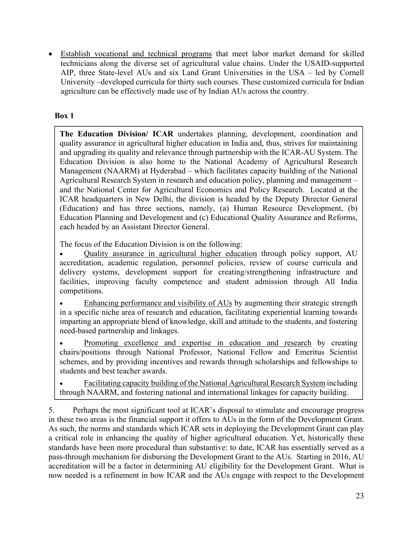Establish vocational and technical programs that meet labor market demand for skilled technicians along the diverse set of agricultural value chains. Under the USAID-supported AIP, three State-level AUs and six Land Grant Universities in the USA – led by Cornell University –developed curricula for thirty such courses. These customized curricula for Indian agriculture can be effectively made use of by Indian AUs across the country.

## **Box 1**

**The Education Division/ ICAR** undertakes planning, development, coordination and quality assurance in agricultural higher education in India and, thus, strives for maintaining and upgrading its quality and relevance through partnership with the ICAR-AU System. The Education Division is also home to the National Academy of Agricultural Research Management (NAARM) at Hyderabad – which facilitates capacity building of the National Agricultural Research System in research and education policy, planning and management – and the National Center for Agricultural Economics and Policy Research. Located at the ICAR headquarters in New Delhi, the division is headed by the Deputy Director General (Education) and has three sections, namely, (a) Human Resource Development, (b) Education Planning and Development and (c) Educational Quality Assurance and Reforms, each headed by an Assistant Director General.

The focus of the Education Division is on the following:

 Quality assurance in agricultural higher education through policy support, AU accreditation, academic regulation, personnel policies, review of course curricula and delivery systems, development support for creating/strengthening infrastructure and facilities, improving faculty competence and student admission through All India competitions.

 Enhancing performance and visibility of AUs by augmenting their strategic strength in a specific niche area of research and education, facilitating experiential learning towards imparting an appropriate blend of knowledge, skill and attitude to the students, and fostering need-based partnership and linkages.

 Promoting excellence and expertise in education and research by creating chairs/positions through National Professor, National Fellow and Emeritus Scientist schemes, and by providing incentives and rewards through scholarships and fellowships to students and best teacher awards.

 Facilitating capacity building of the National Agricultural Research System including through NAARM, and fostering national and international linkages for capacity building.

5. Perhaps the most significant tool at ICAR's disposal to stimulate and encourage progress in these two areas is the financial support it offers to AUs in the form of the Development Grant. As such, the norms and standards which ICAR sets in deploying the Development Grant can play a critical role in enhancing the quality of higher agricultural education. Yet, historically these standards have been more procedural than substantive: to date, ICAR has essentially served as a pass-through mechanism for disbursing the Development Grant to the AUs. Starting in 2016, AU accreditation will be a factor in determining AU eligibility for the Development Grant. What is now needed is a refinement in how ICAR and the AUs engage with respect to the Development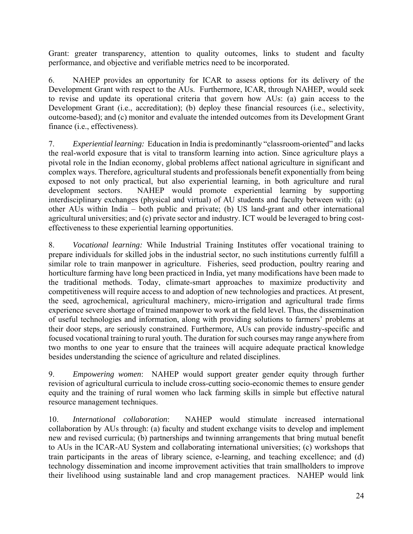Grant: greater transparency, attention to quality outcomes, links to student and faculty performance, and objective and verifiable metrics need to be incorporated.

6. NAHEP provides an opportunity for ICAR to assess options for its delivery of the Development Grant with respect to the AUs. Furthermore, ICAR, through NAHEP, would seek to revise and update its operational criteria that govern how AUs: (a) gain access to the Development Grant (i.e., accreditation); (b) deploy these financial resources (i.e., selectivity, outcome-based); and (c) monitor and evaluate the intended outcomes from its Development Grant finance (i.e., effectiveness).

7. *Experiential learning:* Education in India is predominantly "classroom-oriented" and lacks the real-world exposure that is vital to transform learning into action. Since agriculture plays a pivotal role in the Indian economy, global problems affect national agriculture in significant and complex ways. Therefore, agricultural students and professionals benefit exponentially from being exposed to not only practical, but also experiential learning, in both agriculture and rural development sectors. NAHEP would promote experiential learning by supporting interdisciplinary exchanges (physical and virtual) of AU students and faculty between with: (a) other AUs within India – both public and private; (b) US land-grant and other international agricultural universities; and (c) private sector and industry. ICT would be leveraged to bring costeffectiveness to these experiential learning opportunities.

8. *Vocational learning:* While Industrial Training Institutes offer vocational training to prepare individuals for skilled jobs in the industrial sector, no such institutions currently fulfill a similar role to train manpower in agriculture. Fisheries, seed production, poultry rearing and horticulture farming have long been practiced in India, yet many modifications have been made to the traditional methods. Today, climate-smart approaches to maximize productivity and competitiveness will require access to and adoption of new technologies and practices. At present, the seed, agrochemical, agricultural machinery, micro-irrigation and agricultural trade firms experience severe shortage of trained manpower to work at the field level. Thus, the dissemination of useful technologies and information, along with providing solutions to farmers' problems at their door steps, are seriously constrained. Furthermore, AUs can provide industry-specific and focused vocational training to rural youth. The duration for such courses may range anywhere from two months to one year to ensure that the trainees will acquire adequate practical knowledge besides understanding the science of agriculture and related disciplines.

9. *Empowering women*: NAHEP would support greater gender equity through further revision of agricultural curricula to include cross-cutting socio-economic themes to ensure gender equity and the training of rural women who lack farming skills in simple but effective natural resource management techniques.

10. *International collaboration*: NAHEP would stimulate increased international collaboration by AUs through: (a) faculty and student exchange visits to develop and implement new and revised curricula; (b) partnerships and twinning arrangements that bring mutual benefit to AUs in the ICAR-AU System and collaborating international universities; (c) workshops that train participants in the areas of library science, e-learning, and teaching excellence; and (d) technology dissemination and income improvement activities that train smallholders to improve their livelihood using sustainable land and crop management practices. NAHEP would link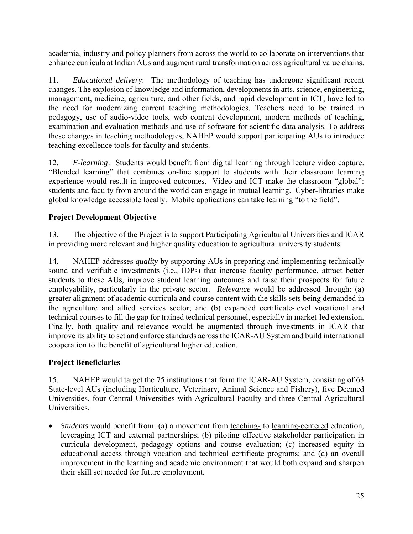academia, industry and policy planners from across the world to collaborate on interventions that enhance curricula at Indian AUs and augment rural transformation across agricultural value chains.

11. *Educational delivery*: The methodology of teaching has undergone significant recent changes. The explosion of knowledge and information, developments in arts, science, engineering, management, medicine, agriculture, and other fields, and rapid development in ICT, have led to the need for modernizing current teaching methodologies. Teachers need to be trained in pedagogy, use of audio-video tools, web content development, modern methods of teaching, examination and evaluation methods and use of software for scientific data analysis. To address these changes in teaching methodologies, NAHEP would support participating AUs to introduce teaching excellence tools for faculty and students.

12. *E-learning*: Students would benefit from digital learning through lecture video capture. "Blended learning" that combines on-line support to students with their classroom learning experience would result in improved outcomes. Video and ICT make the classroom "global": students and faculty from around the world can engage in mutual learning. Cyber-libraries make global knowledge accessible locally. Mobile applications can take learning "to the field".

# **Project Development Objective**

13. The objective of the Project is to support Participating Agricultural Universities and ICAR in providing more relevant and higher quality education to agricultural university students.

14. NAHEP addresses *quality* by supporting AUs in preparing and implementing technically sound and verifiable investments (i.e., IDPs) that increase faculty performance, attract better students to these AUs, improve student learning outcomes and raise their prospects for future employability, particularly in the private sector. *Relevance* would be addressed through: (a) greater alignment of academic curricula and course content with the skills sets being demanded in the agriculture and allied services sector; and (b) expanded certificate-level vocational and technical courses to fill the gap for trained technical personnel, especially in market-led extension. Finally, both quality and relevance would be augmented through investments in ICAR that improve its ability to set and enforce standards across the ICAR-AU System and build international cooperation to the benefit of agricultural higher education.

# **Project Beneficiaries**

15. NAHEP would target the 75 institutions that form the ICAR-AU System, consisting of 63 State-level AUs (including Horticulture, Veterinary, Animal Science and Fishery), five Deemed Universities, four Central Universities with Agricultural Faculty and three Central Agricultural Universities.

*Students* would benefit from: (a) a movement from <u>teaching-</u> to <u>learning-centered</u> education, leveraging ICT and external partnerships; (b) piloting effective stakeholder participation in curricula development, pedagogy options and course evaluation; (c) increased equity in educational access through vocation and technical certificate programs; and (d) an overall improvement in the learning and academic environment that would both expand and sharpen their skill set needed for future employment.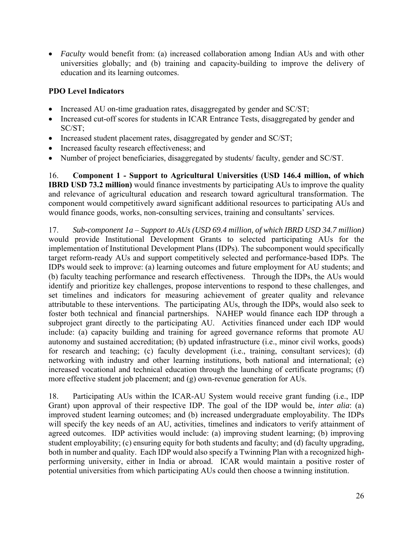*Faculty* would benefit from: (a) increased collaboration among Indian AUs and with other universities globally; and (b) training and capacity-building to improve the delivery of education and its learning outcomes.

## **PDO Level Indicators**

- Increased AU on-time graduation rates, disaggregated by gender and SC/ST;
- Increased cut-off scores for students in ICAR Entrance Tests, disaggregated by gender and SC/ST;
- Increased student placement rates, disaggregated by gender and SC/ST;
- Increased faculty research effectiveness; and
- Number of project beneficiaries, disaggregated by students/ faculty, gender and SC/ST.

16. **Component 1 - Support to Agricultural Universities (USD 146.4 million, of which IBRD USD 73.2 million)** would finance investments by participating AUs to improve the quality and relevance of agricultural education and research toward agricultural transformation. The component would competitively award significant additional resources to participating AUs and would finance goods, works, non-consulting services, training and consultants' services.

17. *Sub-component 1a* – *Support to AUs (USD 69.4 million, of which IBRD USD 34.7 million)*  would provide Institutional Development Grants to selected participating AUs for the implementation of Institutional Development Plans (IDPs). The subcomponent would specifically target reform-ready AUs and support competitively selected and performance-based IDPs. The IDPs would seek to improve: (a) learning outcomes and future employment for AU students; and (b) faculty teaching performance and research effectiveness. Through the IDPs, the AUs would identify and prioritize key challenges, propose interventions to respond to these challenges, and set timelines and indicators for measuring achievement of greater quality and relevance attributable to these interventions. The participating AUs, through the IDPs, would also seek to foster both technical and financial partnerships. NAHEP would finance each IDP through a subproject grant directly to the participating AU. Activities financed under each IDP would include: (a) capacity building and training for agreed governance reforms that promote AU autonomy and sustained accreditation; (b) updated infrastructure (i.e., minor civil works, goods) for research and teaching; (c) faculty development (i.e., training, consultant services); (d) networking with industry and other learning institutions, both national and international; (e) increased vocational and technical education through the launching of certificate programs; (f) more effective student job placement; and (g) own-revenue generation for AUs.

18. Participating AUs within the ICAR-AU System would receive grant funding (i.e., IDP Grant) upon approval of their respective IDP. The goal of the IDP would be, *inter alia*: (a) improved student learning outcomes; and (b) increased undergraduate employability. The IDPs will specify the key needs of an AU, activities, timelines and indicators to verify attainment of agreed outcomes. IDP activities would include: (a) improving student learning; (b) improving student employability; (c) ensuring equity for both students and faculty; and (d) faculty upgrading, both in number and quality. Each IDP would also specify a Twinning Plan with a recognized highperforming university, either in India or abroad. ICAR would maintain a positive roster of potential universities from which participating AUs could then choose a twinning institution.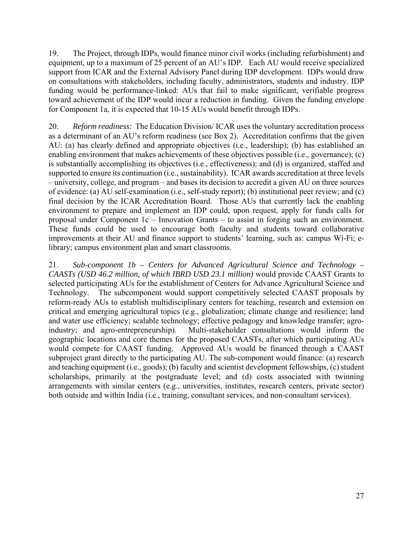19. The Project, through IDPs, would finance minor civil works (including refurbishment) and equipment, up to a maximum of 25 percent of an AU's IDP. Each AU would receive specialized support from ICAR and the External Advisory Panel during IDP development. IDPs would draw on consultations with stakeholders, including faculty, administrators, students and industry. IDP funding would be performance-linked: AUs that fail to make significant, verifiable progress toward achievement of the IDP would incur a reduction in funding. Given the funding envelope for Component 1a, it is expected that 10-15 AUs would benefit through IDPs.

20. *Reform readiness:* The Education Division/ ICAR uses the voluntary accreditation process as a determinant of an AU's reform readiness (see Box 2). Accreditation confirms that the given AU: (a) has clearly defined and appropriate objectives (i.e., leadership); (b) has established an enabling environment that makes achievements of these objectives possible (i.e., governance); (c) is substantially accomplishing its objectives (i.e., effectiveness); and (d) is organized, staffed and supported to ensure its continuation (i.e., sustainability). ICAR awards accreditation at three levels – university, college, and program – and bases its decision to accredit a given AU on three sources of evidence: (a) AU self-examination (i.e., self-study report); (b) institutional peer review; and (c) final decision by the ICAR Accreditation Board. Those AUs that currently lack the enabling environment to prepare and implement an IDP could, upon request, apply for funds calls for proposal under Component 1c – Innovation Grants – to assist in forging such an environment. These funds could be used to encourage both faculty and students toward collaborative improvements at their AU and finance support to students' learning, such as: campus Wi-Fi; elibrary; campus environment plan and smart classrooms.

21. *Sub-component 1b – Centers for Advanced Agricultural Science and Technology – CAASTs (USD 46.2 million, of which IBRD USD 23.1 million)* would provide CAAST Grants to selected participating AUs for the establishment of Centers for Advance Agricultural Science and Technology. The subcomponent would support competitively selected CAAST proposals by reform-ready AUs to establish multidisciplinary centers for teaching, research and extension on critical and emerging agricultural topics (e.g., globalization; climate change and resilience; land and water use efficiency; scalable technology; effective pedagogy and knowledge transfer; agroindustry; and agro-entrepreneurship). Multi-stakeholder consultations would inform the geographic locations and core themes for the proposed CAASTs, after which participating AUs would compete for CAAST funding. Approved AUs would be financed through a CAAST subproject grant directly to the participating AU. The sub-component would finance: (a) research and teaching equipment (i.e., goods); (b) faculty and scientist development fellowships, (c) student scholarships, primarily at the postgraduate level; and (d) costs associated with twinning arrangements with similar centers (e.g., universities, institutes, research centers, private sector) both outside and within India (i.e., training, consultant services, and non-consultant services).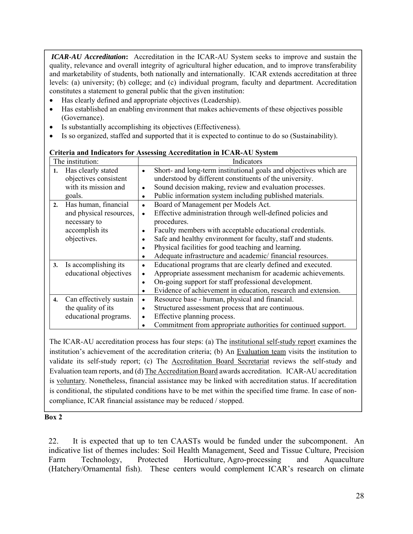*ICAR-AU Accreditation***:** Accreditation in the ICAR-AU System seeks to improve and sustain the quality, relevance and overall integrity of agricultural higher education, and to improve transferability and marketability of students, both nationally and internationally. ICAR extends accreditation at three levels: (a) university; (b) college; and (c) individual program, faculty and department. Accreditation constitutes a statement to general public that the given institution:

- Has clearly defined and appropriate objectives (Leadership).
- Has established an enabling environment that makes achievements of these objectives possible (Governance).
- Is substantially accomplishing its objectives (Effectiveness).
- Is so organized, staffed and supported that it is expected to continue to do so (Sustainability).

|    | The institution:        |           | Indicators                                                        |
|----|-------------------------|-----------|-------------------------------------------------------------------|
| 1. | Has clearly stated      | ٠         | Short- and long-term institutional goals and objectives which are |
|    | objectives consistent   |           | understood by different constituents of the university.           |
|    | with its mission and    | $\bullet$ | Sound decision making, review and evaluation processes.           |
|    | goals.                  | $\bullet$ | Public information system including published materials.          |
| 2. | Has human, financial    | $\bullet$ | Board of Management per Models Act.                               |
|    | and physical resources, | $\bullet$ | Effective administration through well-defined policies and        |
|    | necessary to            |           | procedures.                                                       |
|    | accomplish its          | ٠         | Faculty members with acceptable educational credentials.          |
|    | objectives.             |           | Safe and healthy environment for faculty, staff and students.     |
|    |                         | ٠         | Physical facilities for good teaching and learning.               |
|    |                         |           | Adequate infrastructure and academic/financial resources.         |
| 3. | Is accomplishing its    | ٠         | Educational programs that are clearly defined and executed.       |
|    | educational objectives  |           | Appropriate assessment mechanism for academic achievements.       |
|    |                         | ٠         | On-going support for staff professional development.              |
|    |                         | ٠         | Evidence of achievement in education, research and extension.     |
| 4. | Can effectively sustain | ٠         | Resource base - human, physical and financial.                    |
|    | the quality of its      | ٠         | Structured assessment process that are continuous.                |
|    | educational programs.   | $\bullet$ | Effective planning process.                                       |
|    |                         |           | Commitment from appropriate authorities for continued support.    |

#### **Criteria and Indicators for Assessing Accreditation in ICAR-AU System**

The ICAR-AU accreditation process has four steps: (a) The institutional self-study report examines the institution's achievement of the accreditation criteria; (b) An Evaluation team visits the institution to validate its self-study report; (c) The Accreditation Board Secretariat reviews the self-study and Evaluation team reports, and (d) The Accreditation Board awards accreditation. ICAR-AU accreditation is voluntary. Nonetheless, financial assistance may be linked with accreditation status. If accreditation is conditional, the stipulated conditions have to be met within the specified time frame. In case of noncompliance, ICAR financial assistance may be reduced / stopped.

#### **Box 2**

22. It is expected that up to ten CAASTs would be funded under the subcomponent. An indicative list of themes includes: Soil Health Management, Seed and Tissue Culture, Precision Farm Technology, Protected Horticulture, Agro-processing and Aquaculture (Hatchery/Ornamental fish). These centers would complement ICAR's research on climate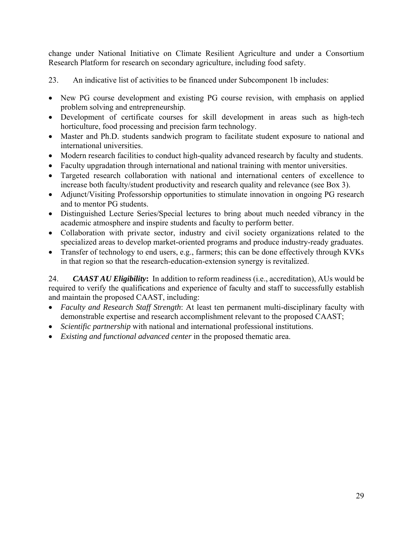change under National Initiative on Climate Resilient Agriculture and under a Consortium Research Platform for research on secondary agriculture, including food safety.

23. An indicative list of activities to be financed under Subcomponent 1b includes:

- New PG course development and existing PG course revision, with emphasis on applied problem solving and entrepreneurship.
- Development of certificate courses for skill development in areas such as high-tech horticulture, food processing and precision farm technology.
- Master and Ph.D. students sandwich program to facilitate student exposure to national and international universities.
- Modern research facilities to conduct high-quality advanced research by faculty and students.
- Faculty upgradation through international and national training with mentor universities.
- Targeted research collaboration with national and international centers of excellence to increase both faculty/student productivity and research quality and relevance (see Box 3).
- Adjunct/Visiting Professorship opportunities to stimulate innovation in ongoing PG research and to mentor PG students.
- Distinguished Lecture Series/Special lectures to bring about much needed vibrancy in the academic atmosphere and inspire students and faculty to perform better.
- Collaboration with private sector, industry and civil society organizations related to the specialized areas to develop market-oriented programs and produce industry-ready graduates.
- Transfer of technology to end users, e.g., farmers; this can be done effectively through KVKs in that region so that the research-education-extension synergy is revitalized.

24. *CAAST AU Eligibility***:** In addition to reform readiness (i.e., accreditation), AUs would be required to verify the qualifications and experience of faculty and staff to successfully establish and maintain the proposed CAAST, including:

- *Faculty and Research Staff Strength*: At least ten permanent multi-disciplinary faculty with demonstrable expertise and research accomplishment relevant to the proposed CAAST;
- *Scientific partnership* with national and international professional institutions.
- *Existing and functional advanced center* in the proposed thematic area.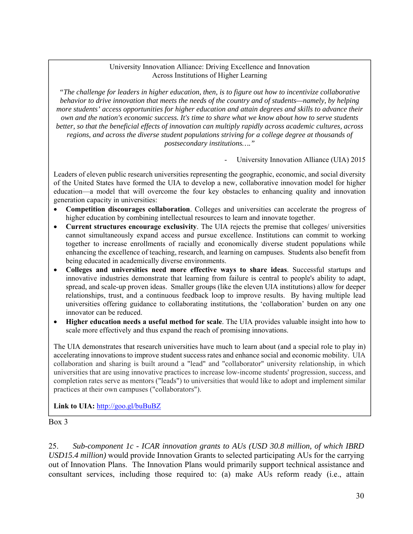#### University Innovation Alliance: Driving Excellence and Innovation Across Institutions of Higher Learning

*"The challenge for leaders in higher education, then, is to figure out how to incentivize collaborative behavior to drive innovation that meets the needs of the country and of students—namely, by helping more students' access opportunities for higher education and attain degrees and skills to advance their own and the nation's economic success. It's time to share what we know about how to serve students better, so that the beneficial effects of innovation can multiply rapidly across academic cultures, across regions, and across the diverse student populations striving for a college degree at thousands of postsecondary institutions…."* 

University Innovation Alliance (UIA) 2015

Leaders of eleven public research universities representing the geographic, economic, and social diversity of the United States have formed the UIA to develop a new, collaborative innovation model for higher education—a model that will overcome the four key obstacles to enhancing quality and innovation generation capacity in universities:

- **Competition discourages collaboration**. Colleges and universities can accelerate the progress of higher education by combining intellectual resources to learn and innovate together.
- **Current structures encourage exclusivity**. The UIA rejects the premise that colleges/ universities cannot simultaneously expand access and pursue excellence. Institutions can commit to working together to increase enrollments of racially and economically diverse student populations while enhancing the excellence of teaching, research, and learning on campuses. Students also benefit from being educated in academically diverse environments.
- **Colleges and universities need more effective ways to share ideas**. Successful startups and innovative industries demonstrate that learning from failure is central to people's ability to adapt, spread, and scale-up proven ideas. Smaller groups (like the eleven UIA institutions) allow for deeper relationships, trust, and a continuous feedback loop to improve results. By having multiple lead universities offering guidance to collaborating institutions, the 'collaboration' burden on any one innovator can be reduced.
- **Higher education needs a useful method for scale**. The UIA provides valuable insight into how to scale more effectively and thus expand the reach of promising innovations.

The UIA demonstrates that research universities have much to learn about (and a special role to play in) accelerating innovations to improve student success rates and enhance social and economic mobility. UIA collaboration and sharing is built around a "lead" and "collaborator" university relationship, in which universities that are using innovative practices to increase low-income students' progression, success, and completion rates serve as mentors ("leads") to universities that would like to adopt and implement similar practices at their own campuses ("collaborators").

Link to UIA: http://goo.gl/buBuBZ

Box 3

25. *Sub-component 1c - ICAR innovation grants to AUs (USD 30.8 million, of which IBRD USD15.4 million)* would provide Innovation Grants to selected participating AUs for the carrying out of Innovation Plans. The Innovation Plans would primarily support technical assistance and consultant services, including those required to: (a) make AUs reform ready (i.e., attain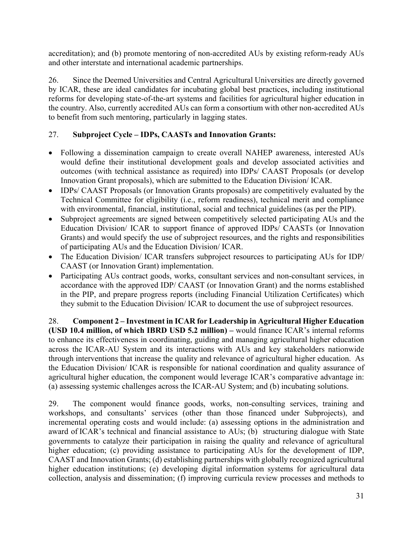accreditation); and (b) promote mentoring of non-accredited AUs by existing reform-ready AUs and other interstate and international academic partnerships.

26. Since the Deemed Universities and Central Agricultural Universities are directly governed by ICAR, these are ideal candidates for incubating global best practices, including institutional reforms for developing state-of-the-art systems and facilities for agricultural higher education in the country. Also, currently accredited AUs can form a consortium with other non-accredited AUs to benefit from such mentoring, particularly in lagging states.

## 27. **Subproject Cycle – IDPs, CAASTs and Innovation Grants:**

- Following a dissemination campaign to create overall NAHEP awareness, interested AUs would define their institutional development goals and develop associated activities and outcomes (with technical assistance as required) into IDPs/ CAAST Proposals (or develop Innovation Grant proposals), which are submitted to the Education Division/ ICAR.
- IDPs/ CAAST Proposals (or Innovation Grants proposals) are competitively evaluated by the Technical Committee for eligibility (i.e., reform readiness), technical merit and compliance with environmental, financial, institutional, social and technical guidelines (as per the PIP).
- Subproject agreements are signed between competitively selected participating AUs and the Education Division/ ICAR to support finance of approved IDPs/ CAASTs (or Innovation Grants) and would specify the use of subproject resources, and the rights and responsibilities of participating AUs and the Education Division/ ICAR.
- The Education Division/ ICAR transfers subproject resources to participating AUs for IDP/ CAAST (or Innovation Grant) implementation.
- Participating AUs contract goods, works, consultant services and non-consultant services, in accordance with the approved IDP/ CAAST (or Innovation Grant) and the norms established in the PIP, and prepare progress reports (including Financial Utilization Certificates) which they submit to the Education Division/ ICAR to document the use of subproject resources.

28. **Component 2 – Investment in ICAR for Leadership in Agricultural Higher Education (USD 10.4 million, of which IBRD USD 5.2 million) –** would finance ICAR's internal reforms to enhance its effectiveness in coordinating, guiding and managing agricultural higher education across the ICAR-AU System and its interactions with AUs and key stakeholders nationwide through interventions that increase the quality and relevance of agricultural higher education. As the Education Division/ ICAR is responsible for national coordination and quality assurance of agricultural higher education, the component would leverage ICAR's comparative advantage in: (a) assessing systemic challenges across the ICAR-AU System; and (b) incubating solutions.

29. The component would finance goods, works, non-consulting services, training and workshops, and consultants' services (other than those financed under Subprojects), and incremental operating costs and would include: (a) assessing options in the administration and award of ICAR's technical and financial assistance to AUs; (b) structuring dialogue with State governments to catalyze their participation in raising the quality and relevance of agricultural higher education; (c) providing assistance to participating AUs for the development of IDP, CAAST and Innovation Grants; (d) establishing partnerships with globally recognized agricultural higher education institutions; (e) developing digital information systems for agricultural data collection, analysis and dissemination; (f) improving curricula review processes and methods to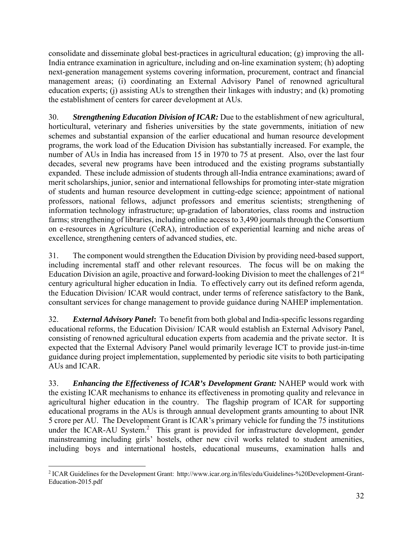consolidate and disseminate global best-practices in agricultural education; (g) improving the all-India entrance examination in agriculture, including and on-line examination system; (h) adopting next-generation management systems covering information, procurement, contract and financial management areas; (i) coordinating an External Advisory Panel of renowned agricultural education experts; (j) assisting AUs to strengthen their linkages with industry; and (k) promoting the establishment of centers for career development at AUs.

30. *Strengthening Education Division of ICAR:* Due to the establishment of new agricultural, horticultural, veterinary and fisheries universities by the state governments, initiation of new schemes and substantial expansion of the earlier educational and human resource development programs, the work load of the Education Division has substantially increased. For example, the number of AUs in India has increased from 15 in 1970 to 75 at present. Also, over the last four decades, several new programs have been introduced and the existing programs substantially expanded. These include admission of students through all-India entrance examinations; award of merit scholarships, junior, senior and international fellowships for promoting inter-state migration of students and human resource development in cutting-edge science; appointment of national professors, national fellows, adjunct professors and emeritus scientists; strengthening of information technology infrastructure; up-gradation of laboratories, class rooms and instruction farms; strengthening of libraries, including online access to 3,490 journals through the Consortium on e-resources in Agriculture (CeRA), introduction of experiential learning and niche areas of excellence, strengthening centers of advanced studies, etc.

31. The component would strengthen the Education Division by providing need-based support, including incremental staff and other relevant resources. The focus will be on making the Education Division an agile, proactive and forward-looking Division to meet the challenges of 21st century agricultural higher education in India. To effectively carry out its defined reform agenda, the Education Division/ ICAR would contract, under terms of reference satisfactory to the Bank, consultant services for change management to provide guidance during NAHEP implementation.

32. *External Advisory Panel***:** To benefit from both global and India-specific lessons regarding educational reforms, the Education Division/ ICAR would establish an External Advisory Panel, consisting of renowned agricultural education experts from academia and the private sector. It is expected that the External Advisory Panel would primarily leverage ICT to provide just-in-time guidance during project implementation, supplemented by periodic site visits to both participating AUs and ICAR.

33. *Enhancing the Effectiveness of ICAR's Development Grant:* NAHEP would work with the existing ICAR mechanisms to enhance its effectiveness in promoting quality and relevance in agricultural higher education in the country. The flagship program of ICAR for supporting educational programs in the AUs is through annual development grants amounting to about INR 5 crore per AU. The Development Grant is ICAR's primary vehicle for funding the 75 institutions under the ICAR-AU System.<sup>2</sup> This grant is provided for infrastructure development, gender mainstreaming including girls' hostels, other new civil works related to student amenities, including boys and international hostels, educational museums, examination halls and

 $\overline{a}$ 2 ICAR Guidelines for the Development Grant: http://www.icar.org.in/files/edu/Guidelines-%20Development-Grant-Education-2015.pdf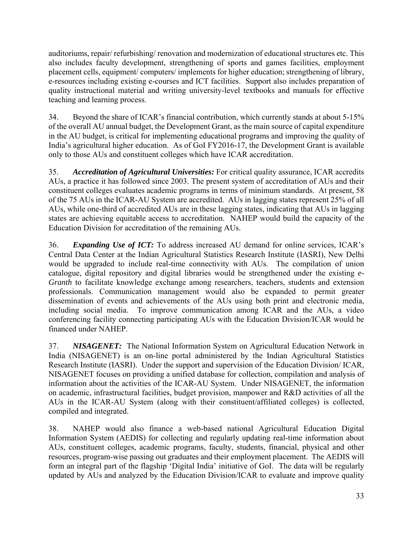auditoriums, repair/ refurbishing/ renovation and modernization of educational structures etc. This also includes faculty development, strengthening of sports and games facilities, employment placement cells, equipment/ computers/ implements for higher education; strengthening of library, e-resources including existing e-courses and ICT facilities. Support also includes preparation of quality instructional material and writing university-level textbooks and manuals for effective teaching and learning process.

34. Beyond the share of ICAR's financial contribution, which currently stands at about 5-15% of the overall AU annual budget, the Development Grant, as the main source of capital expenditure in the AU budget, is critical for implementing educational programs and improving the quality of India's agricultural higher education. As of GoI FY2016-17, the Development Grant is available only to those AUs and constituent colleges which have ICAR accreditation.

35. *Accreditation of Agricultural Universities:* For critical quality assurance, ICAR accredits AUs, a practice it has followed since 2003. The present system of accreditation of AUs and their constituent colleges evaluates academic programs in terms of minimum standards. At present, 58 of the 75 AUs in the ICAR-AU System are accredited. AUs in lagging states represent 25% of all AUs, while one-third of accredited AUs are in these lagging states, indicating that AUs in lagging states are achieving equitable access to accreditation. NAHEP would build the capacity of the Education Division for accreditation of the remaining AUs.

36. *Expanding Use of ICT:* To address increased AU demand for online services, ICAR's Central Data Center at the Indian Agricultural Statistics Research Institute (IASRI), New Delhi would be upgraded to include real-time connectivity with AUs. The compilation of union catalogue, digital repository and digital libraries would be strengthened under the existing *e-Granth* to facilitate knowledge exchange among researchers, teachers, students and extension professionals. Communication management would also be expanded to permit greater dissemination of events and achievements of the AUs using both print and electronic media, including social media. To improve communication among ICAR and the AUs, a video conferencing facility connecting participating AUs with the Education Division/ICAR would be financed under NAHEP.

37. *NISAGENET:* The National Information System on Agricultural Education Network in India (NISAGENET) is an on-line portal administered by the Indian Agricultural Statistics Research Institute (IASRI). Under the support and supervision of the Education Division/ ICAR, NISAGENET focuses on providing a unified database for collection, compilation and analysis of information about the activities of the ICAR-AU System. Under NISAGENET, the information on academic, infrastructural facilities, budget provision, manpower and R&D activities of all the AUs in the ICAR-AU System (along with their constituent/affiliated colleges) is collected, compiled and integrated.

38. NAHEP would also finance a web-based national Agricultural Education Digital Information System (AEDIS) for collecting and regularly updating real-time information about AUs, constituent colleges, academic programs, faculty, students, financial, physical and other resources, program-wise passing out graduates and their employment placement. The AEDIS will form an integral part of the flagship 'Digital India' initiative of GoI. The data will be regularly updated by AUs and analyzed by the Education Division/ICAR to evaluate and improve quality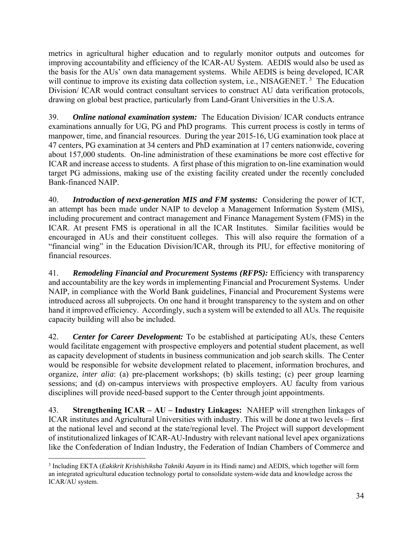metrics in agricultural higher education and to regularly monitor outputs and outcomes for improving accountability and efficiency of the ICAR-AU System. AEDIS would also be used as the basis for the AUs' own data management systems. While AEDIS is being developed, ICAR will continue to improve its existing data collection system, i.e., NISAGENET.<sup>3</sup> The Education Division/ ICAR would contract consultant services to construct AU data verification protocols, drawing on global best practice, particularly from Land-Grant Universities in the U.S.A.

39. *Online national examination system:* The Education Division/ ICAR conducts entrance examinations annually for UG, PG and PhD programs. This current process is costly in terms of manpower, time, and financial resources. During the year 2015-16, UG examination took place at 47 centers, PG examination at 34 centers and PhD examination at 17 centers nationwide, covering about 157,000 students. On-line administration of these examinations be more cost effective for ICAR and increase access to students. A first phase of this migration to on-line examination would target PG admissions, making use of the existing facility created under the recently concluded Bank-financed NAIP.

40. *Introduction of next-generation MIS and FM systems:* Considering the power of ICT, an attempt has been made under NAIP to develop a Management Information System (MIS), including procurement and contract management and Finance Management System (FMS) in the ICAR. At present FMS is operational in all the ICAR Institutes. Similar facilities would be encouraged in AUs and their constituent colleges. This will also require the formation of a "financial wing" in the Education Division/ICAR, through its PIU, for effective monitoring of financial resources.

41. *Remodeling Financial and Procurement Systems (RFPS):* Efficiency with transparency and accountability are the key words in implementing Financial and Procurement Systems. Under NAIP, in compliance with the World Bank guidelines, Financial and Procurement Systems were introduced across all subprojects. On one hand it brought transparency to the system and on other hand it improved efficiency. Accordingly, such a system will be extended to all AUs. The requisite capacity building will also be included.

42. *Center for Career Development:* To be established at participating AUs, these Centers would facilitate engagement with prospective employers and potential student placement, as well as capacity development of students in business communication and job search skills. The Center would be responsible for website development related to placement, information brochures, and organize, *inter alia*: (a) pre-placement workshops; (b) skills testing; (c) peer group learning sessions; and (d) on-campus interviews with prospective employers. AU faculty from various disciplines will provide need-based support to the Center through joint appointments.

43. **Strengthening ICAR – AU – Industry Linkages:** NAHEP will strengthen linkages of ICAR institutes and Agricultural Universities with industry. This will be done at two levels – first at the national level and second at the state/regional level. The Project will support development of institutionalized linkages of ICAR-AU-Industry with relevant national level apex organizations like the Confederation of Indian Industry, the Federation of Indian Chambers of Commerce and

 $\overline{a}$ 

<sup>3</sup> Including EKTA (*Eakikrit Krishishiksha Takniki Aayam* in its Hindi name) and AEDIS, which together will form an integrated agricultural education technology portal to consolidate system-wide data and knowledge across the ICAR/AU system.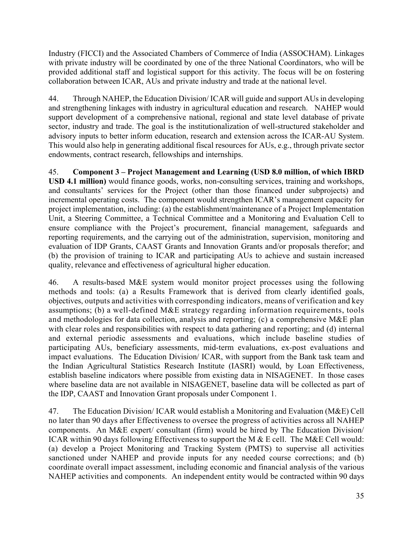Industry (FICCI) and the Associated Chambers of Commerce of India (ASSOCHAM). Linkages with private industry will be coordinated by one of the three National Coordinators, who will be provided additional staff and logistical support for this activity. The focus will be on fostering collaboration between ICAR, AUs and private industry and trade at the national level.

44. Through NAHEP, the Education Division/ ICAR will guide and support AUs in developing and strengthening linkages with industry in agricultural education and research. NAHEP would support development of a comprehensive national, regional and state level database of private sector, industry and trade. The goal is the institutionalization of well-structured stakeholder and advisory inputs to better inform education, research and extension across the ICAR-AU System. This would also help in generating additional fiscal resources for AUs, e.g., through private sector endowments, contract research, fellowships and internships.

45. **Component 3 – Project Management and Learning (USD 8.0 million, of which IBRD USD 4.1 million)** would finance goods, works, non-consulting services, training and workshops, and consultants' services for the Project (other than those financed under subprojects) and incremental operating costs. The component would strengthen ICAR's management capacity for project implementation, including: (a) the establishment/maintenance of a Project Implementation Unit, a Steering Committee, a Technical Committee and a Monitoring and Evaluation Cell to ensure compliance with the Project's procurement, financial management, safeguards and reporting requirements, and the carrying out of the administration, supervision, monitoring and evaluation of IDP Grants, CAAST Grants and Innovation Grants and/or proposals therefor; and (b) the provision of training to ICAR and participating AUs to achieve and sustain increased quality, relevance and effectiveness of agricultural higher education.

46. A results-based M&E system would monitor project processes using the following methods and tools: (a) a Results Framework that is derived from clearly identified goals, objectives, outputs and activities with corresponding indicators, means of verification and key assumptions; (b) a well-defined M&E strategy regarding information requirements, tools and methodologies for data collection, analysis and reporting; (c) a comprehensive M&E plan with clear roles and responsibilities with respect to data gathering and reporting; and (d) internal and external periodic assessments and evaluations, which include baseline studies of participating AUs, beneficiary assessments, mid-term evaluations, ex-post evaluations and impact evaluations. The Education Division/ ICAR, with support from the Bank task team and the Indian Agricultural Statistics Research Institute (IASRI) would, by Loan Effectiveness, establish baseline indicators where possible from existing data in NISAGENET. In those cases where baseline data are not available in NISAGENET, baseline data will be collected as part of the IDP, CAAST and Innovation Grant proposals under Component 1.

47. The Education Division/ ICAR would establish a Monitoring and Evaluation (M&E) Cell no later than 90 days after Effectiveness to oversee the progress of activities across all NAHEP components. An M&E expert/ consultant (firm) would be hired by The Education Division/ ICAR within 90 days following Effectiveness to support the M & E cell. The M&E Cell would: (a) develop a Project Monitoring and Tracking System (PMTS) to supervise all activities sanctioned under NAHEP and provide inputs for any needed course corrections; and (b) coordinate overall impact assessment, including economic and financial analysis of the various NAHEP activities and components. An independent entity would be contracted within 90 days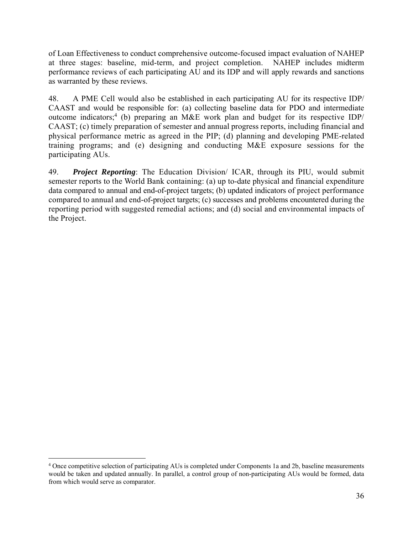of Loan Effectiveness to conduct comprehensive outcome-focused impact evaluation of NAHEP at three stages: baseline, mid-term, and project completion. NAHEP includes midterm performance reviews of each participating AU and its IDP and will apply rewards and sanctions as warranted by these reviews.

48. A PME Cell would also be established in each participating AU for its respective IDP/ CAAST and would be responsible for: (a) collecting baseline data for PDO and intermediate outcome indicators;<sup>4</sup> (b) preparing an M&E work plan and budget for its respective IDP/ CAAST; (c) timely preparation of semester and annual progress reports, including financial and physical performance metric as agreed in the PIP; (d) planning and developing PME-related training programs; and (e) designing and conducting M&E exposure sessions for the participating AUs.

49. *Project Reporting*: The Education Division/ ICAR, through its PIU, would submit semester reports to the World Bank containing: (a) up to-date physical and financial expenditure data compared to annual and end-of-project targets; (b) updated indicators of project performance compared to annual and end-of-project targets; (c) successes and problems encountered during the reporting period with suggested remedial actions; and (d) social and environmental impacts of the Project.

1

<sup>4</sup> Once competitive selection of participating AUs is completed under Components 1a and 2b, baseline measurements would be taken and updated annually. In parallel, a control group of non-participating AUs would be formed, data from which would serve as comparator.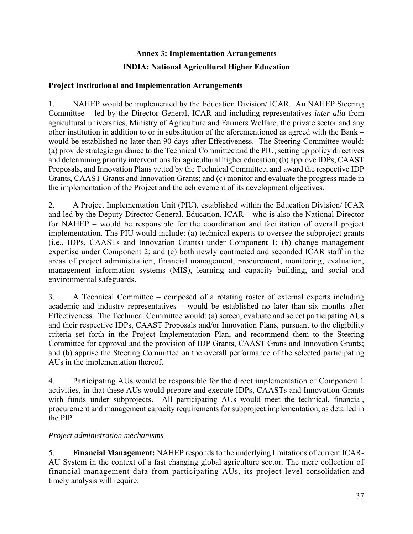# **Annex 3: Implementation Arrangements INDIA: National Agricultural Higher Education**

## **Project Institutional and Implementation Arrangements**

1. NAHEP would be implemented by the Education Division/ ICAR. An NAHEP Steering Committee – led by the Director General, ICAR and including representatives *inter alia* from agricultural universities, Ministry of Agriculture and Farmers Welfare, the private sector and any other institution in addition to or in substitution of the aforementioned as agreed with the Bank – would be established no later than 90 days after Effectiveness. The Steering Committee would: (a) provide strategic guidance to the Technical Committee and the PIU, setting up policy directives and determining priority interventions for agricultural higher education; (b) approve IDPs, CAAST Proposals, and Innovation Plans vetted by the Technical Committee, and award the respective IDP Grants, CAAST Grants and Innovation Grants; and (c) monitor and evaluate the progress made in the implementation of the Project and the achievement of its development objectives.

2. A Project Implementation Unit (PIU), established within the Education Division/ ICAR and led by the Deputy Director General, Education, ICAR – who is also the National Director for NAHEP – would be responsible for the coordination and facilitation of overall project implementation. The PIU would include: (a) technical experts to oversee the subproject grants (i.e., IDPs, CAASTs and Innovation Grants) under Component 1; (b) change management expertise under Component 2; and (c) both newly contracted and seconded ICAR staff in the areas of project administration, financial management, procurement, monitoring, evaluation, management information systems (MIS), learning and capacity building, and social and environmental safeguards.

3. A Technical Committee – composed of a rotating roster of external experts including academic and industry representatives – would be established no later than six months after Effectiveness. The Technical Committee would: (a) screen, evaluate and select participating AUs and their respective IDPs, CAAST Proposals and/or Innovation Plans, pursuant to the eligibility criteria set forth in the Project Implementation Plan, and recommend them to the Steering Committee for approval and the provision of IDP Grants, CAAST Grans and Innovation Grants; and (b) apprise the Steering Committee on the overall performance of the selected participating AUs in the implementation thereof.

4. Participating AUs would be responsible for the direct implementation of Component 1 activities, in that these AUs would prepare and execute IDPs, CAASTs and Innovation Grants with funds under subprojects. All participating AUs would meet the technical, financial, procurement and management capacity requirements for subproject implementation, as detailed in the PIP.

# *Project administration mechanisms*

5. **Financial Management:** NAHEP responds to the underlying limitations of current ICAR-AU System in the context of a fast changing global agriculture sector. The mere collection of financial management data from participating AUs, its project-level consolidation and timely analysis will require: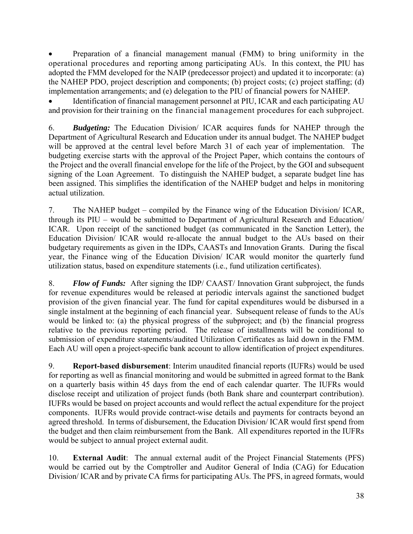Preparation of a financial management manual (FMM) to bring uniformity in the operational procedures and reporting among participating AUs. In this context, the PIU has adopted the FMM developed for the NAIP (predecessor project) and updated it to incorporate: (a) the NAHEP PDO, project description and components; (b) project costs; (c) project staffing; (d) implementation arrangements; and (e) delegation to the PIU of financial powers for NAHEP.

 Identification of financial management personnel at PIU, ICAR and each participating AU and provision for their training on the financial management procedures for each subproject.

6. *Budgeting:* The Education Division/ ICAR acquires funds for NAHEP through the Department of Agricultural Research and Education under its annual budget. The NAHEP budget will be approved at the central level before March 31 of each year of implementation. The budgeting exercise starts with the approval of the Project Paper, which contains the contours of the Project and the overall financial envelope for the life of the Project, by the GOI and subsequent signing of the Loan Agreement. To distinguish the NAHEP budget, a separate budget line has been assigned. This simplifies the identification of the NAHEP budget and helps in monitoring actual utilization.

7. The NAHEP budget – compiled by the Finance wing of the Education Division/ ICAR, through its PIU – would be submitted to Department of Agricultural Research and Education/ ICAR. Upon receipt of the sanctioned budget (as communicated in the Sanction Letter), the Education Division/ ICAR would re-allocate the annual budget to the AUs based on their budgetary requirements as given in the IDPs, CAASTs and Innovation Grants. During the fiscal year, the Finance wing of the Education Division/ ICAR would monitor the quarterly fund utilization status, based on expenditure statements (i.e., fund utilization certificates).

8. *Flow of Funds:* After signing the IDP/ CAAST/ Innovation Grant subproject, the funds for revenue expenditures would be released at periodic intervals against the sanctioned budget provision of the given financial year. The fund for capital expenditures would be disbursed in a single instalment at the beginning of each financial year. Subsequent release of funds to the AUs would be linked to: (a) the physical progress of the subproject; and (b) the financial progress relative to the previous reporting period. The release of installments will be conditional to submission of expenditure statements/audited Utilization Certificates as laid down in the FMM. Each AU will open a project-specific bank account to allow identification of project expenditures.

9. **Report-based disbursement**: Interim unaudited financial reports (IUFRs) would be used for reporting as well as financial monitoring and would be submitted in agreed format to the Bank on a quarterly basis within 45 days from the end of each calendar quarter. The IUFRs would disclose receipt and utilization of project funds (both Bank share and counterpart contribution). IUFRs would be based on project accounts and would reflect the actual expenditure for the project components. IUFRs would provide contract-wise details and payments for contracts beyond an agreed threshold. In terms of disbursement, the Education Division/ ICAR would first spend from the budget and then claim reimbursement from the Bank. All expenditures reported in the IUFRs would be subject to annual project external audit.

10. **External Audit**: The annual external audit of the Project Financial Statements (PFS) would be carried out by the Comptroller and Auditor General of India (CAG) for Education Division/ ICAR and by private CA firms for participating AUs. The PFS, in agreed formats, would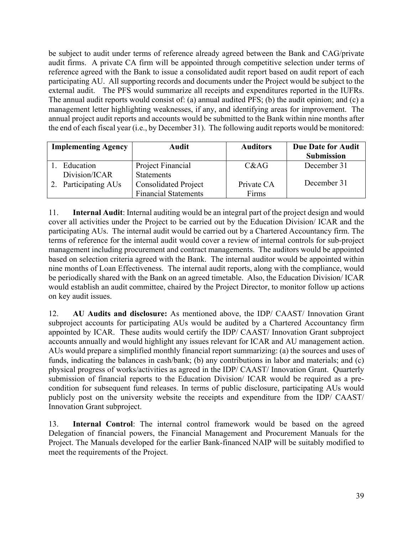be subject to audit under terms of reference already agreed between the Bank and CAG/private audit firms. A private CA firm will be appointed through competitive selection under terms of reference agreed with the Bank to issue a consolidated audit report based on audit report of each participating AU. All supporting records and documents under the Project would be subject to the external audit. The PFS would summarize all receipts and expenditures reported in the IUFRs. The annual audit reports would consist of: (a) annual audited PFS; (b) the audit opinion; and (c) a management letter highlighting weaknesses, if any, and identifying areas for improvement. The annual project audit reports and accounts would be submitted to the Bank within nine months after the end of each fiscal year (i.e., by December 31). The following audit reports would be monitored:

| <b>Implementing Agency</b> | <b>Audit</b>                | <b>Auditors</b> | <b>Due Date for Audit</b> |
|----------------------------|-----------------------------|-----------------|---------------------------|
|                            |                             |                 | <b>Submission</b>         |
| Education                  | Project Financial           | C&AG            | December 31               |
| Division/ICAR              | <b>Statements</b>           |                 |                           |
| Participating AUs          | <b>Consolidated Project</b> | Private CA      | December 31               |
|                            | <b>Financial Statements</b> | Firms           |                           |

11. **Internal Audit**: Internal auditing would be an integral part of the project design and would cover all activities under the Project to be carried out by the Education Division/ ICAR and the participating AUs. The internal audit would be carried out by a Chartered Accountancy firm. The terms of reference for the internal audit would cover a review of internal controls for sub-project management including procurement and contract managements. The auditors would be appointed based on selection criteria agreed with the Bank. The internal auditor would be appointed within nine months of Loan Effectiveness. The internal audit reports, along with the compliance, would be periodically shared with the Bank on an agreed timetable. Also, the Education Division/ ICAR would establish an audit committee, chaired by the Project Director, to monitor follow up actions on key audit issues.

12. **AU Audits and disclosure:** As mentioned above, the IDP/ CAAST/ Innovation Grant subproject accounts for participating AUs would be audited by a Chartered Accountancy firm appointed by ICAR. These audits would certify the IDP/ CAAST/ Innovation Grant subproject accounts annually and would highlight any issues relevant for ICAR and AU management action. AUs would prepare a simplified monthly financial report summarizing: (a) the sources and uses of funds, indicating the balances in cash/bank; (b) any contributions in labor and materials; and (c) physical progress of works/activities as agreed in the IDP/ CAAST/ Innovation Grant. Quarterly submission of financial reports to the Education Division/ ICAR would be required as a precondition for subsequent fund releases. In terms of public disclosure, participating AUs would publicly post on the university website the receipts and expenditure from the IDP/ CAAST/ Innovation Grant subproject.

13. **Internal Control**: The internal control framework would be based on the agreed Delegation of financial powers, the Financial Management and Procurement Manuals for the Project. The Manuals developed for the earlier Bank-financed NAIP will be suitably modified to meet the requirements of the Project.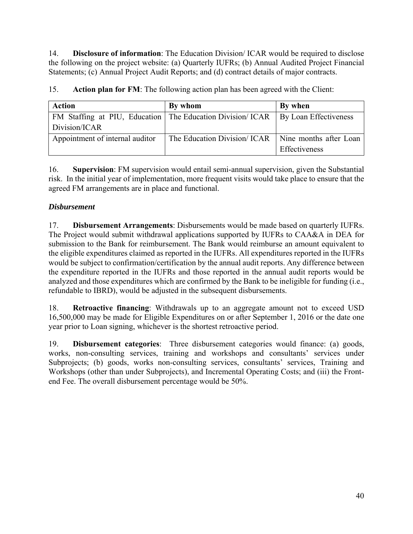14. **Disclosure of information**: The Education Division/ ICAR would be required to disclose the following on the project website: (a) Quarterly IUFRs; (b) Annual Audited Project Financial Statements; (c) Annual Project Audit Reports; and (d) contract details of major contracts.

15. **Action plan for FM**: The following action plan has been agreed with the Client:

| <b>Action</b>                                                | By whom                      | By when                |
|--------------------------------------------------------------|------------------------------|------------------------|
| FM Staffing at PIU, Education   The Education Division/ ICAR |                              | By Loan Effectiveness  |
| Division/ICAR                                                |                              |                        |
| Appointment of internal auditor                              | The Education Division/ ICAR | Nine months after Loan |
|                                                              |                              | Effectiveness          |

16. **Supervision**: FM supervision would entail semi-annual supervision, given the Substantial risk. In the initial year of implementation, more frequent visits would take place to ensure that the agreed FM arrangements are in place and functional.

# *Disbursement*

17. **Disbursement Arrangements**: Disbursements would be made based on quarterly IUFRs. The Project would submit withdrawal applications supported by IUFRs to CAA&A in DEA for submission to the Bank for reimbursement. The Bank would reimburse an amount equivalent to the eligible expenditures claimed as reported in the IUFRs. All expenditures reported in the IUFRs would be subject to confirmation/certification by the annual audit reports. Any difference between the expenditure reported in the IUFRs and those reported in the annual audit reports would be analyzed and those expenditures which are confirmed by the Bank to be ineligible for funding (i.e., refundable to IBRD), would be adjusted in the subsequent disbursements.

18. **Retroactive financing**: Withdrawals up to an aggregate amount not to exceed USD 16,500,000 may be made for Eligible Expenditures on or after September 1, 2016 or the date one year prior to Loan signing, whichever is the shortest retroactive period.

19. **Disbursement categories**: Three disbursement categories would finance: (a) goods, works, non-consulting services, training and workshops and consultants' services under Subprojects; (b) goods, works non-consulting services, consultants' services, Training and Workshops (other than under Subprojects), and Incremental Operating Costs; and (iii) the Frontend Fee. The overall disbursement percentage would be 50%.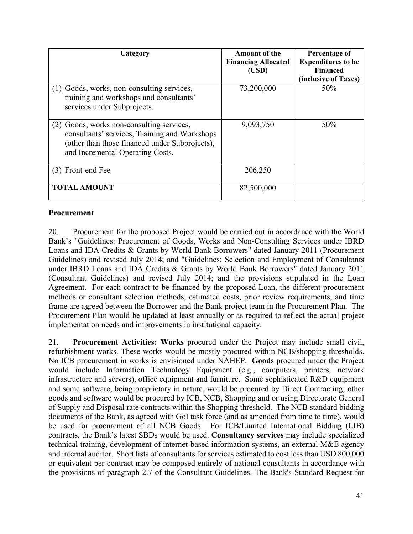| Category                                                                                                                                                                         | <b>Amount of the</b><br><b>Financing Allocated</b><br>(USD) | Percentage of<br><b>Expenditures to be</b><br><b>Financed</b><br>(inclusive of Taxes) |
|----------------------------------------------------------------------------------------------------------------------------------------------------------------------------------|-------------------------------------------------------------|---------------------------------------------------------------------------------------|
| (1) Goods, works, non-consulting services,<br>training and workshops and consultants'<br>services under Subprojects.                                                             | 73,200,000                                                  | 50%                                                                                   |
| (2) Goods, works non-consulting services,<br>consultants' services, Training and Workshops<br>(other than those financed under Subprojects),<br>and Incremental Operating Costs. | 9,093,750                                                   | 50%                                                                                   |
| (3) Front-end Fee                                                                                                                                                                | 206,250                                                     |                                                                                       |
| <b>TOTAL AMOUNT</b>                                                                                                                                                              | 82,500,000                                                  |                                                                                       |

#### **Procurement**

20. Procurement for the proposed Project would be carried out in accordance with the World Bank's "Guidelines: Procurement of Goods, Works and Non-Consulting Services under IBRD Loans and IDA Credits & Grants by World Bank Borrowers" dated January 2011 (Procurement Guidelines) and revised July 2014; and "Guidelines: Selection and Employment of Consultants under IBRD Loans and IDA Credits & Grants by World Bank Borrowers" dated January 2011 (Consultant Guidelines) and revised July 2014; and the provisions stipulated in the Loan Agreement. For each contract to be financed by the proposed Loan, the different procurement methods or consultant selection methods, estimated costs, prior review requirements, and time frame are agreed between the Borrower and the Bank project team in the Procurement Plan. The Procurement Plan would be updated at least annually or as required to reflect the actual project implementation needs and improvements in institutional capacity.

21. **Procurement Activities: Works** procured under the Project may include small civil, refurbishment works. These works would be mostly procured within NCB/shopping thresholds. No ICB procurement in works is envisioned under NAHEP. **Goods** procured under the Project would include Information Technology Equipment (e.g., computers, printers, network infrastructure and servers), office equipment and furniture. Some sophisticated R&D equipment and some software, being proprietary in nature, would be procured by Direct Contracting; other goods and software would be procured by ICB, NCB, Shopping and or using Directorate General of Supply and Disposal rate contracts within the Shopping threshold. The NCB standard bidding documents of the Bank, as agreed with GoI task force (and as amended from time to time), would be used for procurement of all NCB Goods. For ICB/Limited International Bidding (LIB) contracts, the Bank's latest SBDs would be used. **Consultancy services** may include specialized technical training, development of internet-based information systems, an external M&E agency and internal auditor. Short lists of consultants for services estimated to cost less than USD 800,000 or equivalent per contract may be composed entirely of national consultants in accordance with the provisions of paragraph 2.7 of the Consultant Guidelines. The Bank's Standard Request for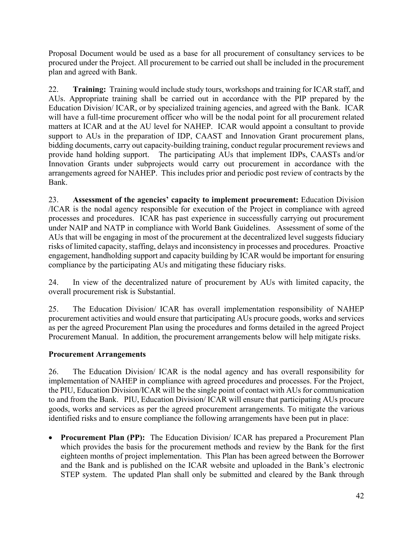Proposal Document would be used as a base for all procurement of consultancy services to be procured under the Project. All procurement to be carried out shall be included in the procurement plan and agreed with Bank.

22. **Training:** Training would include study tours, workshops and training for ICAR staff, and AUs. Appropriate training shall be carried out in accordance with the PIP prepared by the Education Division/ ICAR, or by specialized training agencies, and agreed with the Bank. ICAR will have a full-time procurement officer who will be the nodal point for all procurement related matters at ICAR and at the AU level for NAHEP. ICAR would appoint a consultant to provide support to AUs in the preparation of IDP, CAAST and Innovation Grant procurement plans, bidding documents, carry out capacity-building training, conduct regular procurement reviews and provide hand holding support. The participating AUs that implement IDPs, CAASTs and/or Innovation Grants under subprojects would carry out procurement in accordance with the arrangements agreed for NAHEP. This includes prior and periodic post review of contracts by the Bank.

23. **Assessment of the agencies' capacity to implement procurement:** Education Division /ICAR is the nodal agency responsible for execution of the Project in compliance with agreed processes and procedures. ICAR has past experience in successfully carrying out procurement under NAIP and NATP in compliance with World Bank Guidelines. Assessment of some of the AUs that will be engaging in most of the procurement at the decentralized level suggests fiduciary risks of limited capacity, staffing, delays and inconsistency in processes and procedures. Proactive engagement, handholding support and capacity building by ICAR would be important for ensuring compliance by the participating AUs and mitigating these fiduciary risks.

24. In view of the decentralized nature of procurement by AUs with limited capacity, the overall procurement risk is Substantial.

25. The Education Division/ ICAR has overall implementation responsibility of NAHEP procurement activities and would ensure that participating AUs procure goods, works and services as per the agreed Procurement Plan using the procedures and forms detailed in the agreed Project Procurement Manual. In addition, the procurement arrangements below will help mitigate risks.

# **Procurement Arrangements**

26. The Education Division/ ICAR is the nodal agency and has overall responsibility for implementation of NAHEP in compliance with agreed procedures and processes. For the Project, the PIU, Education Division/ICAR will be the single point of contact with AUs for communication to and from the Bank. PIU, Education Division/ ICAR will ensure that participating AUs procure goods, works and services as per the agreed procurement arrangements. To mitigate the various identified risks and to ensure compliance the following arrangements have been put in place:

 **Procurement Plan (PP):** The Education Division/ ICAR has prepared a Procurement Plan which provides the basis for the procurement methods and review by the Bank for the first eighteen months of project implementation. This Plan has been agreed between the Borrower and the Bank and is published on the ICAR website and uploaded in the Bank's electronic STEP system. The updated Plan shall only be submitted and cleared by the Bank through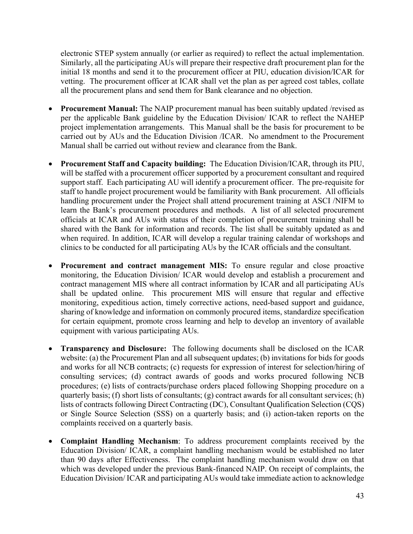electronic STEP system annually (or earlier as required) to reflect the actual implementation. Similarly, all the participating AUs will prepare their respective draft procurement plan for the initial 18 months and send it to the procurement officer at PIU, education division/ICAR for vetting. The procurement officer at ICAR shall vet the plan as per agreed cost tables, collate all the procurement plans and send them for Bank clearance and no objection.

- **Procurement Manual:** The NAIP procurement manual has been suitably updated /revised as per the applicable Bank guideline by the Education Division/ ICAR to reflect the NAHEP project implementation arrangements. This Manual shall be the basis for procurement to be carried out by AUs and the Education Division /ICAR. No amendment to the Procurement Manual shall be carried out without review and clearance from the Bank.
- **Procurement Staff and Capacity building:** The Education Division/ICAR, through its PIU, will be staffed with a procurement officer supported by a procurement consultant and required support staff. Each participating AU will identify a procurement officer. The pre-requisite for staff to handle project procurement would be familiarity with Bank procurement. All officials handling procurement under the Project shall attend procurement training at ASCI /NIFM to learn the Bank's procurement procedures and methods. A list of all selected procurement officials at ICAR and AUs with status of their completion of procurement training shall be shared with the Bank for information and records. The list shall be suitably updated as and when required. In addition, ICAR will develop a regular training calendar of workshops and clinics to be conducted for all participating AUs by the ICAR officials and the consultant.
- **Procurement and contract management MIS:** To ensure regular and close proactive monitoring, the Education Division/ ICAR would develop and establish a procurement and contract management MIS where all contract information by ICAR and all participating AUs shall be updated online. This procurement MIS will ensure that regular and effective monitoring, expeditious action, timely corrective actions, need-based support and guidance, sharing of knowledge and information on commonly procured items, standardize specification for certain equipment, promote cross learning and help to develop an inventory of available equipment with various participating AUs.
- **Transparency and Disclosure:** The following documents shall be disclosed on the ICAR website: (a) the Procurement Plan and all subsequent updates; (b) invitations for bids for goods and works for all NCB contracts; (c) requests for expression of interest for selection/hiring of consulting services; (d) contract awards of goods and works procured following NCB procedures; (e) lists of contracts/purchase orders placed following Shopping procedure on a quarterly basis; (f) short lists of consultants; (g) contract awards for all consultant services; (h) lists of contracts following Direct Contracting (DC), Consultant Qualification Selection (CQS) or Single Source Selection (SSS) on a quarterly basis; and (i) action-taken reports on the complaints received on a quarterly basis.
- **Complaint Handling Mechanism**: To address procurement complaints received by the Education Division/ ICAR, a complaint handling mechanism would be established no later than 90 days after Effectiveness. The complaint handling mechanism would draw on that which was developed under the previous Bank-financed NAIP. On receipt of complaints, the Education Division/ ICAR and participating AUs would take immediate action to acknowledge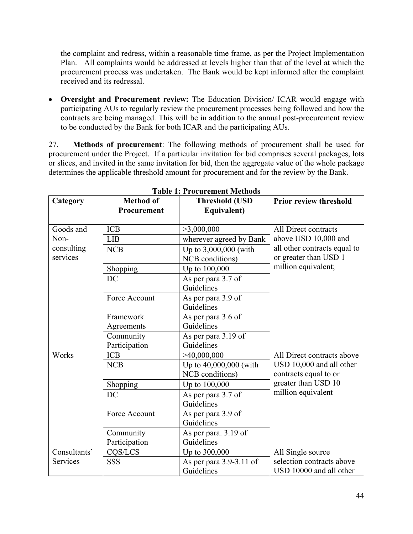the complaint and redress, within a reasonable time frame, as per the Project Implementation Plan. All complaints would be addressed at levels higher than that of the level at which the procurement process was undertaken. The Bank would be kept informed after the complaint received and its redressal.

 **Oversight and Procurement review:** The Education Division/ ICAR would engage with participating AUs to regularly review the procurement processes being followed and how the contracts are being managed. This will be in addition to the annual post-procurement review to be conducted by the Bank for both ICAR and the participating AUs.

27. **Methods of procurement**: The following methods of procurement shall be used for procurement under the Project. If a particular invitation for bid comprises several packages, lots or slices, and invited in the same invitation for bid, then the aggregate value of the whole package determines the applicable threshold amount for procurement and for the review by the Bank.

| Category     | <b>Method of</b><br>Procurement | <b>Threshold (USD</b><br>Equivalent) | <b>Prior review threshold</b> |
|--------------|---------------------------------|--------------------------------------|-------------------------------|
| Goods and    | <b>ICB</b>                      | >3,000,000                           | All Direct contracts          |
| Non-         | <b>LIB</b>                      | wherever agreed by Bank              | above USD 10,000 and          |
| consulting   | <b>NCB</b>                      | Up to 3,000,000 (with                | all other contracts equal to  |
| services     |                                 | NCB conditions)                      | or greater than USD 1         |
|              | Shopping                        | Up to 100,000                        | million equivalent;           |
|              | DC                              | As per para 3.7 of                   |                               |
|              |                                 | Guidelines                           |                               |
|              | Force Account                   | As per para 3.9 of                   |                               |
|              |                                 | Guidelines                           |                               |
|              | Framework                       | As per para 3.6 of                   |                               |
|              | Agreements                      | Guidelines                           |                               |
|              | Community                       | As per para 3.19 of                  |                               |
|              | Participation                   | Guidelines                           |                               |
| Works        | <b>ICB</b>                      | >40,000,000                          | All Direct contracts above    |
|              | <b>NCB</b>                      | Up to 40,000,000 (with               | USD 10,000 and all other      |
|              |                                 | NCB conditions)                      | contracts equal to or         |
|              | Shopping                        | Up to 100,000                        | greater than USD 10           |
|              | DC                              | As per para 3.7 of                   | million equivalent            |
|              |                                 | Guidelines                           |                               |
|              | Force Account                   | As per para 3.9 of                   |                               |
|              |                                 | Guidelines                           |                               |
|              | Community                       | As per para. 3.19 of                 |                               |
|              | Participation                   | Guidelines                           |                               |
| Consultants' | CQS/LCS                         | Up to 300,000                        | All Single source             |
| Services     | <b>SSS</b>                      | As per para 3.9-3.11 of              | selection contracts above     |
|              |                                 | Guidelines                           | USD 10000 and all other       |

#### **Table 1: Procurement Methods**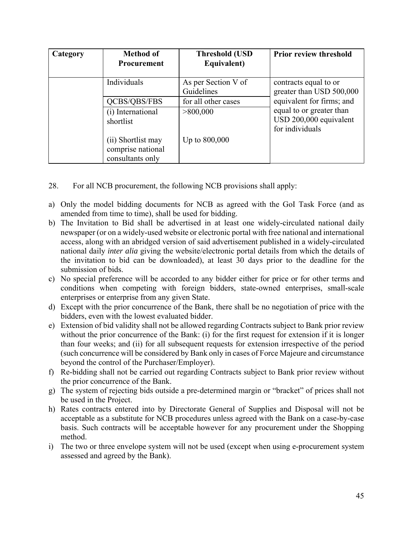| Category | <b>Method of</b><br>Procurement                             | <b>Threshold (USD</b><br>Equivalent) | <b>Prior review threshold</b>                                         |
|----------|-------------------------------------------------------------|--------------------------------------|-----------------------------------------------------------------------|
|          | Individuals                                                 | As per Section V of<br>Guidelines    | contracts equal to or<br>greater than USD 500,000                     |
|          | QCBS/QBS/FBS                                                | for all other cases                  | equivalent for firms; and                                             |
|          | (i) International<br>shortlist                              | >800,000                             | equal to or greater than<br>USD 200,000 equivalent<br>for individuals |
|          | (ii) Shortlist may<br>comprise national<br>consultants only | Up to $800,000$                      |                                                                       |

- 28. For all NCB procurement, the following NCB provisions shall apply:
- a) Only the model bidding documents for NCB as agreed with the GoI Task Force (and as amended from time to time), shall be used for bidding.
- b) The Invitation to Bid shall be advertised in at least one widely-circulated national daily newspaper (or on a widely-used website or electronic portal with free national and international access, along with an abridged version of said advertisement published in a widely-circulated national daily *inter alia* giving the website/electronic portal details from which the details of the invitation to bid can be downloaded), at least 30 days prior to the deadline for the submission of bids.
- c) No special preference will be accorded to any bidder either for price or for other terms and conditions when competing with foreign bidders, state-owned enterprises, small-scale enterprises or enterprise from any given State.
- d) Except with the prior concurrence of the Bank, there shall be no negotiation of price with the bidders, even with the lowest evaluated bidder.
- e) Extension of bid validity shall not be allowed regarding Contracts subject to Bank prior review without the prior concurrence of the Bank: (i) for the first request for extension if it is longer than four weeks; and (ii) for all subsequent requests for extension irrespective of the period (such concurrence will be considered by Bank only in cases of Force Majeure and circumstance beyond the control of the Purchaser/Employer).
- f) Re-bidding shall not be carried out regarding Contracts subject to Bank prior review without the prior concurrence of the Bank.
- g) The system of rejecting bids outside a pre-determined margin or "bracket" of prices shall not be used in the Project.
- h) Rates contracts entered into by Directorate General of Supplies and Disposal will not be acceptable as a substitute for NCB procedures unless agreed with the Bank on a case-by-case basis. Such contracts will be acceptable however for any procurement under the Shopping method.
- i) The two or three envelope system will not be used (except when using e-procurement system assessed and agreed by the Bank).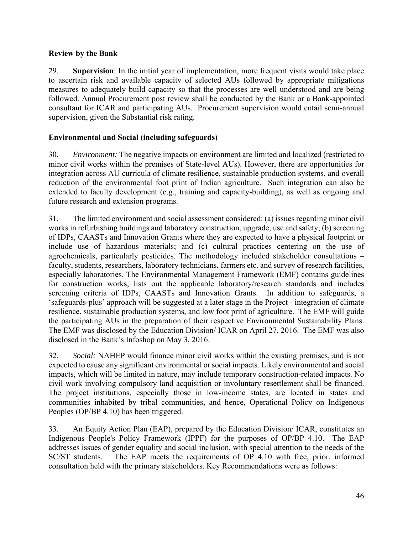## **Review by the Bank**

29. **Supervision**: In the initial year of implementation, more frequent visits would take place to ascertain risk and available capacity of selected AUs followed by appropriate mitigations measures to adequately build capacity so that the processes are well understood and are being followed. Annual Procurement post review shall be conducted by the Bank or a Bank-appointed consultant for ICAR and participating AUs. Procurement supervision would entail semi-annual supervision, given the Substantial risk rating.

# **Environmental and Social (including safeguards)**

30. *Environment:* The negative impacts on environment are limited and localized (restricted to minor civil works within the premises of State-level AUs). However, there are opportunities for integration across AU curricula of climate resilience, sustainable production systems, and overall reduction of the environmental foot print of Indian agriculture. Such integration can also be extended to faculty development (e.g., training and capacity-building), as well as ongoing and future research and extension programs.

31. The limited environment and social assessment considered: (a) issues regarding minor civil works in refurbishing buildings and laboratory construction, upgrade, use and safety; (b) screening of IDPs, CAASTs and Innovation Grants where they are expected to have a physical footprint or include use of hazardous materials; and (c) cultural practices centering on the use of agrochemicals, particularly pesticides. The methodology included stakeholder consultations – faculty, students, researchers, laboratory technicians, farmers etc. and survey of research facilities, especially laboratories. The Environmental Management Framework (EMF) contains guidelines for construction works, lists out the applicable laboratory/research standards and includes screening criteria of IDPs, CAASTs and Innovation Grants. In addition to safeguards, a 'safeguards-plus' approach will be suggested at a later stage in the Project - integration of climate resilience, sustainable production systems, and low foot print of agriculture. The EMF will guide the participating AUs in the preparation of their respective Environmental Sustainability Plans. The EMF was disclosed by the Education Division/ ICAR on April 27, 2016. The EMF was also disclosed in the Bank's Infoshop on May 3, 2016.

32. *Social:* NAHEP would finance minor civil works within the existing premises, and is not expected to cause any significant environmental or social impacts. Likely environmental and social impacts, which will be limited in nature, may include temporary construction-related impacts. No civil work involving compulsory land acquisition or involuntary resettlement shall be financed. The project institutions, especially those in low-income states, are located in states and communities inhabited by tribal communities, and hence, Operational Policy on Indigenous Peoples (OP/BP 4.10) has been triggered.

33. An Equity Action Plan (EAP), prepared by the Education Division/ ICAR, constitutes an Indigenous People's Policy Framework (IPPF) for the purposes of OP/BP 4.10. The EAP addresses issues of gender equality and social inclusion, with special attention to the needs of the SC/ST students. The EAP meets the requirements of OP 4.10 with free, prior, informed consultation held with the primary stakeholders. Key Recommendations were as follows: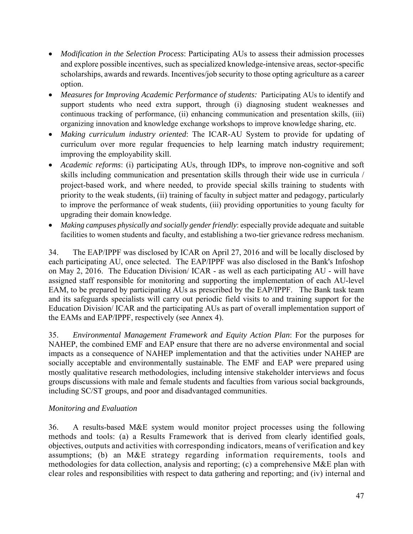- *Modification in the Selection Process*: Participating AUs to assess their admission processes and explore possible incentives, such as specialized knowledge-intensive areas, sector-specific scholarships, awards and rewards. Incentives/job security to those opting agriculture as a career option.
- *Measures for Improving Academic Performance of students:* Participating AUs to identify and support students who need extra support, through (i) diagnosing student weaknesses and continuous tracking of performance, (ii) enhancing communication and presentation skills, (iii) organizing innovation and knowledge exchange workshops to improve knowledge sharing, etc.
- *Making curriculum industry oriented*: The ICAR-AU System to provide for updating of curriculum over more regular frequencies to help learning match industry requirement; improving the employability skill.
- *Academic reforms*: (i) participating AUs, through IDPs, to improve non-cognitive and soft skills including communication and presentation skills through their wide use in curricula / project-based work, and where needed, to provide special skills training to students with priority to the weak students, (ii) training of faculty in subject matter and pedagogy, particularly to improve the performance of weak students, (iii) providing opportunities to young faculty for upgrading their domain knowledge.
- *Making campuses physically and socially gender friendly*: especially provide adequate and suitable facilities to women students and faculty, and establishing a two-tier grievance redress mechanism.

34. The EAP/IPPF was disclosed by ICAR on April 27, 2016 and will be locally disclosed by each participating AU, once selected. The EAP/IPPF was also disclosed in the Bank's Infoshop on May 2, 2016. The Education Division/ ICAR - as well as each participating AU - will have assigned staff responsible for monitoring and supporting the implementation of each AU-level EAM, to be prepared by participating AUs as prescribed by the EAP/IPPF. The Bank task team and its safeguards specialists will carry out periodic field visits to and training support for the Education Division/ ICAR and the participating AUs as part of overall implementation support of the EAMs and EAP/IPPF, respectively (see Annex 4).

35. *Environmental Management Framework and Equity Action Plan*: For the purposes for NAHEP, the combined EMF and EAP ensure that there are no adverse environmental and social impacts as a consequence of NAHEP implementation and that the activities under NAHEP are socially acceptable and environmentally sustainable. The EMF and EAP were prepared using mostly qualitative research methodologies, including intensive stakeholder interviews and focus groups discussions with male and female students and faculties from various social backgrounds, including SC/ST groups, and poor and disadvantaged communities.

## *Monitoring and Evaluation*

36. A results-based M&E system would monitor project processes using the following methods and tools: (a) a Results Framework that is derived from clearly identified goals, objectives, outputs and activities with corresponding indicators, means of verification and key assumptions; (b) an M&E strategy regarding information requirements, tools and methodologies for data collection, analysis and reporting; (c) a comprehensive M&E plan with clear roles and responsibilities with respect to data gathering and reporting; and (iv) internal and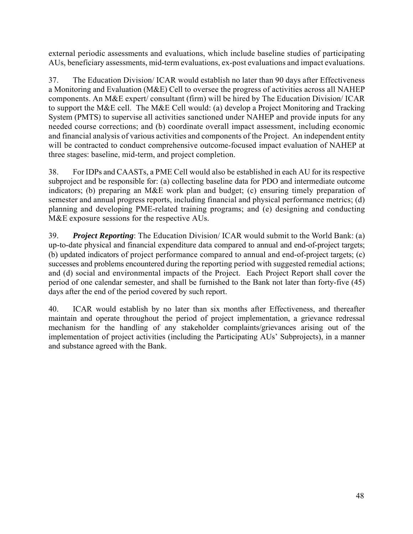external periodic assessments and evaluations, which include baseline studies of participating AUs, beneficiary assessments, mid-term evaluations, ex-post evaluations and impact evaluations.

37. The Education Division/ ICAR would establish no later than 90 days after Effectiveness a Monitoring and Evaluation (M&E) Cell to oversee the progress of activities across all NAHEP components. An M&E expert/ consultant (firm) will be hired by The Education Division/ ICAR to support the M&E cell. The M&E Cell would: (a) develop a Project Monitoring and Tracking System (PMTS) to supervise all activities sanctioned under NAHEP and provide inputs for any needed course corrections; and (b) coordinate overall impact assessment, including economic and financial analysis of various activities and components of the Project. An independent entity will be contracted to conduct comprehensive outcome-focused impact evaluation of NAHEP at three stages: baseline, mid-term, and project completion.

38. For IDPs and CAASTs, a PME Cell would also be established in each AU for its respective subproject and be responsible for: (a) collecting baseline data for PDO and intermediate outcome indicators; (b) preparing an M&E work plan and budget; (c) ensuring timely preparation of semester and annual progress reports, including financial and physical performance metrics; (d) planning and developing PME-related training programs; and (e) designing and conducting M&E exposure sessions for the respective AUs.

39. *Project Reporting*: The Education Division/ ICAR would submit to the World Bank: (a) up-to-date physical and financial expenditure data compared to annual and end-of-project targets; (b) updated indicators of project performance compared to annual and end-of-project targets; (c) successes and problems encountered during the reporting period with suggested remedial actions; and (d) social and environmental impacts of the Project. Each Project Report shall cover the period of one calendar semester, and shall be furnished to the Bank not later than forty-five (45) days after the end of the period covered by such report.

40. ICAR would establish by no later than six months after Effectiveness, and thereafter maintain and operate throughout the period of project implementation, a grievance redressal mechanism for the handling of any stakeholder complaints/grievances arising out of the implementation of project activities (including the Participating AUs' Subprojects), in a manner and substance agreed with the Bank.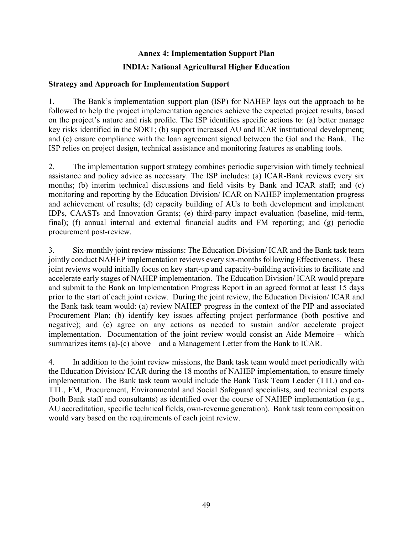# **Annex 4: Implementation Support Plan INDIA: National Agricultural Higher Education**

#### **Strategy and Approach for Implementation Support**

1. The Bank's implementation support plan (ISP) for NAHEP lays out the approach to be followed to help the project implementation agencies achieve the expected project results, based on the project's nature and risk profile. The ISP identifies specific actions to: (a) better manage key risks identified in the SORT; (b) support increased AU and ICAR institutional development; and (c) ensure compliance with the loan agreement signed between the GoI and the Bank. The ISP relies on project design, technical assistance and monitoring features as enabling tools.

2. The implementation support strategy combines periodic supervision with timely technical assistance and policy advice as necessary. The ISP includes: (a) ICAR-Bank reviews every six months; (b) interim technical discussions and field visits by Bank and ICAR staff; and (c) monitoring and reporting by the Education Division/ ICAR on NAHEP implementation progress and achievement of results; (d) capacity building of AUs to both development and implement IDPs, CAASTs and Innovation Grants; (e) third-party impact evaluation (baseline, mid-term, final); (f) annual internal and external financial audits and FM reporting; and (g) periodic procurement post-review.

3. Six-monthly joint review missions: The Education Division/ ICAR and the Bank task team jointly conduct NAHEP implementation reviews every six-months following Effectiveness. These joint reviews would initially focus on key start-up and capacity-building activities to facilitate and accelerate early stages of NAHEP implementation. The Education Division/ ICAR would prepare and submit to the Bank an Implementation Progress Report in an agreed format at least 15 days prior to the start of each joint review. During the joint review, the Education Division/ ICAR and the Bank task team would: (a) review NAHEP progress in the context of the PIP and associated Procurement Plan; (b) identify key issues affecting project performance (both positive and negative); and (c) agree on any actions as needed to sustain and/or accelerate project implementation. Documentation of the joint review would consist an Aide Memoire – which summarizes items (a)-(c) above – and a Management Letter from the Bank to ICAR.

4. In addition to the joint review missions, the Bank task team would meet periodically with the Education Division/ ICAR during the 18 months of NAHEP implementation, to ensure timely implementation. The Bank task team would include the Bank Task Team Leader (TTL) and co-TTL, FM, Procurement, Environmental and Social Safeguard specialists, and technical experts (both Bank staff and consultants) as identified over the course of NAHEP implementation (e.g., AU accreditation, specific technical fields, own-revenue generation). Bank task team composition would vary based on the requirements of each joint review.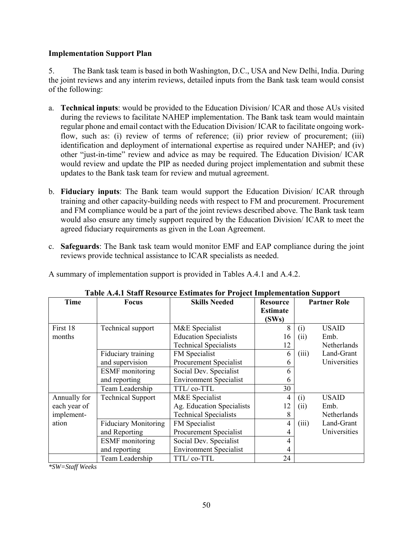### **Implementation Support Plan**

5. The Bank task team is based in both Washington, D.C., USA and New Delhi, India. During the joint reviews and any interim reviews, detailed inputs from the Bank task team would consist of the following:

- a. **Technical inputs**: would be provided to the Education Division/ ICAR and those AUs visited during the reviews to facilitate NAHEP implementation. The Bank task team would maintain regular phone and email contact with the Education Division/ ICAR to facilitate ongoing workflow, such as: (i) review of terms of reference; (ii) prior review of procurement; (iii) identification and deployment of international expertise as required under NAHEP; and (iv) other "just-in-time" review and advice as may be required. The Education Division/ ICAR would review and update the PIP as needed during project implementation and submit these updates to the Bank task team for review and mutual agreement.
- b. **Fiduciary inputs**: The Bank team would support the Education Division/ ICAR through training and other capacity-building needs with respect to FM and procurement. Procurement and FM compliance would be a part of the joint reviews described above. The Bank task team would also ensure any timely support required by the Education Division/ ICAR to meet the agreed fiduciary requirements as given in the Loan Agreement.
- c. **Safeguards**: The Bank task team would monitor EMF and EAP compliance during the joint reviews provide technical assistance to ICAR specialists as needed.

A summary of implementation support is provided in Tables A.4.1 and A.4.2.

|              |                             | или на ваши тилли се плиница тог тторен ниришеницоп лирроге |                 |                     |
|--------------|-----------------------------|-------------------------------------------------------------|-----------------|---------------------|
| Time         | <b>Focus</b>                | <b>Skills Needed</b>                                        | <b>Resource</b> | <b>Partner Role</b> |
|              |                             |                                                             | <b>Estimate</b> |                     |
|              |                             |                                                             | (SWs)           |                     |
| First 18     | Technical support           | M&E Specialist                                              | 8               | USAID<br>(i)        |
| months       |                             | <b>Education Specialists</b>                                | 16              | (ii)<br>Emb.        |
|              |                             | <b>Technical Specialists</b>                                | 12              | Netherlands         |
|              | Fiduciary training          | FM Specialist                                               | 6               | Land-Grant<br>(iii) |
|              | and supervision             | Procurement Specialist                                      | 6               | Universities        |
|              | <b>ESMF</b> monitoring      | Social Dev. Specialist                                      | h               |                     |
|              | and reporting               | <b>Environment Specialist</b>                               | h               |                     |
|              | Team Leadership             | TTL/co-TTL                                                  | 30              |                     |
| Annually for | <b>Technical Support</b>    | M&E Specialist                                              | 4               | <b>USAID</b><br>(i) |
| each year of |                             | Ag. Education Specialists                                   | 12              | Emb.<br>(ii)        |
| implement-   |                             | <b>Technical Specialists</b>                                | 8               | Netherlands         |
| ation        | <b>Fiduciary Monitoring</b> | FM Specialist                                               | 4               | Land-Grant<br>(iii) |
|              | and Reporting               | Procurement Specialist                                      | 4               | Universities        |
|              | <b>ESMF</b> monitoring      | Social Dev. Specialist                                      | 4               |                     |
|              | and reporting               | <b>Environment Specialist</b>                               | 4               |                     |
|              | Team Leadership             | TTL/co-TTL                                                  | 24              |                     |

|  |  | Table A.4.1 Staff Resource Estimates for Project Implementation Support |  |
|--|--|-------------------------------------------------------------------------|--|
|  |  |                                                                         |  |
|  |  |                                                                         |  |

*\*SW=Staff Weeks*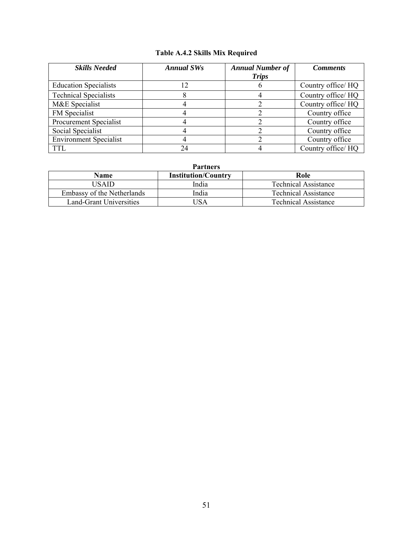# **Table A.4.2 Skills Mix Required**

| <b>Skills Needed</b>          | <b>Annual SWs</b> | <b>Annual Number of</b><br><b>Trips</b> | <b>Comments</b>    |
|-------------------------------|-------------------|-----------------------------------------|--------------------|
| <b>Education Specialists</b>  | 12                | b                                       | Country office/ HQ |
| <b>Technical Specialists</b>  | Λ                 |                                         | Country office/ HQ |
| M&E Specialist                |                   |                                         | Country office/ HQ |
| FM Specialist                 |                   |                                         | Country office     |
| Procurement Specialist        |                   |                                         | Country office     |
| Social Specialist             |                   |                                         | Country office     |
| <b>Environment Specialist</b> |                   |                                         | Country office     |
| <b>TTL</b>                    | 24                |                                         | Country office/HQ  |

| Name                       | <b>Institution/Country</b> | Role                 |
|----------------------------|----------------------------|----------------------|
| <b>ISAID</b>               | India                      | Technical Assistance |
| Embassy of the Netherlands | India                      | Technical Assistance |
| Land-Grant Universities    | JSA                        | Technical Assistance |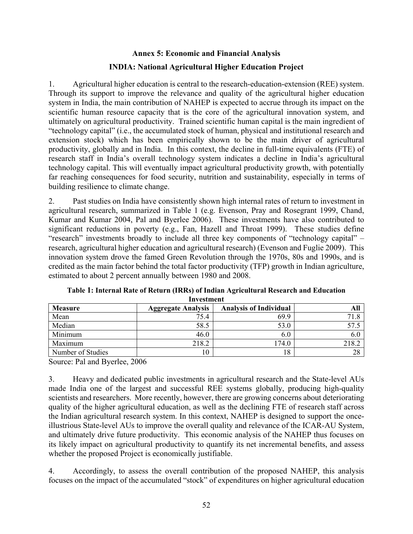# **Annex 5: Economic and Financial Analysis INDIA: National Agricultural Higher Education Project**

1. Agricultural higher education is central to the research-education-extension (REE) system. Through its support to improve the relevance and quality of the agricultural higher education system in India, the main contribution of NAHEP is expected to accrue through its impact on the scientific human resource capacity that is the core of the agricultural innovation system, and ultimately on agricultural productivity. Trained scientific human capital is the main ingredient of "technology capital" (i.e., the accumulated stock of human, physical and institutional research and extension stock) which has been empirically shown to be the main driver of agricultural productivity, globally and in India. In this context, the decline in full-time equivalents (FTE) of research staff in India's overall technology system indicates a decline in India's agricultural technology capital. This will eventually impact agricultural productivity growth, with potentially far reaching consequences for food security, nutrition and sustainability, especially in terms of building resilience to climate change.

2. Past studies on India have consistently shown high internal rates of return to investment in agricultural research, summarized in Table 1 (e.g. Evenson, Pray and Rosegrant 1999, Chand, Kumar and Kumar 2004, Pal and Byerlee 2006). These investments have also contributed to significant reductions in poverty (e.g., Fan, Hazell and Throat 1999). These studies define "research" investments broadly to include all three key components of "technology capital" – research, agricultural higher education and agricultural research) (Evenson and Fuglie 2009). This innovation system drove the famed Green Revolution through the 1970s, 80s and 1990s, and is credited as the main factor behind the total factor productivity (TFP) growth in Indian agriculture, estimated to about 2 percent annually between 1980 and 2008.

| <b>Measure</b>    | <b>Aggregate Analysis</b> | <b>Analysis of Individual</b> | All   |
|-------------------|---------------------------|-------------------------------|-------|
| Mean              | 75.4                      | 69.9                          |       |
| Median            | 58.5                      | 53.0                          | 57.5  |
| Minimum           | 46.0                      | 6.0                           | 6.0   |
| Maximum           | 218.2                     | 174.0                         | 218.2 |
| Number of Studies |                           | 18                            | 28    |

**Table 1: Internal Rate of Return (IRRs) of Indian Agricultural Research and Education Investment** 

Source: Pal and Byerlee, 2006

3. Heavy and dedicated public investments in agricultural research and the State-level AUs made India one of the largest and successful REE systems globally, producing high-quality scientists and researchers. More recently, however, there are growing concerns about deteriorating quality of the higher agricultural education, as well as the declining FTE of research staff across the Indian agricultural research system. In this context, NAHEP is designed to support the onceillustrious State-level AUs to improve the overall quality and relevance of the ICAR-AU System, and ultimately drive future productivity. This economic analysis of the NAHEP thus focuses on its likely impact on agricultural productivity to quantify its net incremental benefits, and assess whether the proposed Project is economically justifiable.

4. Accordingly, to assess the overall contribution of the proposed NAHEP, this analysis focuses on the impact of the accumulated "stock" of expenditures on higher agricultural education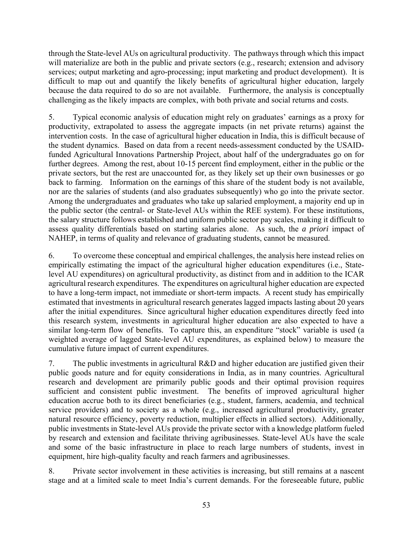through the State-level AUs on agricultural productivity. The pathways through which this impact will materialize are both in the public and private sectors (e.g., research; extension and advisory services; output marketing and agro-processing; input marketing and product development). It is difficult to map out and quantify the likely benefits of agricultural higher education, largely because the data required to do so are not available. Furthermore, the analysis is conceptually challenging as the likely impacts are complex, with both private and social returns and costs.

5. Typical economic analysis of education might rely on graduates' earnings as a proxy for productivity, extrapolated to assess the aggregate impacts (in net private returns) against the intervention costs. In the case of agricultural higher education in India, this is difficult because of the student dynamics. Based on data from a recent needs-assessment conducted by the USAIDfunded Agricultural Innovations Partnership Project, about half of the undergraduates go on for further degrees. Among the rest, about 10-15 percent find employment, either in the public or the private sectors, but the rest are unaccounted for, as they likely set up their own businesses or go back to farming. Information on the earnings of this share of the student body is not available, nor are the salaries of students (and also graduates subsequently) who go into the private sector. Among the undergraduates and graduates who take up salaried employment, a majority end up in the public sector (the central- or State-level AUs within the REE system). For these institutions, the salary structure follows established and uniform public sector pay scales, making it difficult to assess quality differentials based on starting salaries alone. As such, the *a priori* impact of NAHEP, in terms of quality and relevance of graduating students, cannot be measured.

6. To overcome these conceptual and empirical challenges, the analysis here instead relies on empirically estimating the impact of the agricultural higher education expenditures (i.e., Statelevel AU expenditures) on agricultural productivity, as distinct from and in addition to the ICAR agricultural research expenditures. The expenditures on agricultural higher education are expected to have a long-term impact, not immediate or short-term impacts. A recent study has empirically estimated that investments in agricultural research generates lagged impacts lasting about 20 years after the initial expenditures. Since agricultural higher education expenditures directly feed into this research system, investments in agricultural higher education are also expected to have a similar long-term flow of benefits. To capture this, an expenditure "stock" variable is used (a weighted average of lagged State-level AU expenditures, as explained below) to measure the cumulative future impact of current expenditures.

7. The public investments in agricultural R&D and higher education are justified given their public goods nature and for equity considerations in India, as in many countries. Agricultural research and development are primarily public goods and their optimal provision requires sufficient and consistent public investment. The benefits of improved agricultural higher education accrue both to its direct beneficiaries (e.g., student, farmers, academia, and technical service providers) and to society as a whole (e.g., increased agricultural productivity, greater natural resource efficiency, poverty reduction, multiplier effects in allied sectors). Additionally, public investments in State-level AUs provide the private sector with a knowledge platform fueled by research and extension and facilitate thriving agribusinesses. State-level AUs have the scale and some of the basic infrastructure in place to reach large numbers of students, invest in equipment, hire high-quality faculty and reach farmers and agribusinesses.

8. Private sector involvement in these activities is increasing, but still remains at a nascent stage and at a limited scale to meet India's current demands. For the foreseeable future, public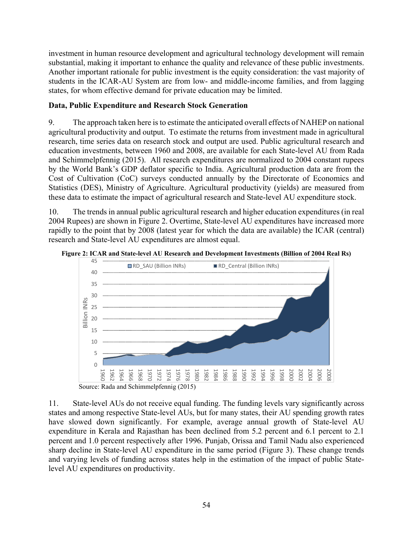investment in human resource development and agricultural technology development will remain substantial, making it important to enhance the quality and relevance of these public investments. Another important rationale for public investment is the equity consideration: the vast majority of students in the ICAR-AU System are from low- and middle-income families, and from lagging states, for whom effective demand for private education may be limited.

## **Data, Public Expenditure and Research Stock Generation**

9. The approach taken here is to estimate the anticipated overall effects of NAHEP on national agricultural productivity and output. To estimate the returns from investment made in agricultural research, time series data on research stock and output are used. Public agricultural research and education investments, between 1960 and 2008, are available for each State-level AU from Rada and Schimmelpfennig (2015). All research expenditures are normalized to 2004 constant rupees by the World Bank's GDP deflator specific to India. Agricultural production data are from the Cost of Cultivation (CoC) surveys conducted annually by the Directorate of Economics and Statistics (DES), Ministry of Agriculture. Agricultural productivity (yields) are measured from these data to estimate the impact of agricultural research and State-level AU expenditure stock.

10. The trends in annual public agricultural research and higher education expenditures (in real 2004 Rupees) are shown in Figure 2. Overtime, State-level AU expenditures have increased more rapidly to the point that by 2008 (latest year for which the data are available) the ICAR (central) research and State-level AU expenditures are almost equal.



**Figure 2: ICAR and State-level AU Research and Development Investments (Billion of 2004 Real Rs)** 

11. State-level AUs do not receive equal funding. The funding levels vary significantly across states and among respective State-level AUs, but for many states, their AU spending growth rates have slowed down significantly. For example, average annual growth of State-level AU expenditure in Kerala and Rajasthan has been declined from 5.2 percent and 6.1 percent to 2.1 percent and 1.0 percent respectively after 1996. Punjab, Orissa and Tamil Nadu also experienced sharp decline in State-level AU expenditure in the same period (Figure 3). These change trends and varying levels of funding across states help in the estimation of the impact of public Statelevel AU expenditures on productivity.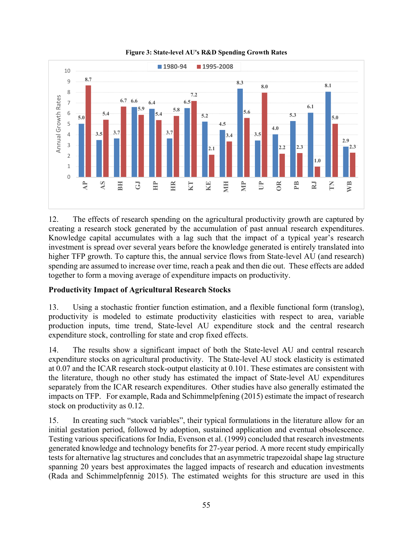

**Figure 3: State-level AU's R&D Spending Growth Rates** 

12. The effects of research spending on the agricultural productivity growth are captured by creating a research stock generated by the accumulation of past annual research expenditures. Knowledge capital accumulates with a lag such that the impact of a typical year's research investment is spread over several years before the knowledge generated is entirely translated into higher TFP growth. To capture this, the annual service flows from State-level AU (and research) spending are assumed to increase over time, reach a peak and then die out. These effects are added together to form a moving average of expenditure impacts on productivity.

# **Productivity Impact of Agricultural Research Stocks**

13. Using a stochastic frontier function estimation, and a flexible functional form (translog), productivity is modeled to estimate productivity elasticities with respect to area, variable production inputs, time trend, State-level AU expenditure stock and the central research expenditure stock, controlling for state and crop fixed effects.

14. The results show a significant impact of both the State-level AU and central research expenditure stocks on agricultural productivity. The State-level AU stock elasticity is estimated at 0.07 and the ICAR research stock-output elasticity at 0.101. These estimates are consistent with the literature, though no other study has estimated the impact of State-level AU expenditures separately from the ICAR research expenditures. Other studies have also generally estimated the impacts on TFP. For example, Rada and Schimmelpfening (2015) estimate the impact of research stock on productivity as 0.12.

15. In creating such "stock variables", their typical formulations in the literature allow for an initial gestation period, followed by adoption, sustained application and eventual obsolescence. Testing various specifications for India, Evenson et al. (1999) concluded that research investments generated knowledge and technology benefits for 27-year period. A more recent study empirically tests for alternative lag structures and concludes that an asymmetric trapezoidal shape lag structure spanning 20 years best approximates the lagged impacts of research and education investments (Rada and Schimmelpfennig 2015). The estimated weights for this structure are used in this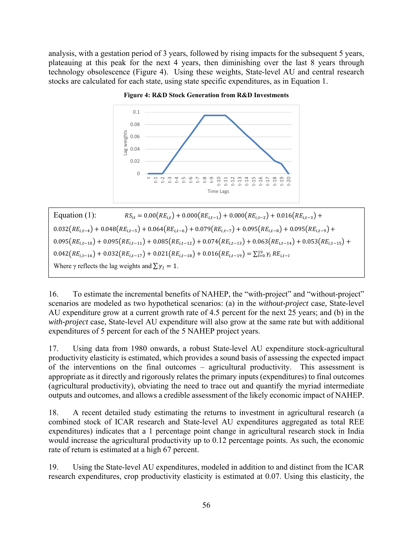analysis, with a gestation period of 3 years, followed by rising impacts for the subsequent 5 years, plateauing at this peak for the next 4 years, then diminishing over the last 8 years through technology obsolescence (Figure 4). Using these weights, State-level AU and central research stocks are calculated for each state, using state specific expenditures, as in Equation 1.



**Figure 4: R&D Stock Generation from R&D Investments** 

Equation (1):  $RS_{it} = 0.00(RE_{it}) + 0.000(RE_{it-1}) + 0.000(RE_{it-2}) + 0.016(RE_{it-3}) +$  $0.032(RE_{i,t-4}) + 0.048(RE_{i,t-5}) + 0.064(RE_{i,t-6}) + 0.079(RE_{i,t-7}) + 0.095(RE_{i,t-8}) + 0.095(RE_{i,t-9}) +$  $0.095(RE_{i,t-10}) + 0.095(RE_{i,t-11}) + 0.085(RE_{i,t-12}) + 0.074(RE_{i,t-13}) + 0.063(RE_{i,t-14}) + 0.053(RE_{i,t-15}) +$  $0.042(RE_{i,t-16}) + 0.032(RE_{i,t-17}) + 0.021(RE_{i,t-18}) + 0.016(RE_{i,t-19}) = \sum_{l=0}^{19} \gamma_l RE_{i,t-l}$ Where  $\gamma$  reflects the lag weights and  $\sum \gamma_l = 1$ .

16. To estimate the incremental benefits of NAHEP, the "with-project" and "without-project" scenarios are modeled as two hypothetical scenarios: (a) in the *without-project* case, State-level AU expenditure grow at a current growth rate of 4.5 percent for the next 25 years; and (b) in the *with-project* case, State-level AU expenditure will also grow at the same rate but with additional expenditures of 5 percent for each of the 5 NAHEP project years.

17. Using data from 1980 onwards, a robust State-level AU expenditure stock-agricultural productivity elasticity is estimated, which provides a sound basis of assessing the expected impact of the interventions on the final outcomes – agricultural productivity. This assessment is appropriate as it directly and rigorously relates the primary inputs (expenditures) to final outcomes (agricultural productivity), obviating the need to trace out and quantify the myriad intermediate outputs and outcomes, and allows a credible assessment of the likely economic impact of NAHEP.

18. A recent detailed study estimating the returns to investment in agricultural research (a combined stock of ICAR research and State-level AU expenditures aggregated as total REE expenditures) indicates that a 1 percentage point change in agricultural research stock in India would increase the agricultural productivity up to 0.12 percentage points. As such, the economic rate of return is estimated at a high 67 percent.

19. Using the State-level AU expenditures, modeled in addition to and distinct from the ICAR research expenditures, crop productivity elasticity is estimated at 0.07. Using this elasticity, the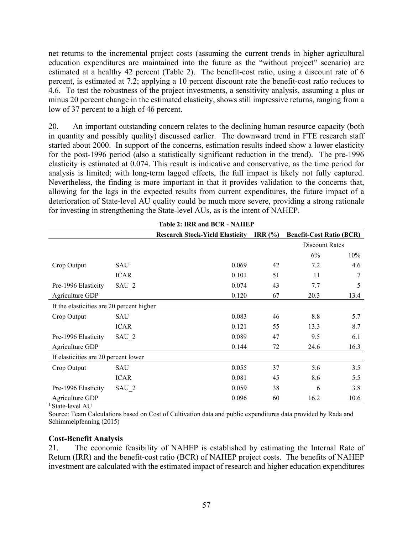net returns to the incremental project costs (assuming the current trends in higher agricultural education expenditures are maintained into the future as the "without project" scenario) are estimated at a healthy 42 percent (Table 2). The benefit-cost ratio, using a discount rate of 6 percent, is estimated at 7.2; applying a 10 percent discount rate the benefit-cost ratio reduces to 4.6. To test the robustness of the project investments, a sensitivity analysis, assuming a plus or minus 20 percent change in the estimated elasticity, shows still impressive returns, ranging from a low of 37 percent to a high of 46 percent.

20. An important outstanding concern relates to the declining human resource capacity (both in quantity and possibly quality) discussed earlier. The downward trend in FTE research staff started about 2000. In support of the concerns, estimation results indeed show a lower elasticity for the post-1996 period (also a statistically significant reduction in the trend). The pre-1996 elasticity is estimated at 0.074. This result is indicative and conservative, as the time period for analysis is limited; with long-term lagged effects, the full impact is likely not fully captured. Nevertheless, the finding is more important in that it provides validation to the concerns that, allowing for the lags in the expected results from current expenditures, the future impact of a deterioration of State-level AU quality could be much more severe, providing a strong rationale for investing in strengthening the State-level AUs, as is the intent of NAHEP.

| TADIC 4; IRR ANG DUR - NAHEF              |                  |                                        |           |                                 |      |
|-------------------------------------------|------------------|----------------------------------------|-----------|---------------------------------|------|
|                                           |                  | <b>Research Stock-Yield Elasticity</b> | IRR $(%)$ | <b>Benefit-Cost Ratio (BCR)</b> |      |
|                                           |                  |                                        |           | Discount Rates                  |      |
|                                           |                  |                                        |           | 6%                              | 10%  |
| Crop Output                               | SAU <sup>1</sup> | 0.069                                  | 42        | 7.2                             | 4.6  |
|                                           | <b>ICAR</b>      | 0.101                                  | 51        | 11                              |      |
| Pre-1996 Elasticity                       | SAU 2            | 0.074                                  | 43        | 7.7                             | 5    |
| Agriculture GDP                           |                  | 0.120                                  | 67        | 20.3                            | 13.4 |
| If the elasticities are 20 percent higher |                  |                                        |           |                                 |      |
| Crop Output                               | SAU              | 0.083                                  | 46        | 8.8                             | 5.7  |
|                                           | <b>ICAR</b>      | 0.121                                  | 55        | 13.3                            | 8.7  |
| Pre-1996 Elasticity                       | $SAU_2$          | 0.089                                  | 47        | 9.5                             | 6.1  |
| Agriculture GDP                           |                  | 0.144                                  | 72        | 24.6                            | 16.3 |
| If elasticities are 20 percent lower      |                  |                                        |           |                                 |      |
| Crop Output                               | SAU              | 0.055                                  | 37        | 5.6                             | 3.5  |
|                                           | <b>ICAR</b>      | 0.081                                  | 45        | 8.6                             | 5.5  |
| Pre-1996 Elasticity                       | SAU 2            | 0.059                                  | 38        | 6                               | 3.8  |
| Agriculture GDP                           |                  | 0.096                                  | 60        | 16.2                            | 10.6 |

Table 2: **IDD** and **BCD** - NAHEP

<sup>1</sup> State-level AU

Source: Team Calculations based on Cost of Cultivation data and public expenditures data provided by Rada and Schimmelpfenning (2015)

#### **Cost-Benefit Analysis**

21. The economic feasibility of NAHEP is established by estimating the Internal Rate of Return (IRR) and the benefit-cost ratio (BCR) of NAHEP project costs. The benefits of NAHEP investment are calculated with the estimated impact of research and higher education expenditures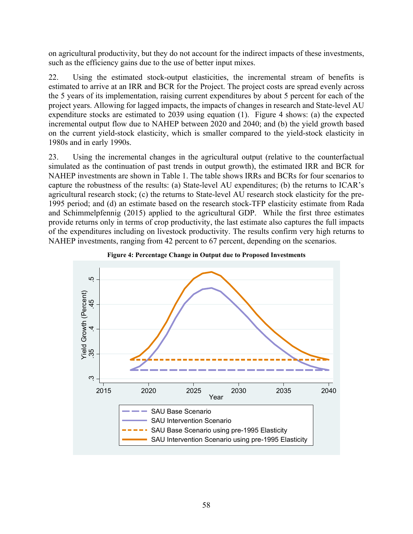on agricultural productivity, but they do not account for the indirect impacts of these investments, such as the efficiency gains due to the use of better input mixes.

22. Using the estimated stock-output elasticities, the incremental stream of benefits is estimated to arrive at an IRR and BCR for the Project. The project costs are spread evenly across the 5 years of its implementation, raising current expenditures by about 5 percent for each of the project years. Allowing for lagged impacts, the impacts of changes in research and State-level AU expenditure stocks are estimated to 2039 using equation (1). Figure 4 shows: (a) the expected incremental output flow due to NAHEP between 2020 and 2040; and (b) the yield growth based on the current yield-stock elasticity, which is smaller compared to the yield-stock elasticity in 1980s and in early 1990s.

23. Using the incremental changes in the agricultural output (relative to the counterfactual simulated as the continuation of past trends in output growth), the estimated IRR and BCR for NAHEP investments are shown in Table 1. The table shows IRRs and BCRs for four scenarios to capture the robustness of the results: (a) State-level AU expenditures; (b) the returns to ICAR's agricultural research stock; (c) the returns to State-level AU research stock elasticity for the pre-1995 period; and (d) an estimate based on the research stock-TFP elasticity estimate from Rada and Schimmelpfennig (2015) applied to the agricultural GDP. While the first three estimates provide returns only in terms of crop productivity, the last estimate also captures the full impacts of the expenditures including on livestock productivity. The results confirm very high returns to NAHEP investments, ranging from 42 percent to 67 percent, depending on the scenarios.